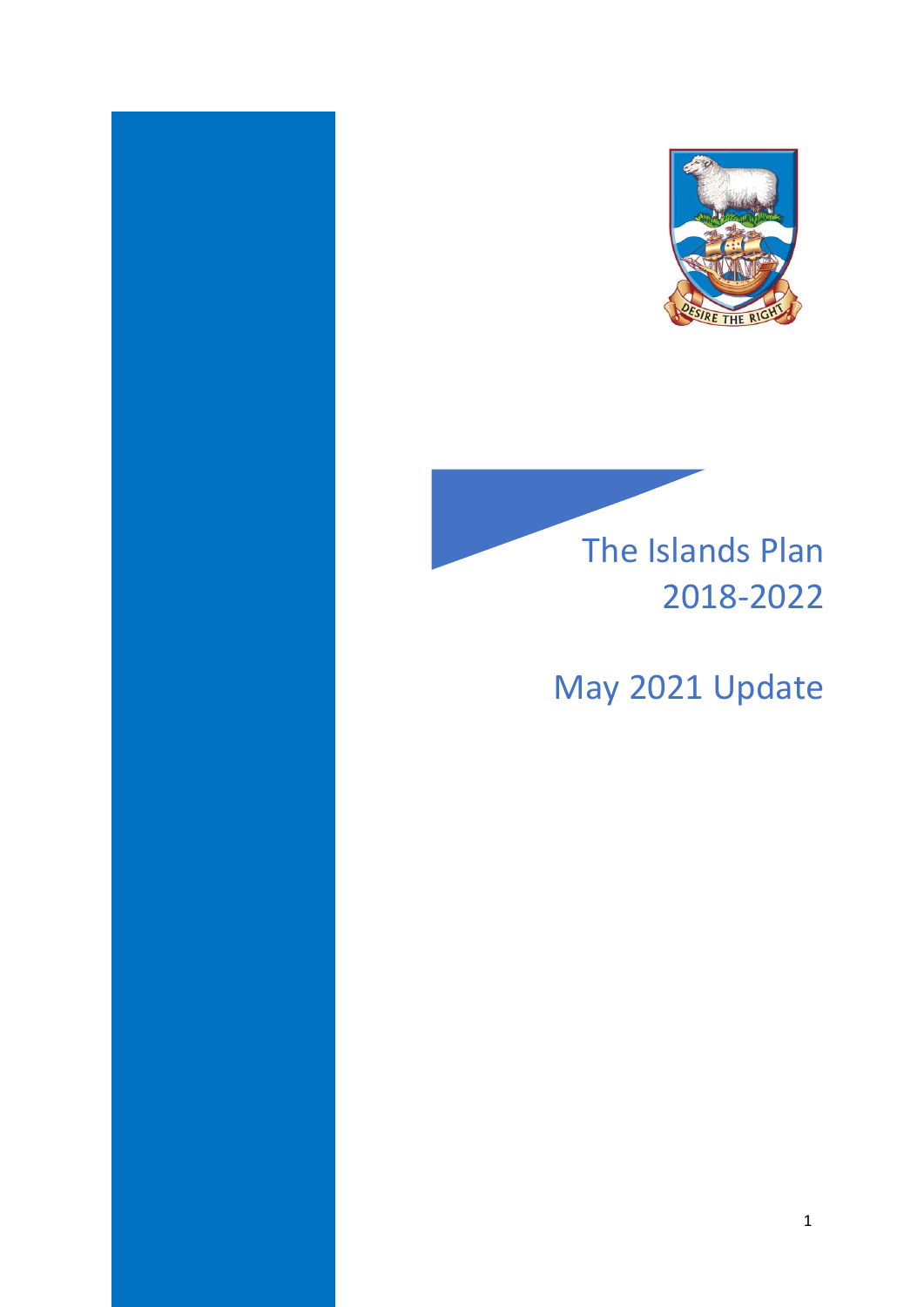



# May 2021 Update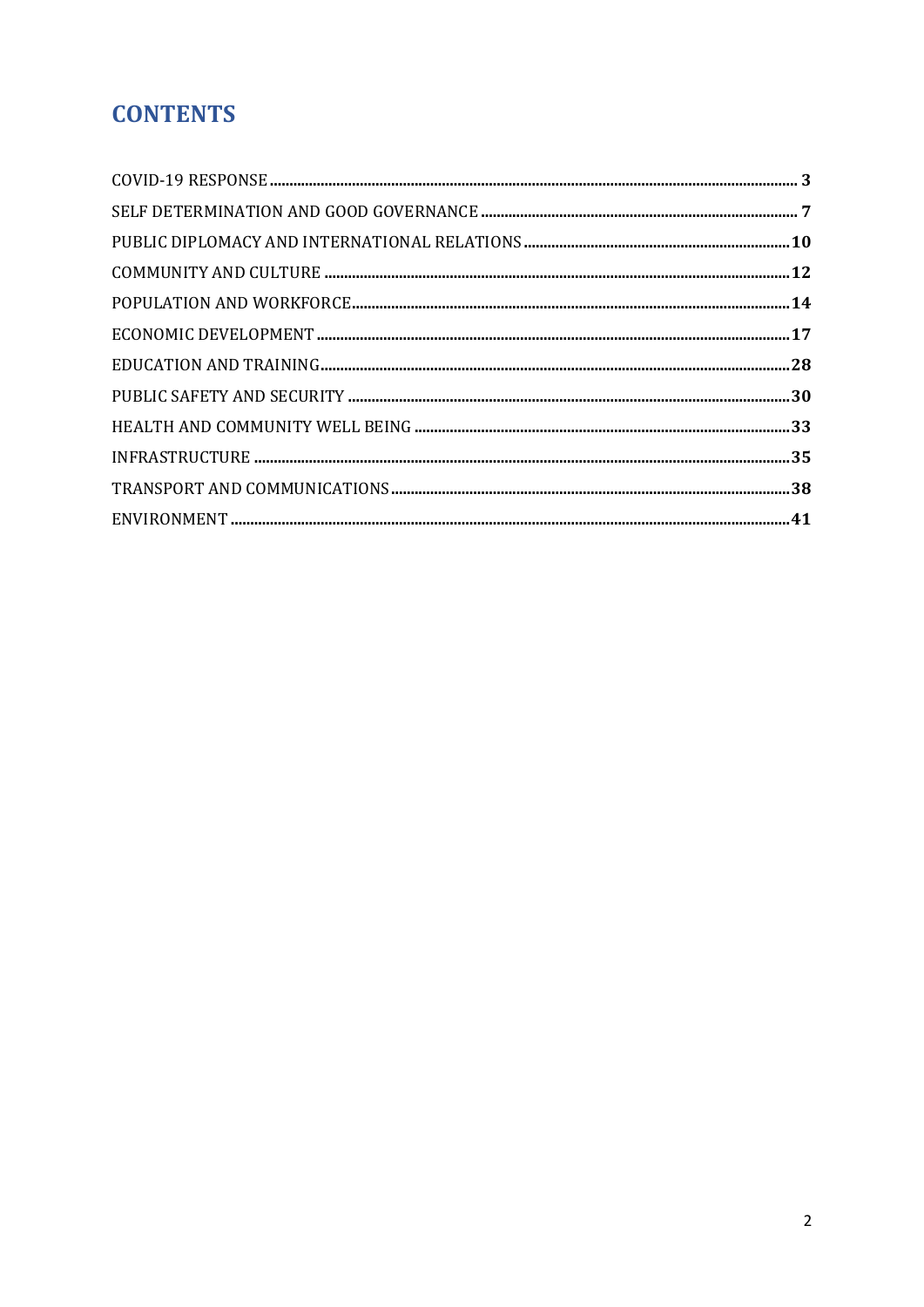# **CONTENTS**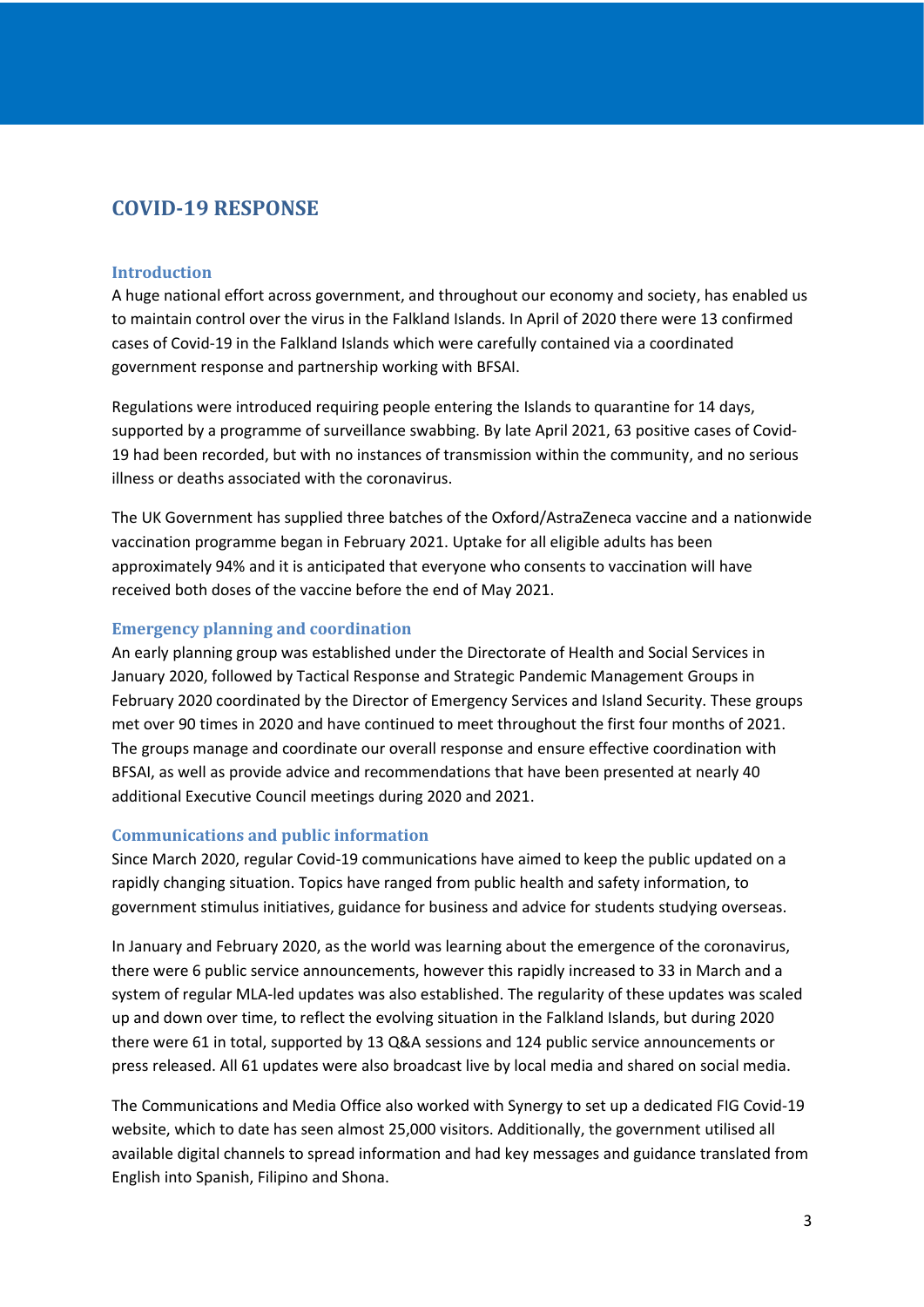# <span id="page-2-0"></span>**COVID-19 RESPONSE**

#### **Introduction**

A huge national effort across government, and throughout our economy and society, has enabled us to maintain control over the virus in the Falkland Islands. In April of 2020 there were 13 confirmed cases of Covid-19 in the Falkland Islands which were carefully contained via a coordinated government response and partnership working with BFSAI.

Regulations were introduced requiring people entering the Islands to quarantine for 14 days, supported by a programme of surveillance swabbing. By late April 2021, 63 positive cases of Covid-19 had been recorded, but with no instances of transmission within the community, and no serious illness or deaths associated with the coronavirus.

The UK Government has supplied three batches of the Oxford/AstraZeneca vaccine and a nationwide vaccination programme began in February 2021. Uptake for all eligible adults has been approximately 94% and it is anticipated that everyone who consents to vaccination will have received both doses of the vaccine before the end of May 2021.

### **Emergency planning and coordination**

An early planning group was established under the Directorate of Health and Social Services in January 2020, followed by Tactical Response and Strategic Pandemic Management Groups in February 2020 coordinated by the Director of Emergency Services and Island Security. These groups met over 90 times in 2020 and have continued to meet throughout the first four months of 2021. The groups manage and coordinate our overall response and ensure effective coordination with BFSAI, as well as provide advice and recommendations that have been presented at nearly 40 additional Executive Council meetings during 2020 and 2021.

### **Communications and public information**

Since March 2020, regular Covid-19 communications have aimed to keep the public updated on a rapidly changing situation. Topics have ranged from public health and safety information, to government stimulus initiatives, guidance for business and advice for students studying overseas.

In January and February 2020, as the world was learning about the emergence of the coronavirus, there were 6 public service announcements, however this rapidly increased to 33 in March and a system of regular MLA-led updates was also established. The regularity of these updates was scaled up and down over time, to reflect the evolving situation in the Falkland Islands, but during 2020 there were 61 in total, supported by 13 Q&A sessions and 124 public service announcements or press released. All 61 updates were also broadcast live by local media and shared on social media.

The Communications and Media Office also worked with Synergy to set up a dedicated FIG Covid-19 website, which to date has seen almost 25,000 visitors. Additionally, the government utilised all available digital channels to spread information and had key messages and guidance translated from English into Spanish, Filipino and Shona.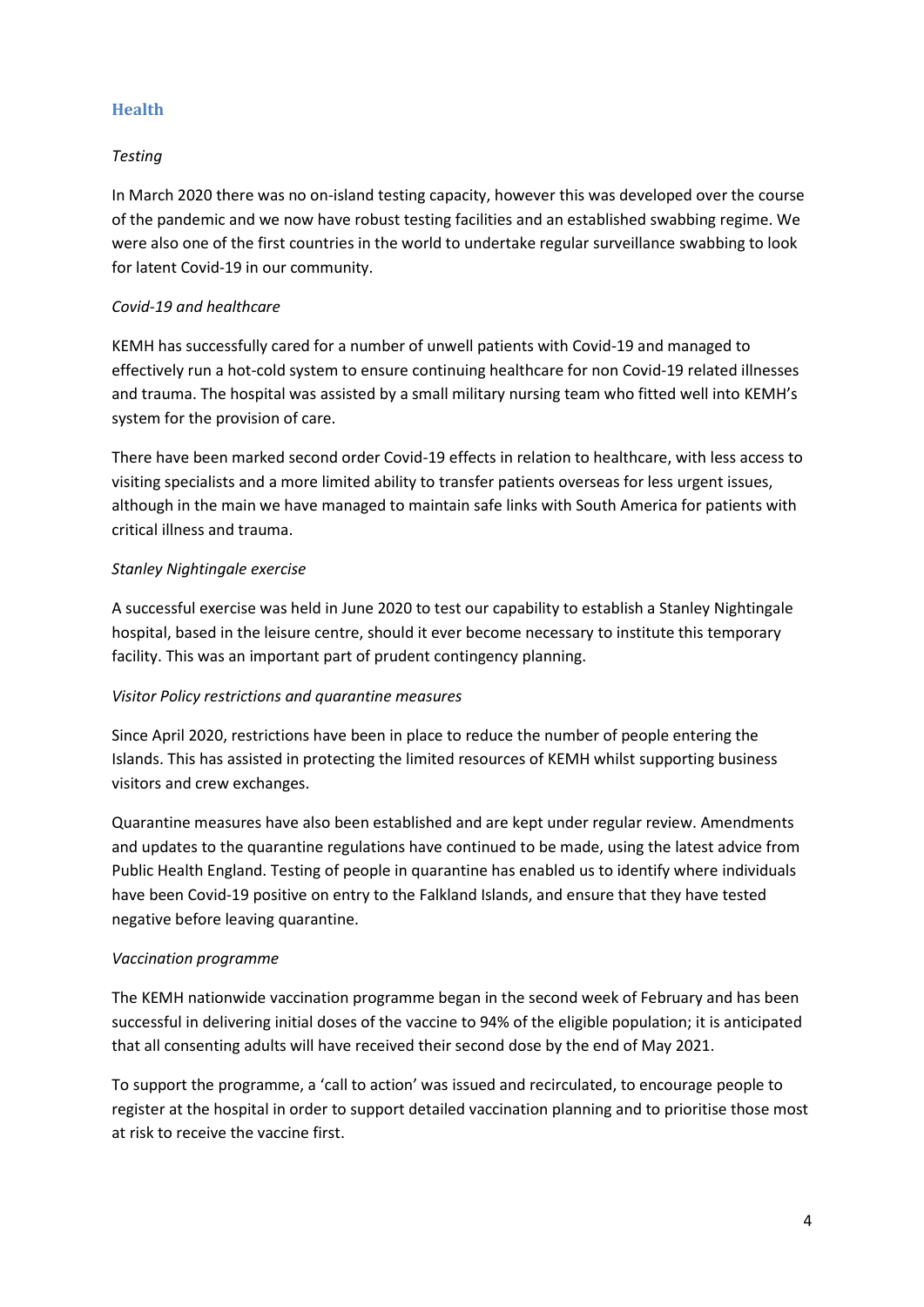### **Health**

### *Testing*

In March 2020 there was no on-island testing capacity, however this was developed over the course of the pandemic and we now have robust testing facilities and an established swabbing regime. We were also one of the first countries in the world to undertake regular surveillance swabbing to look for latent Covid-19 in our community.

### *Covid-19 and healthcare*

KEMH has successfully cared for a number of unwell patients with Covid-19 and managed to effectively run a hot-cold system to ensure continuing healthcare for non Covid-19 related illnesses and trauma. The hospital was assisted by a small military nursing team who fitted well into KEMH's system for the provision of care.

There have been marked second order Covid-19 effects in relation to healthcare, with less access to visiting specialists and a more limited ability to transfer patients overseas for less urgent issues, although in the main we have managed to maintain safe links with South America for patients with critical illness and trauma.

### *Stanley Nightingale exercise*

A successful exercise was held in June 2020 to test our capability to establish a Stanley Nightingale hospital, based in the leisure centre, should it ever become necessary to institute this temporary facility. This was an important part of prudent contingency planning.

### *Visitor Policy restrictions and quarantine measures*

Since April 2020, restrictions have been in place to reduce the number of people entering the Islands. This has assisted in protecting the limited resources of KEMH whilst supporting business visitors and crew exchanges.

Quarantine measures have also been established and are kept under regular review. Amendments and updates to the quarantine regulations have continued to be made, using the latest advice from Public Health England. Testing of people in quarantine has enabled us to identify where individuals have been Covid-19 positive on entry to the Falkland Islands, and ensure that they have tested negative before leaving quarantine.

### *Vaccination programme*

The KEMH nationwide vaccination programme began in the second week of February and has been successful in delivering initial doses of the vaccine to 94% of the eligible population; it is anticipated that all consenting adults will have received their second dose by the end of May 2021.

To support the programme, a 'call to action' was issued and recirculated, to encourage people to register at the hospital in order to support detailed vaccination planning and to prioritise those most at risk to receive the vaccine first.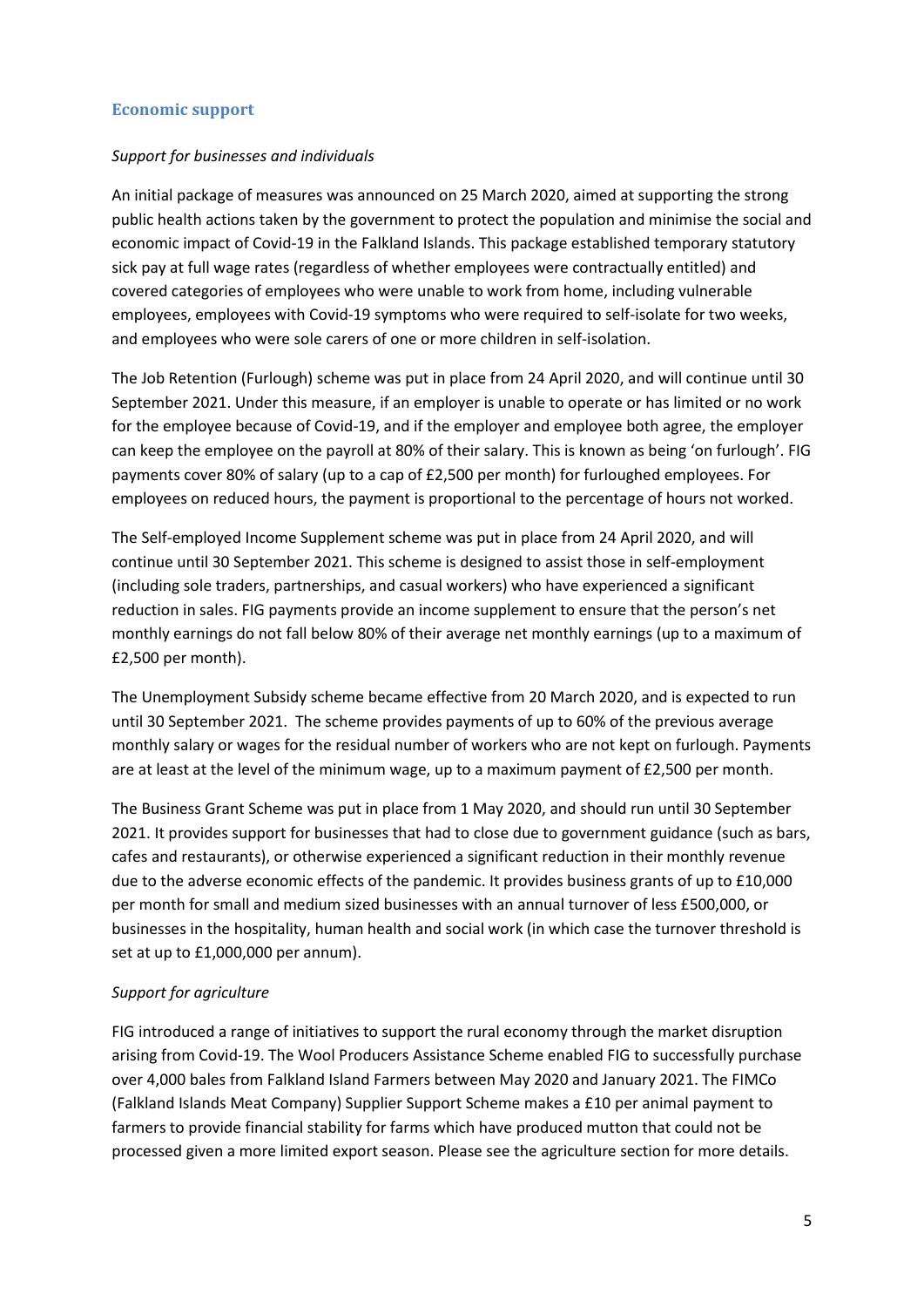### **Economic support**

### *Support for businesses and individuals*

An initial package of measures was announced on 25 March 2020, aimed at supporting the strong public health actions taken by the government to protect the population and minimise the social and economic impact of Covid-19 in the Falkland Islands. This package established temporary statutory sick pay at full wage rates (regardless of whether employees were contractually entitled) and covered categories of employees who were unable to work from home, including vulnerable employees, employees with Covid-19 symptoms who were required to self-isolate for two weeks, and employees who were sole carers of one or more children in self-isolation.

The Job Retention (Furlough) scheme was put in place from 24 April 2020, and will continue until 30 September 2021. Under this measure, if an employer is unable to operate or has limited or no work for the employee because of Covid-19, and if the employer and employee both agree, the employer can keep the employee on the payroll at 80% of their salary. This is known as being 'on furlough'. FIG payments cover 80% of salary (up to a cap of £2,500 per month) for furloughed employees. For employees on reduced hours, the payment is proportional to the percentage of hours not worked.

The Self-employed Income Supplement scheme was put in place from 24 April 2020, and will continue until 30 September 2021. This scheme is designed to assist those in self-employment (including sole traders, partnerships, and casual workers) who have experienced a significant reduction in sales. FIG payments provide an income supplement to ensure that the person's net monthly earnings do not fall below 80% of their average net monthly earnings (up to a maximum of £2,500 per month).

The Unemployment Subsidy scheme became effective from 20 March 2020, and is expected to run until 30 September 2021. The scheme provides payments of up to 60% of the previous average monthly salary or wages for the residual number of workers who are not kept on furlough. Payments are at least at the level of the minimum wage, up to a maximum payment of £2,500 per month.

The Business Grant Scheme was put in place from 1 May 2020, and should run until 30 September 2021. It provides support for businesses that had to close due to government guidance (such as bars, cafes and restaurants), or otherwise experienced a significant reduction in their monthly revenue due to the adverse economic effects of the pandemic. It provides business grants of up to £10,000 per month for small and medium sized businesses with an annual turnover of less £500,000, or businesses in the hospitality, human health and social work (in which case the turnover threshold is set at up to £1,000,000 per annum).

### *Support for agriculture*

FIG introduced a range of initiatives to support the rural economy through the market disruption arising from Covid-19. The Wool Producers Assistance Scheme enabled FIG to successfully purchase over 4,000 bales from Falkland Island Farmers between May 2020 and January 2021. The FIMCo (Falkland Islands Meat Company) Supplier Support Scheme makes a £10 per animal payment to farmers to provide financial stability for farms which have produced mutton that could not be processed given a more limited export season. Please see the agriculture section for more details.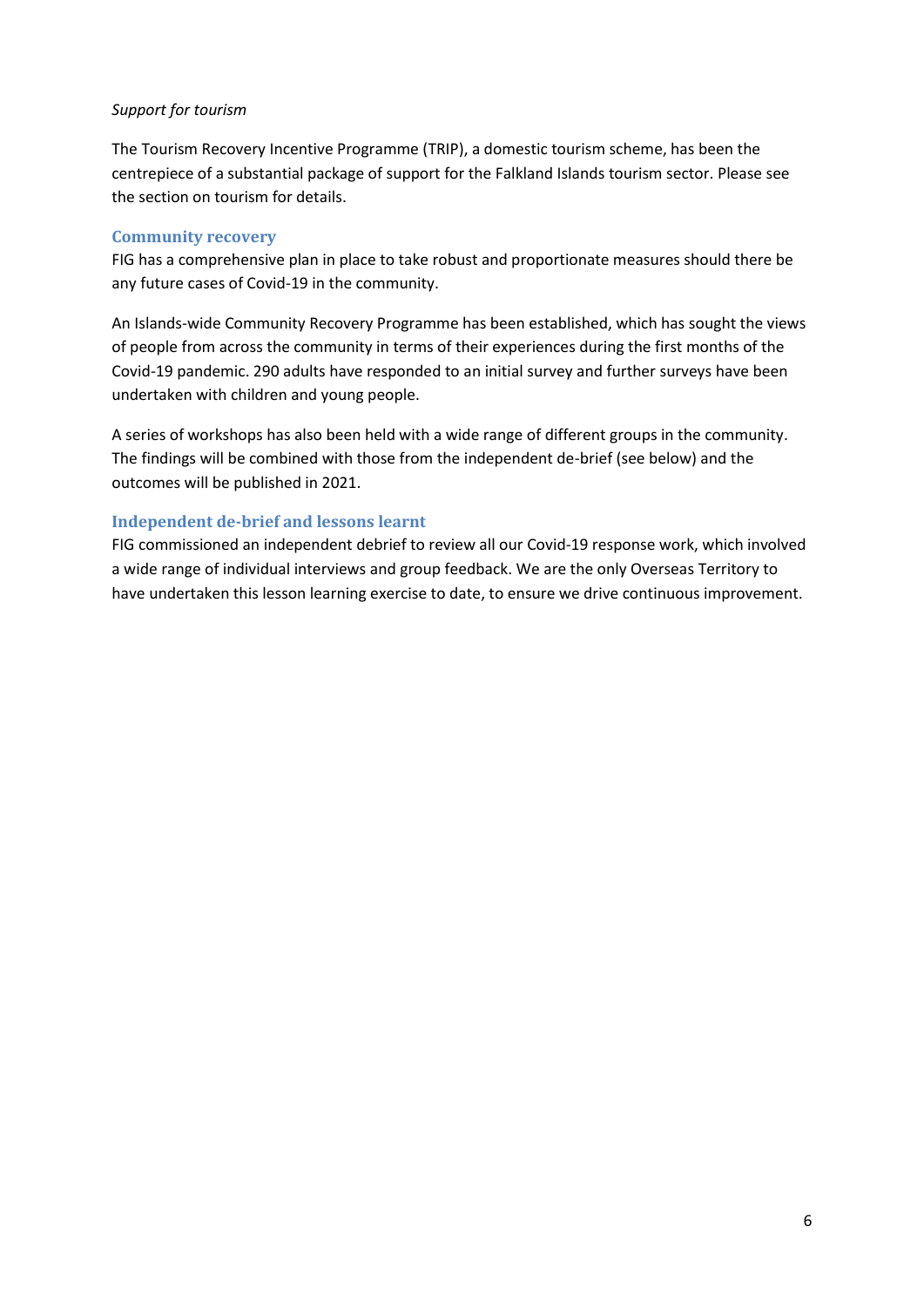### *Support for tourism*

The Tourism Recovery Incentive Programme (TRIP), a domestic tourism scheme, has been the centrepiece of a substantial package of support for the Falkland Islands tourism sector. Please see the section on tourism for details.

### **Community recovery**

FIG has a comprehensive plan in place to take robust and proportionate measures should there be any future cases of Covid-19 in the community.

An Islands-wide Community Recovery Programme has been established, which has sought the views of people from across the community in terms of their experiences during the first months of the Covid-19 pandemic. 290 adults have responded to an initial survey and further surveys have been undertaken with children and young people.

A series of workshops has also been held with a wide range of different groups in the community. The findings will be combined with those from the independent de-brief (see below) and the outcomes will be published in 2021.

### **Independent de-brief and lessons learnt**

FIG commissioned an independent debrief to review all our Covid-19 response work, which involved a wide range of individual interviews and group feedback. We are the only Overseas Territory to have undertaken this lesson learning exercise to date, to ensure we drive continuous improvement.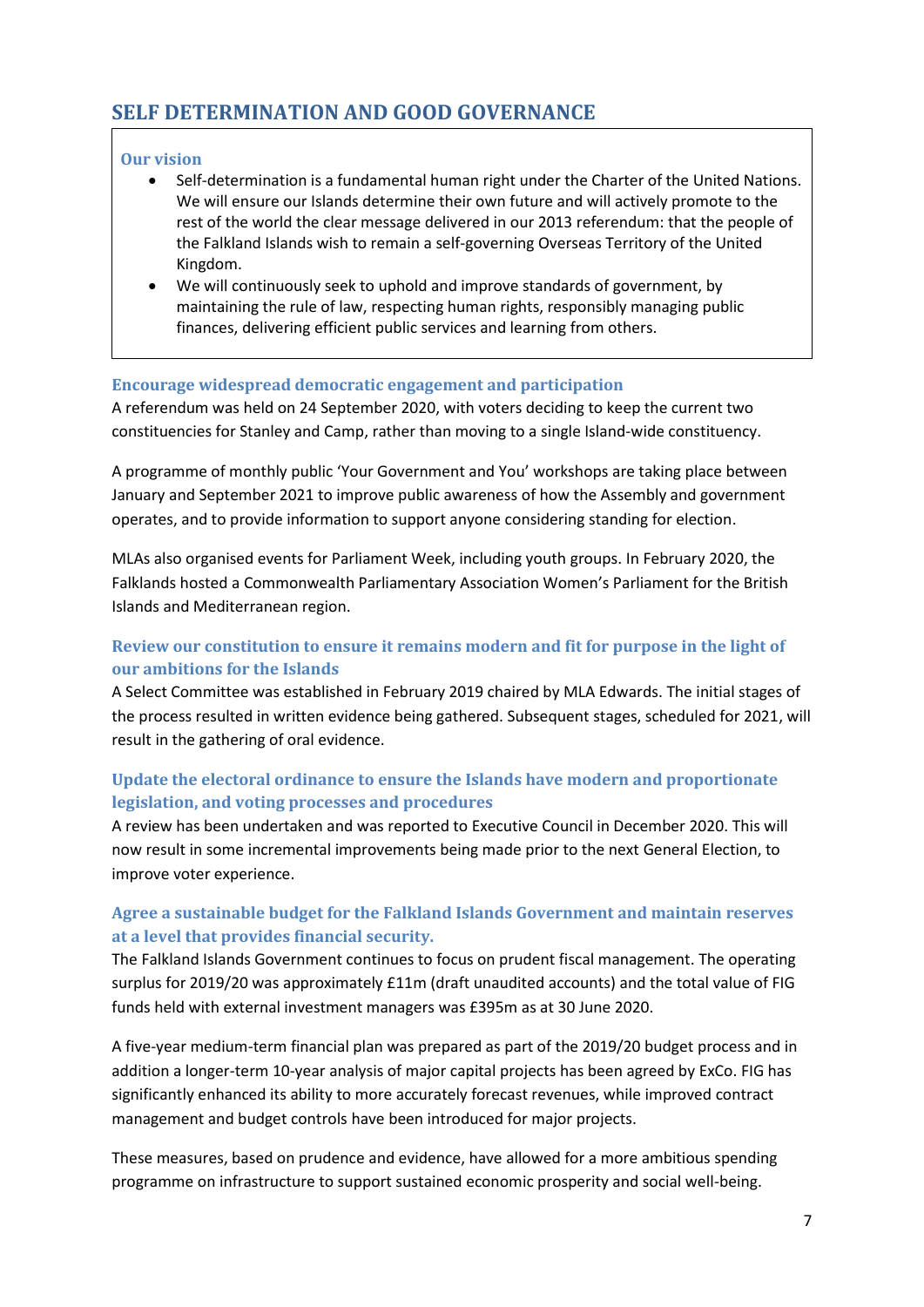# <span id="page-6-0"></span>**SELF DETERMINATION AND GOOD GOVERNANCE**

### **Our vision**

- Self-determination is a fundamental human right under the Charter of the United Nations. We will ensure our Islands determine their own future and will actively promote to the rest of the world the clear message delivered in our 2013 referendum: that the people of the Falkland Islands wish to remain a self-governing Overseas Territory of the United Kingdom.
- We will continuously seek to uphold and improve standards of government, by maintaining the rule of law, respecting human rights, responsibly managing public finances, delivering efficient public services and learning from others.

### **Encourage widespread democratic engagement and participation**

A referendum was held on 24 September 2020, with voters deciding to keep the current two constituencies for Stanley and Camp, rather than moving to a single Island-wide constituency.

A programme of monthly public 'Your Government and You' workshops are taking place between January and September 2021 to improve public awareness of how the Assembly and government operates, and to provide information to support anyone considering standing for election.

MLAs also organised events for Parliament Week, including youth groups. In February 2020, the Falklands hosted a Commonwealth Parliamentary Association Women's Parliament for the British Islands and Mediterranean region.

# **Review our constitution to ensure it remains modern and fit for purpose in the light of our ambitions for the Islands**

A Select Committee was established in February 2019 chaired by MLA Edwards. The initial stages of the process resulted in written evidence being gathered. Subsequent stages, scheduled for 2021, will result in the gathering of oral evidence.

# **Update the electoral ordinance to ensure the Islands have modern and proportionate legislation, and voting processes and procedures**

A review has been undertaken and was reported to Executive Council in December 2020. This will now result in some incremental improvements being made prior to the next General Election, to improve voter experience.

# **Agree a sustainable budget for the Falkland Islands Government and maintain reserves at a level that provides financial security.**

The Falkland Islands Government continues to focus on prudent fiscal management. The operating surplus for 2019/20 was approximately £11m (draft unaudited accounts) and the total value of FIG funds held with external investment managers was £395m as at 30 June 2020.

A five-year medium-term financial plan was prepared as part of the 2019/20 budget process and in addition a longer-term 10-year analysis of major capital projects has been agreed by ExCo. FIG has significantly enhanced its ability to more accurately forecast revenues, while improved contract management and budget controls have been introduced for major projects.

These measures, based on prudence and evidence, have allowed for a more ambitious spending programme on infrastructure to support sustained economic prosperity and social well-being.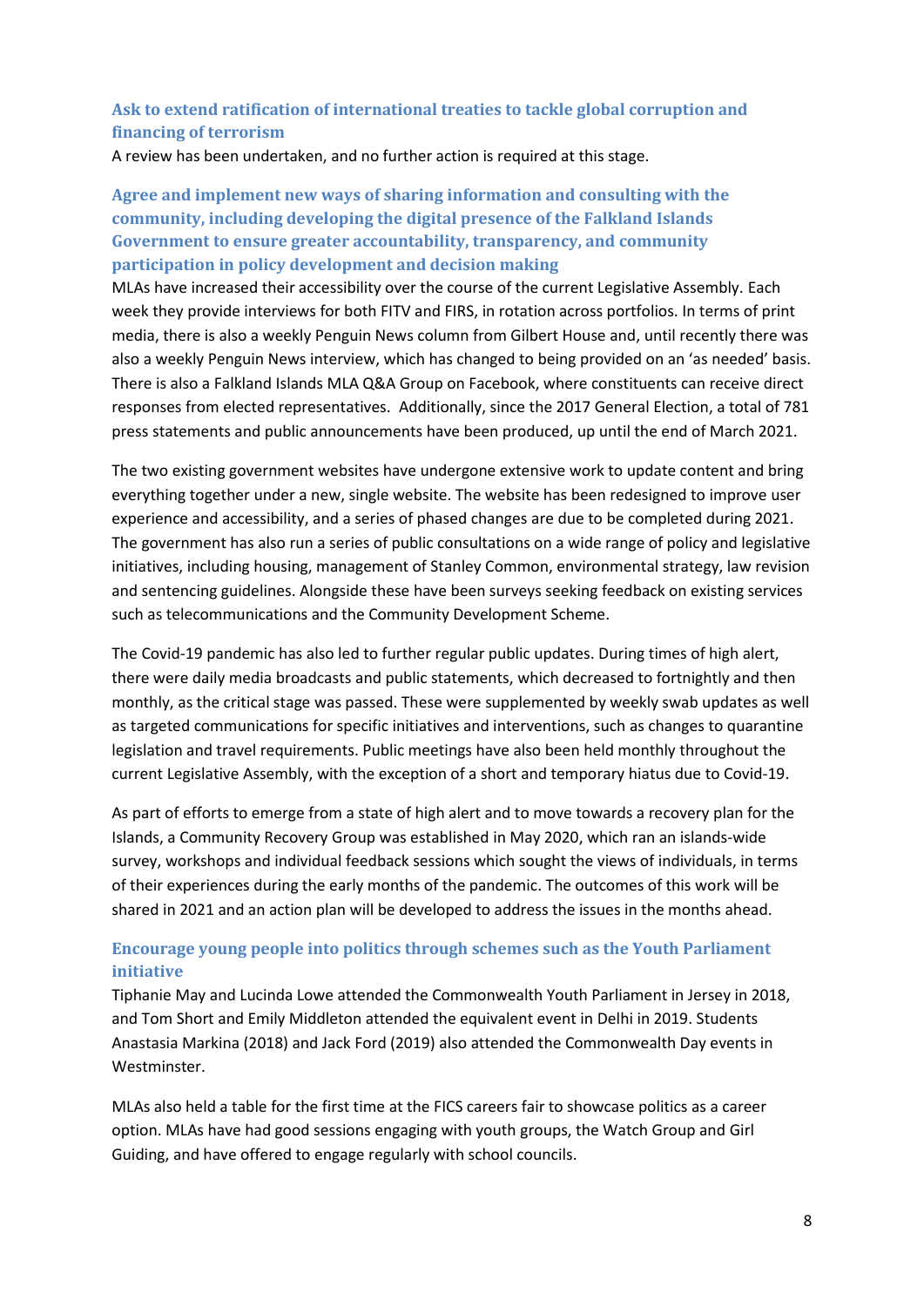### **Ask to extend ratification of international treaties to tackle global corruption and financing of terrorism**

A review has been undertaken, and no further action is required at this stage.

# **Agree and implement new ways of sharing information and consulting with the community, including developing the digital presence of the Falkland Islands Government to ensure greater accountability, transparency, and community participation in policy development and decision making**

MLAs have increased their accessibility over the course of the current Legislative Assembly. Each week they provide interviews for both FITV and FIRS, in rotation across portfolios. In terms of print media, there is also a weekly Penguin News column from Gilbert House and, until recently there was also a weekly Penguin News interview, which has changed to being provided on an 'as needed' basis. There is also a Falkland Islands MLA Q&A Group on Facebook, where constituents can receive direct responses from elected representatives. Additionally, since the 2017 General Election, a total of 781 press statements and public announcements have been produced, up until the end of March 2021.

The two existing government websites have undergone extensive work to update content and bring everything together under a new, single website. The website has been redesigned to improve user experience and accessibility, and a series of phased changes are due to be completed during 2021. The government has also run a series of public consultations on a wide range of policy and legislative initiatives, including housing, management of Stanley Common, environmental strategy, law revision and sentencing guidelines. Alongside these have been surveys seeking feedback on existing services such as telecommunications and the Community Development Scheme.

The Covid-19 pandemic has also led to further regular public updates. During times of high alert, there were daily media broadcasts and public statements, which decreased to fortnightly and then monthly, as the critical stage was passed. These were supplemented by weekly swab updates as well as targeted communications for specific initiatives and interventions, such as changes to quarantine legislation and travel requirements. Public meetings have also been held monthly throughout the current Legislative Assembly, with the exception of a short and temporary hiatus due to Covid-19.

As part of efforts to emerge from a state of high alert and to move towards a recovery plan for the Islands, a Community Recovery Group was established in May 2020, which ran an islands-wide survey, workshops and individual feedback sessions which sought the views of individuals, in terms of their experiences during the early months of the pandemic. The outcomes of this work will be shared in 2021 and an action plan will be developed to address the issues in the months ahead.

# **Encourage young people into politics through schemes such as the Youth Parliament initiative**

Tiphanie May and Lucinda Lowe attended the Commonwealth Youth Parliament in Jersey in 2018, and Tom Short and Emily Middleton attended the equivalent event in Delhi in 2019. Students Anastasia Markina (2018) and Jack Ford (2019) also attended the Commonwealth Day events in Westminster.

MLAs also held a table for the first time at the FICS careers fair to showcase politics as a career option. MLAs have had good sessions engaging with youth groups, the Watch Group and Girl Guiding, and have offered to engage regularly with school councils.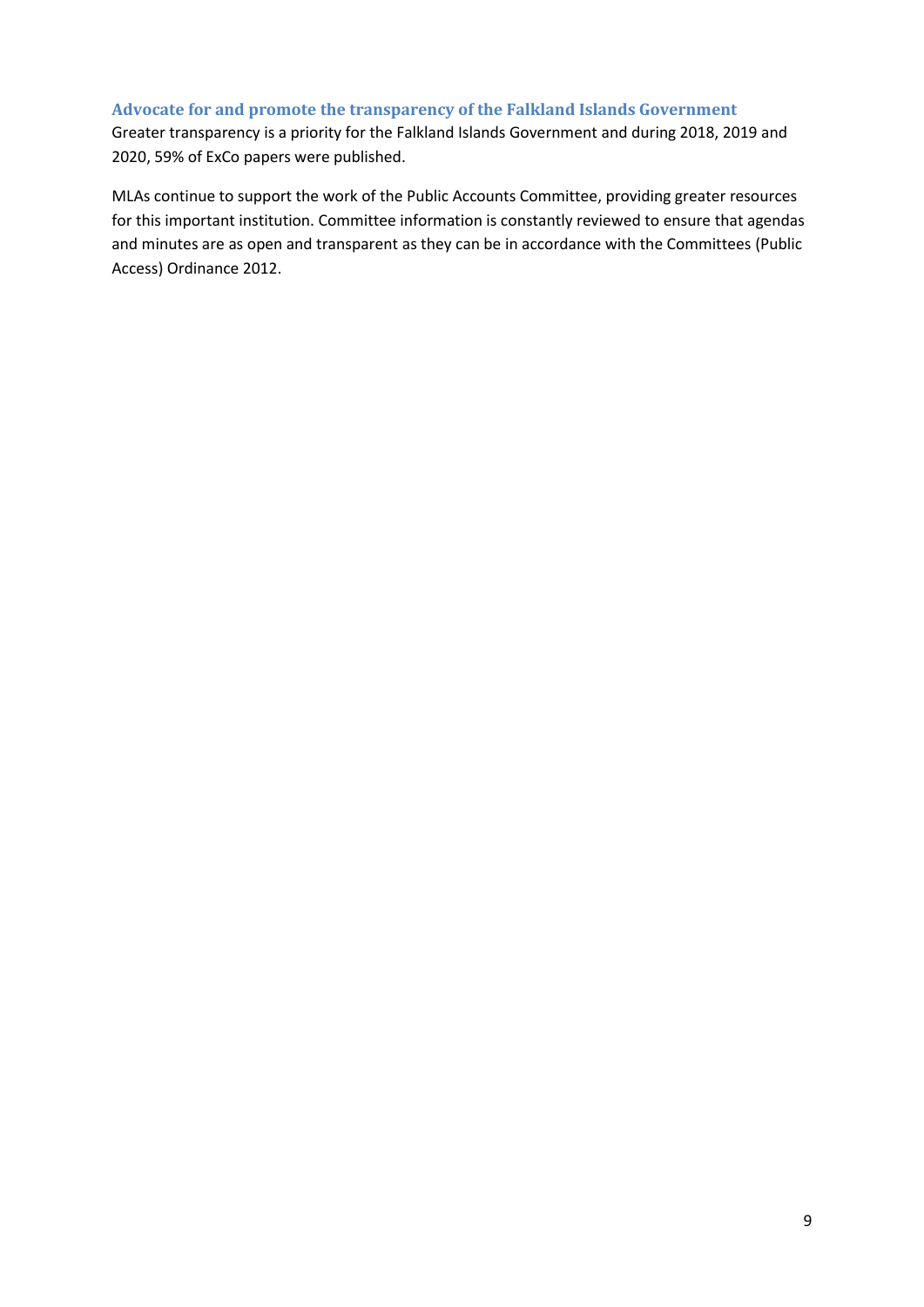#### **Advocate for and promote the transparency of the Falkland Islands Government**

Greater transparency is a priority for the Falkland Islands Government and during 2018, 2019 and 2020, 59% of ExCo papers were published.

MLAs continue to support the work of the Public Accounts Committee, providing greater resources for this important institution. Committee information is constantly reviewed to ensure that agendas and minutes are as open and transparent as they can be in accordance with the Committees (Public Access) Ordinance 2012.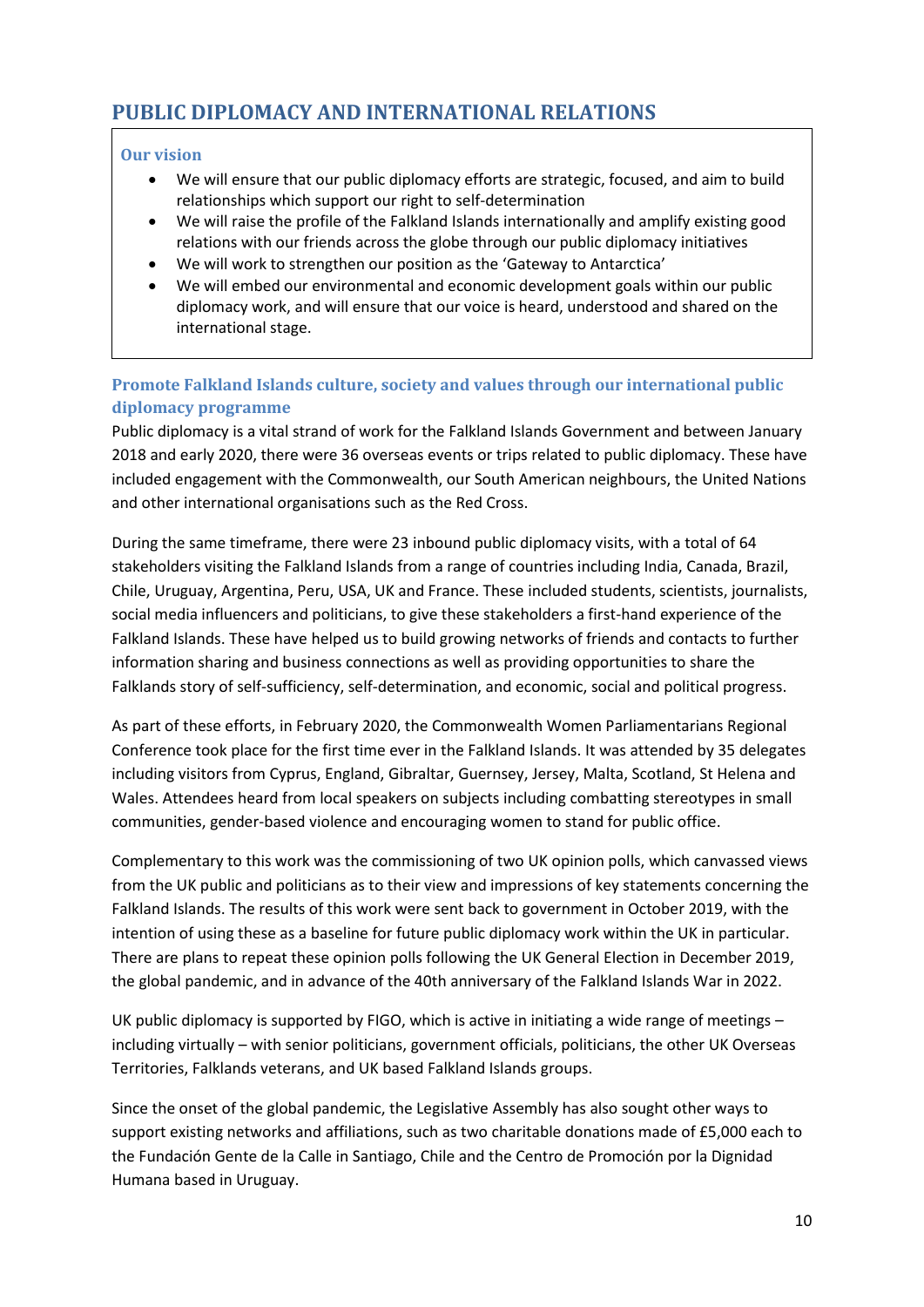# <span id="page-9-0"></span>**PUBLIC DIPLOMACY AND INTERNATIONAL RELATIONS**

### **Our vision**

- We will ensure that our public diplomacy efforts are strategic, focused, and aim to build relationships which support our right to self-determination
- We will raise the profile of the Falkland Islands internationally and amplify existing good relations with our friends across the globe through our public diplomacy initiatives
- We will work to strengthen our position as the 'Gateway to Antarctica'
- We will embed our environmental and economic development goals within our public diplomacy work, and will ensure that our voice is heard, understood and shared on the international stage.

# **Promote Falkland Islands culture, society and values through our international public diplomacy programme**

Public diplomacy is a vital strand of work for the Falkland Islands Government and between January 2018 and early 2020, there were 36 overseas events or trips related to public diplomacy. These have included engagement with the Commonwealth, our South American neighbours, the United Nations and other international organisations such as the Red Cross.

During the same timeframe, there were 23 inbound public diplomacy visits, with a total of 64 stakeholders visiting the Falkland Islands from a range of countries including India, Canada, Brazil, Chile, Uruguay, Argentina, Peru, USA, UK and France. These included students, scientists, journalists, social media influencers and politicians, to give these stakeholders a first-hand experience of the Falkland Islands. These have helped us to build growing networks of friends and contacts to further information sharing and business connections as well as providing opportunities to share the Falklands story of self-sufficiency, self-determination, and economic, social and political progress.

As part of these efforts, in February 2020, the Commonwealth Women Parliamentarians Regional Conference took place for the first time ever in the Falkland Islands. It was attended by 35 delegates including visitors from Cyprus, England, Gibraltar, Guernsey, Jersey, Malta, Scotland, St Helena and Wales. Attendees heard from local speakers on subjects including combatting stereotypes in small communities, gender-based violence and encouraging women to stand for public office.

Complementary to this work was the commissioning of two UK opinion polls, which canvassed views from the UK public and politicians as to their view and impressions of key statements concerning the Falkland Islands. The results of this work were sent back to government in October 2019, with the intention of using these as a baseline for future public diplomacy work within the UK in particular. There are plans to repeat these opinion polls following the UK General Election in December 2019, the global pandemic, and in advance of the 40th anniversary of the Falkland Islands War in 2022.

UK public diplomacy is supported by FIGO, which is active in initiating a wide range of meetings – including virtually – with senior politicians, government officials, politicians, the other UK Overseas Territories, Falklands veterans, and UK based Falkland Islands groups.

Since the onset of the global pandemic, the Legislative Assembly has also sought other ways to support existing networks and affiliations, such as two charitable donations made of £5,000 each to the Fundación Gente de la Calle in Santiago, Chile and the Centro de Promoción por la Dignidad Humana based in Uruguay.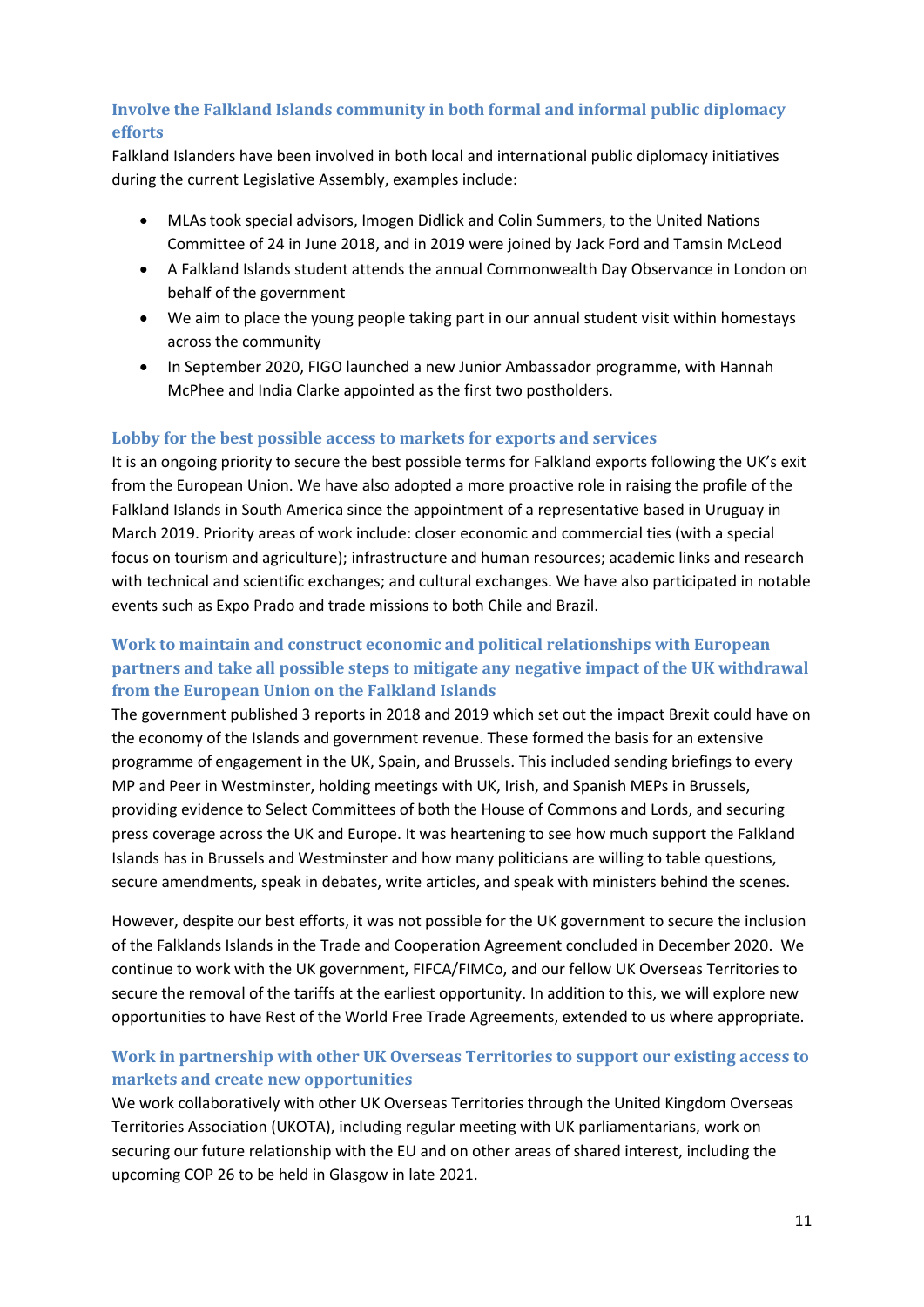# **Involve the Falkland Islands community in both formal and informal public diplomacy efforts**

Falkland Islanders have been involved in both local and international public diplomacy initiatives during the current Legislative Assembly, examples include:

- MLAs took special advisors, Imogen Didlick and Colin Summers, to the United Nations Committee of 24 in June 2018, and in 2019 were joined by Jack Ford and Tamsin McLeod
- A Falkland Islands student attends the annual Commonwealth Day Observance in London on behalf of the government
- We aim to place the young people taking part in our annual student visit within homestays across the community
- In September 2020, FIGO launched a new Junior Ambassador programme, with Hannah McPhee and India Clarke appointed as the first two postholders.

### **Lobby for the best possible access to markets for exports and services**

It is an ongoing priority to secure the best possible terms for Falkland exports following the UK's exit from the European Union. We have also adopted a more proactive role in raising the profile of the Falkland Islands in South America since the appointment of a representative based in Uruguay in March 2019. Priority areas of work include: closer economic and commercial ties (with a special focus on tourism and agriculture); infrastructure and human resources; academic links and research with technical and scientific exchanges; and cultural exchanges. We have also participated in notable events such as Expo Prado and trade missions to both Chile and Brazil.

# **Work to maintain and construct economic and political relationships with European partners and take all possible steps to mitigate any negative impact of the UK withdrawal from the European Union on the Falkland Islands**

The government published 3 reports in 2018 and 2019 which set out the impact Brexit could have on the economy of the Islands and government revenue. These formed the basis for an extensive programme of engagement in the UK, Spain, and Brussels. This included sending briefings to every MP and Peer in Westminster, holding meetings with UK, Irish, and Spanish MEPs in Brussels, providing evidence to Select Committees of both the House of Commons and Lords, and securing press coverage across the UK and Europe. It was heartening to see how much support the Falkland Islands has in Brussels and Westminster and how many politicians are willing to table questions, secure amendments, speak in debates, write articles, and speak with ministers behind the scenes.

However, despite our best efforts, it was not possible for the UK government to secure the inclusion of the Falklands Islands in the Trade and Cooperation Agreement concluded in December 2020. We continue to work with the UK government, FIFCA/FIMCo, and our fellow UK Overseas Territories to secure the removal of the tariffs at the earliest opportunity. In addition to this, we will explore new opportunities to have Rest of the World Free Trade Agreements, extended to us where appropriate.

# **Work in partnership with other UK Overseas Territories to support our existing access to markets and create new opportunities**

We work collaboratively with other UK Overseas Territories through the United Kingdom Overseas Territories Association (UKOTA), including regular meeting with UK parliamentarians, work on securing our future relationship with the EU and on other areas of shared interest, including the upcoming COP 26 to be held in Glasgow in late 2021.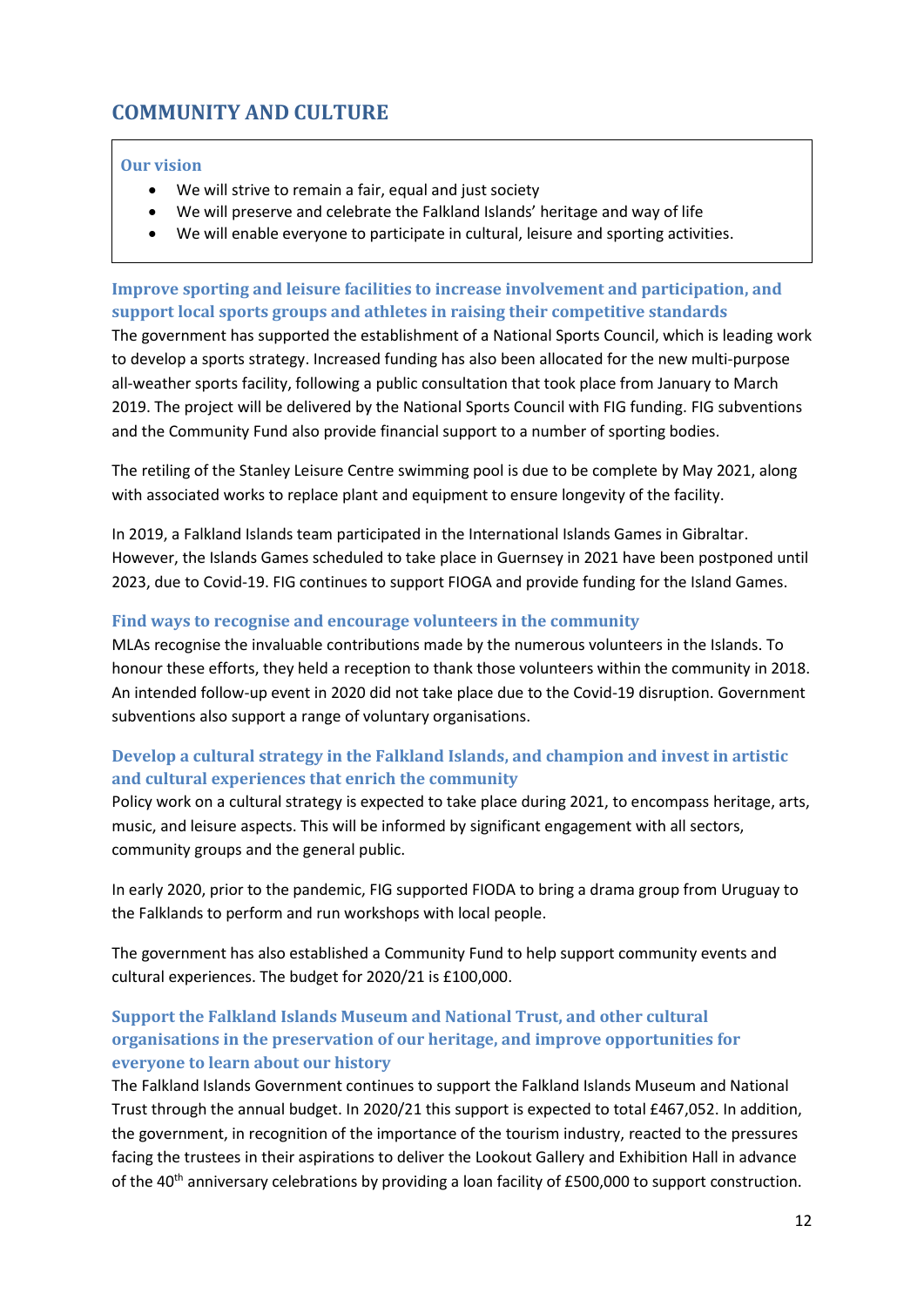# <span id="page-11-0"></span>**COMMUNITY AND CULTURE**

### **Our vision**

- We will strive to remain a fair, equal and just society
- We will preserve and celebrate the Falkland Islands' heritage and way of life
- We will enable everyone to participate in cultural, leisure and sporting activities.

# **Improve sporting and leisure facilities to increase involvement and participation, and support local sports groups and athletes in raising their competitive standards**

The government has supported the establishment of a National Sports Council, which is leading work to develop a sports strategy. Increased funding has also been allocated for the new multi-purpose all-weather sports facility, following a public consultation that took place from January to March 2019. The project will be delivered by the National Sports Council with FIG funding. FIG subventions and the Community Fund also provide financial support to a number of sporting bodies.

The retiling of the Stanley Leisure Centre swimming pool is due to be complete by May 2021, along with associated works to replace plant and equipment to ensure longevity of the facility.

In 2019, a Falkland Islands team participated in the International Islands Games in Gibraltar. However, the Islands Games scheduled to take place in Guernsey in 2021 have been postponed until 2023, due to Covid-19. FIG continues to support FIOGA and provide funding for the Island Games.

### **Find ways to recognise and encourage volunteers in the community**

MLAs recognise the invaluable contributions made by the numerous volunteers in the Islands. To honour these efforts, they held a reception to thank those volunteers within the community in 2018. An intended follow-up event in 2020 did not take place due to the Covid-19 disruption. Government subventions also support a range of voluntary organisations.

# **Develop a cultural strategy in the Falkland Islands, and champion and invest in artistic and cultural experiences that enrich the community**

Policy work on a cultural strategy is expected to take place during 2021, to encompass heritage, arts, music, and leisure aspects. This will be informed by significant engagement with all sectors, community groups and the general public.

In early 2020, prior to the pandemic, FIG supported FIODA to bring a drama group from Uruguay to the Falklands to perform and run workshops with local people.

The government has also established a Community Fund to help support community events and cultural experiences. The budget for 2020/21 is £100,000.

# **Support the Falkland Islands Museum and National Trust, and other cultural organisations in the preservation of our heritage, and improve opportunities for everyone to learn about our history**

The Falkland Islands Government continues to support the Falkland Islands Museum and National Trust through the annual budget. In 2020/21 this support is expected to total £467,052. In addition, the government, in recognition of the importance of the tourism industry, reacted to the pressures facing the trustees in their aspirations to deliver the Lookout Gallery and Exhibition Hall in advance of the 40<sup>th</sup> anniversary celebrations by providing a loan facility of £500,000 to support construction.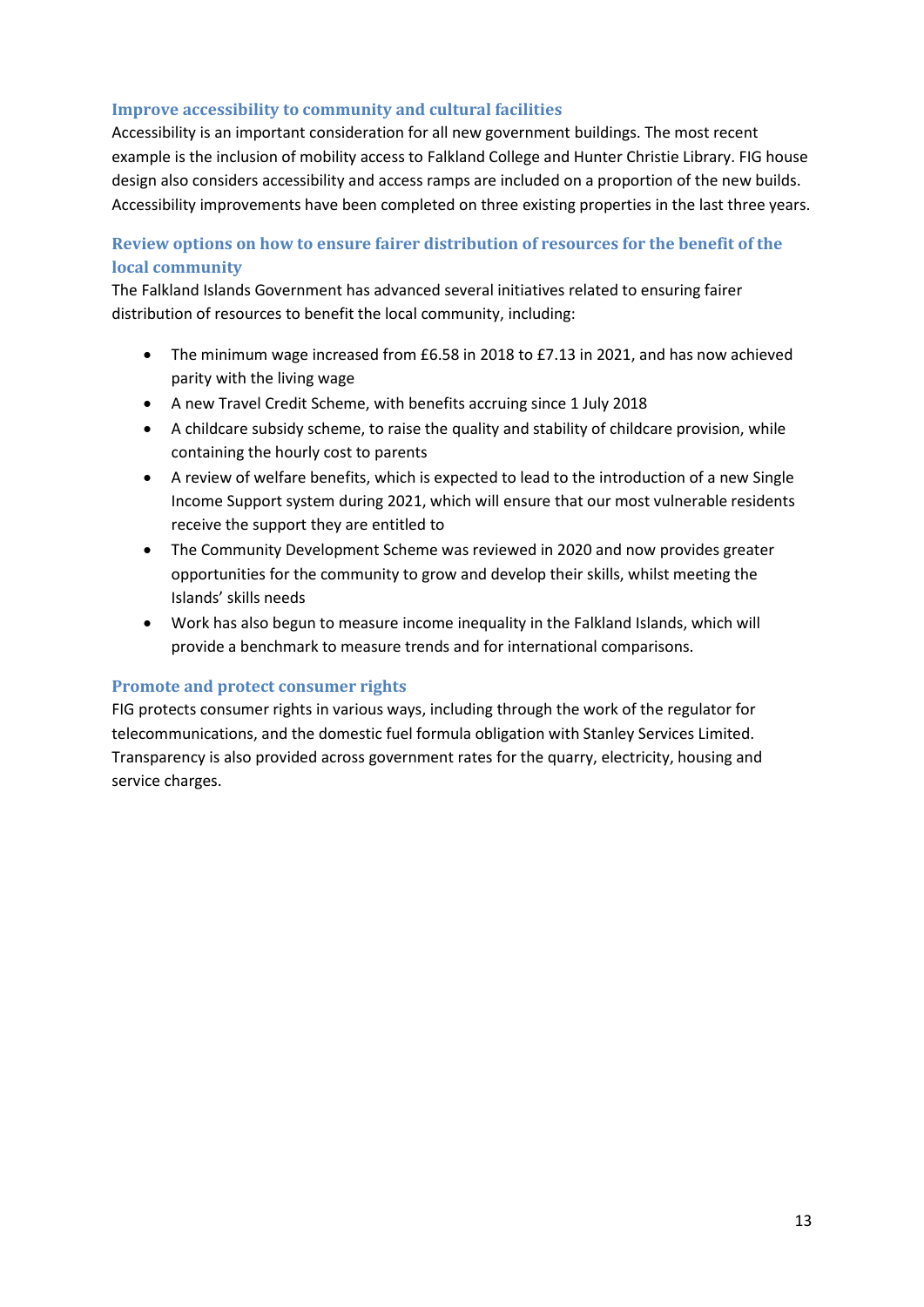### **Improve accessibility to community and cultural facilities**

Accessibility is an important consideration for all new government buildings. The most recent example is the inclusion of mobility access to Falkland College and Hunter Christie Library. FIG house design also considers accessibility and access ramps are included on a proportion of the new builds. Accessibility improvements have been completed on three existing properties in the last three years.

# **Review options on how to ensure fairer distribution of resources for the benefit of the local community**

The Falkland Islands Government has advanced several initiatives related to ensuring fairer distribution of resources to benefit the local community, including:

- The minimum wage increased from £6.58 in 2018 to £7.13 in 2021, and has now achieved parity with the living wage
- A new Travel Credit Scheme, with benefits accruing since 1 July 2018
- A childcare subsidy scheme, to raise the quality and stability of childcare provision, while containing the hourly cost to parents
- A review of welfare benefits, which is expected to lead to the introduction of a new Single Income Support system during 2021, which will ensure that our most vulnerable residents receive the support they are entitled to
- The Community Development Scheme was reviewed in 2020 and now provides greater opportunities for the community to grow and develop their skills, whilst meeting the Islands' skills needs
- Work has also begun to measure income inequality in the Falkland Islands, which will provide a benchmark to measure trends and for international comparisons.

### **Promote and protect consumer rights**

FIG protects consumer rights in various ways, including through the work of the regulator for telecommunications, and the domestic fuel formula obligation with Stanley Services Limited. Transparency is also provided across government rates for the quarry, electricity, housing and service charges.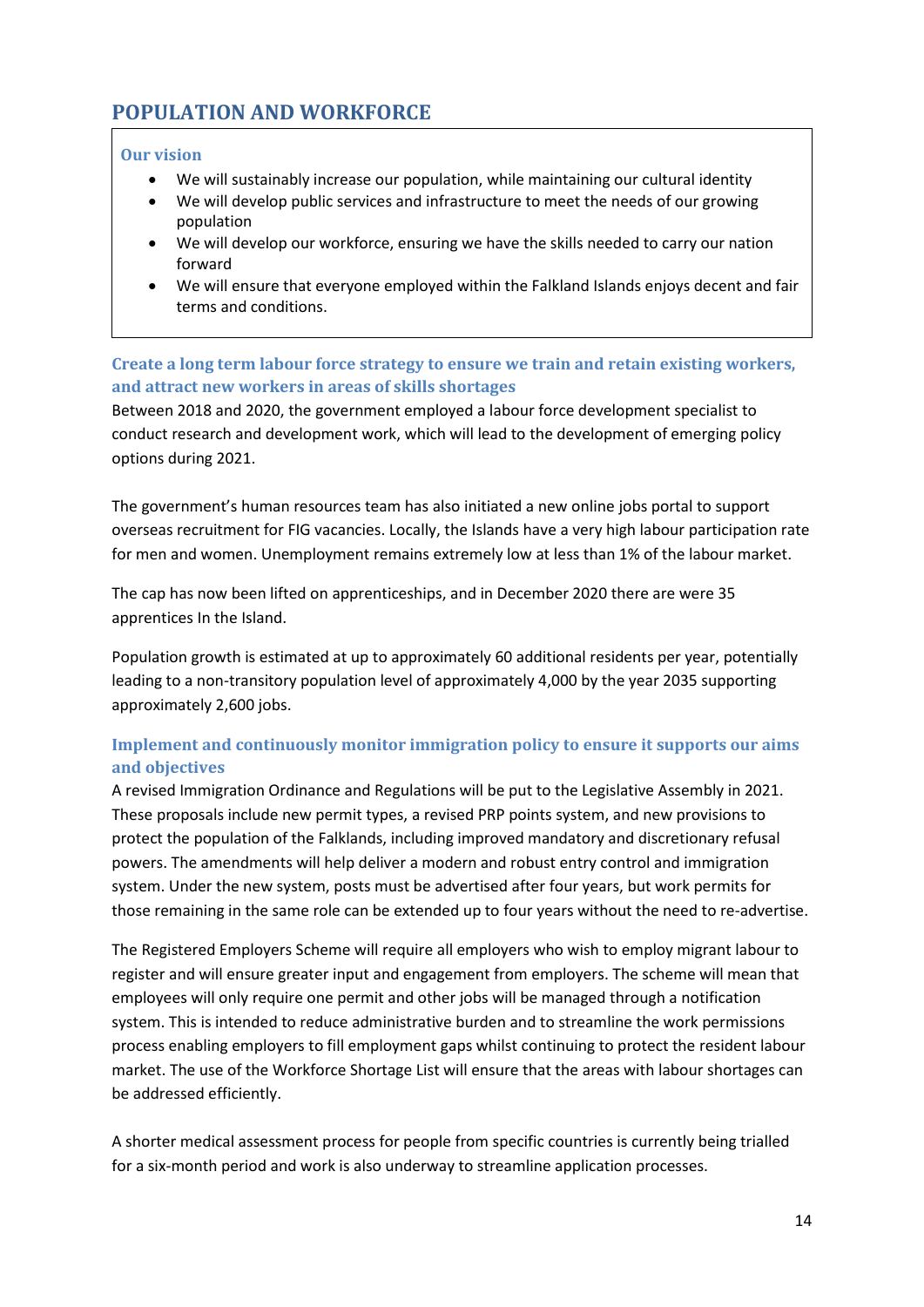# <span id="page-13-0"></span>**POPULATION AND WORKFORCE**

### **Our vision**

- We will sustainably increase our population, while maintaining our cultural identity
- We will develop public services and infrastructure to meet the needs of our growing population
- We will develop our workforce, ensuring we have the skills needed to carry our nation forward
- We will ensure that everyone employed within the Falkland Islands enjoys decent and fair terms and conditions.

### **Create a long term labour force strategy to ensure we train and retain existing workers,**  and attract new workers in areas of skills shortages

Between 2018 and 2020, the government employed a labour force development specialist to conduct research and development work, which will lead to the development of emerging policy options during 2021.

The government's human resources team has also initiated a new online jobs portal to support overseas recruitment for FIG vacancies. Locally, the Islands have a very high labour participation rate for men and women. Unemployment remains extremely low at less than 1% of the labour market.

The cap has now been lifted on apprenticeships, and in December 2020 there are were 35 apprentices In the Island.

Population growth is estimated at up to approximately 60 additional residents per year, potentially leading to a non-transitory population level of approximately 4,000 by the year 2035 supporting approximately 2,600 jobs.

# **Implement and continuously monitor immigration policy to ensure it supports our aims and objectives**

A revised Immigration Ordinance and Regulations will be put to the Legislative Assembly in 2021. These proposals include new permit types, a revised PRP points system, and new provisions to protect the population of the Falklands, including improved mandatory and discretionary refusal powers. The amendments will help deliver a modern and robust entry control and immigration system. Under the new system, posts must be advertised after four years, but work permits for those remaining in the same role can be extended up to four years without the need to re-advertise.

The Registered Employers Scheme will require all employers who wish to employ migrant labour to register and will ensure greater input and engagement from employers. The scheme will mean that employees will only require one permit and other jobs will be managed through a notification system. This is intended to reduce administrative burden and to streamline the work permissions process enabling employers to fill employment gaps whilst continuing to protect the resident labour market. The use of the Workforce Shortage List will ensure that the areas with labour shortages can be addressed efficiently.

A shorter medical assessment process for people from specific countries is currently being trialled for a six-month period and work is also underway to streamline application processes.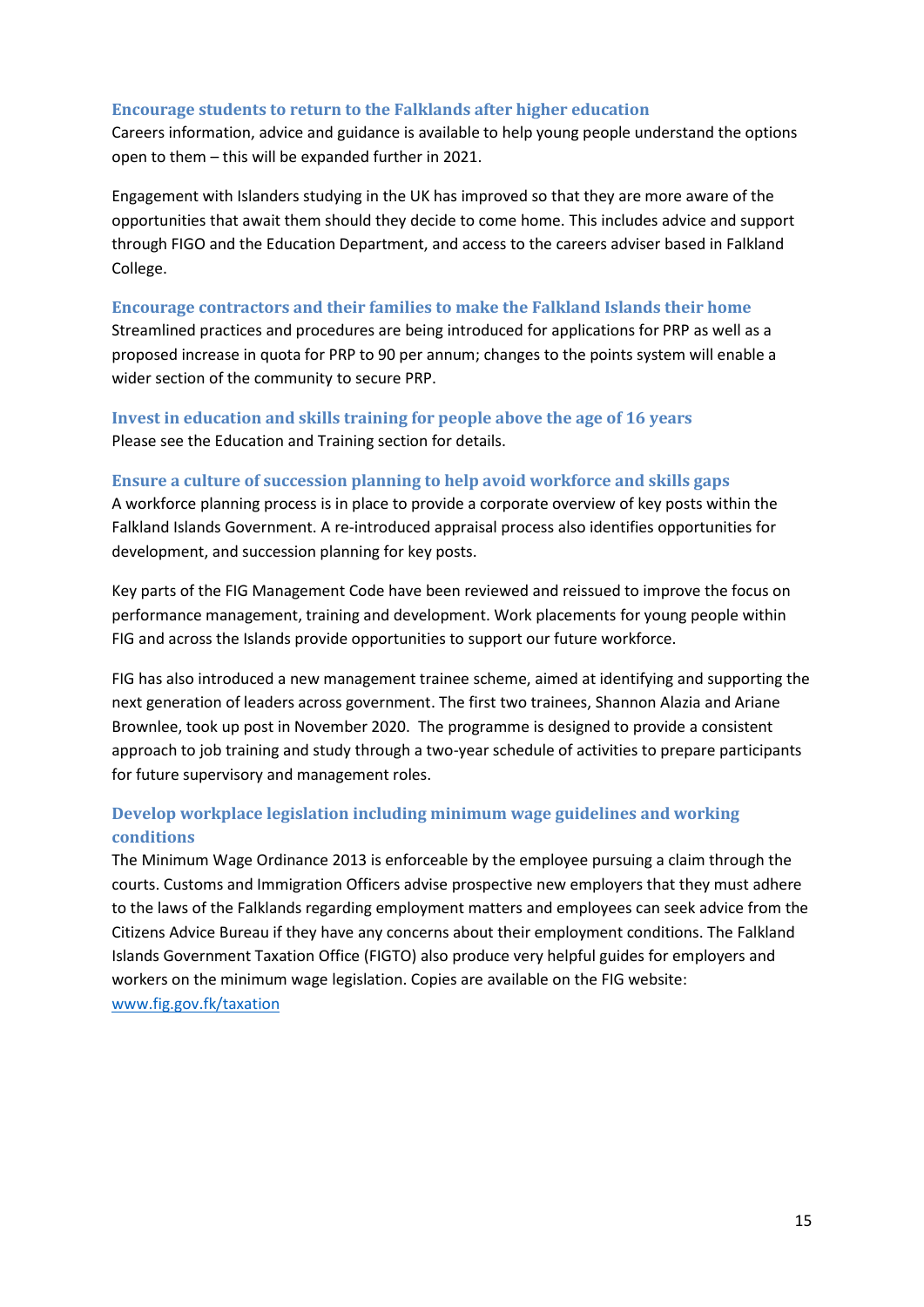#### **Encourage students to return to the Falklands after higher education**

Careers information, advice and guidance is available to help young people understand the options open to them – this will be expanded further in 2021.

Engagement with Islanders studying in the UK has improved so that they are more aware of the opportunities that await them should they decide to come home. This includes advice and support through FIGO and the Education Department, and access to the careers adviser based in Falkland College.

#### **Encourage contractors and their families to make the Falkland Islands their home**

Streamlined practices and procedures are being introduced for applications for PRP as well as a proposed increase in quota for PRP to 90 per annum; changes to the points system will enable a wider section of the community to secure PRP.

### **Invest in education and skills training for people above the age of 16 years**  Please see the Education and Training section for details.

### **Ensure a culture of succession planning to help avoid workforce and skills gaps**

A workforce planning process is in place to provide a corporate overview of key posts within the Falkland Islands Government. A re-introduced appraisal process also identifies opportunities for development, and succession planning for key posts.

Key parts of the FIG Management Code have been reviewed and reissued to improve the focus on performance management, training and development. Work placements for young people within FIG and across the Islands provide opportunities to support our future workforce.

FIG has also introduced a new management trainee scheme, aimed at identifying and supporting the next generation of leaders across government. The first two trainees, Shannon Alazia and Ariane Brownlee, took up post in November 2020. The programme is designed to provide a consistent approach to job training and study through a two-year schedule of activities to prepare participants for future supervisory and management roles.

# **Develop workplace legislation including minimum wage guidelines and working conditions**

The Minimum Wage Ordinance 2013 is enforceable by the employee pursuing a claim through the courts. Customs and Immigration Officers advise prospective new employers that they must adhere to the laws of the Falklands regarding employment matters and employees can seek advice from the Citizens Advice Bureau if they have any concerns about their employment conditions. The Falkland Islands Government Taxation Office (FIGTO) also produce very helpful guides for employers and workers on the minimum wage legislation. Copies are available on the FIG website: [www.fig.gov.fk/taxation](http://www.fig.gov.fk/taxation)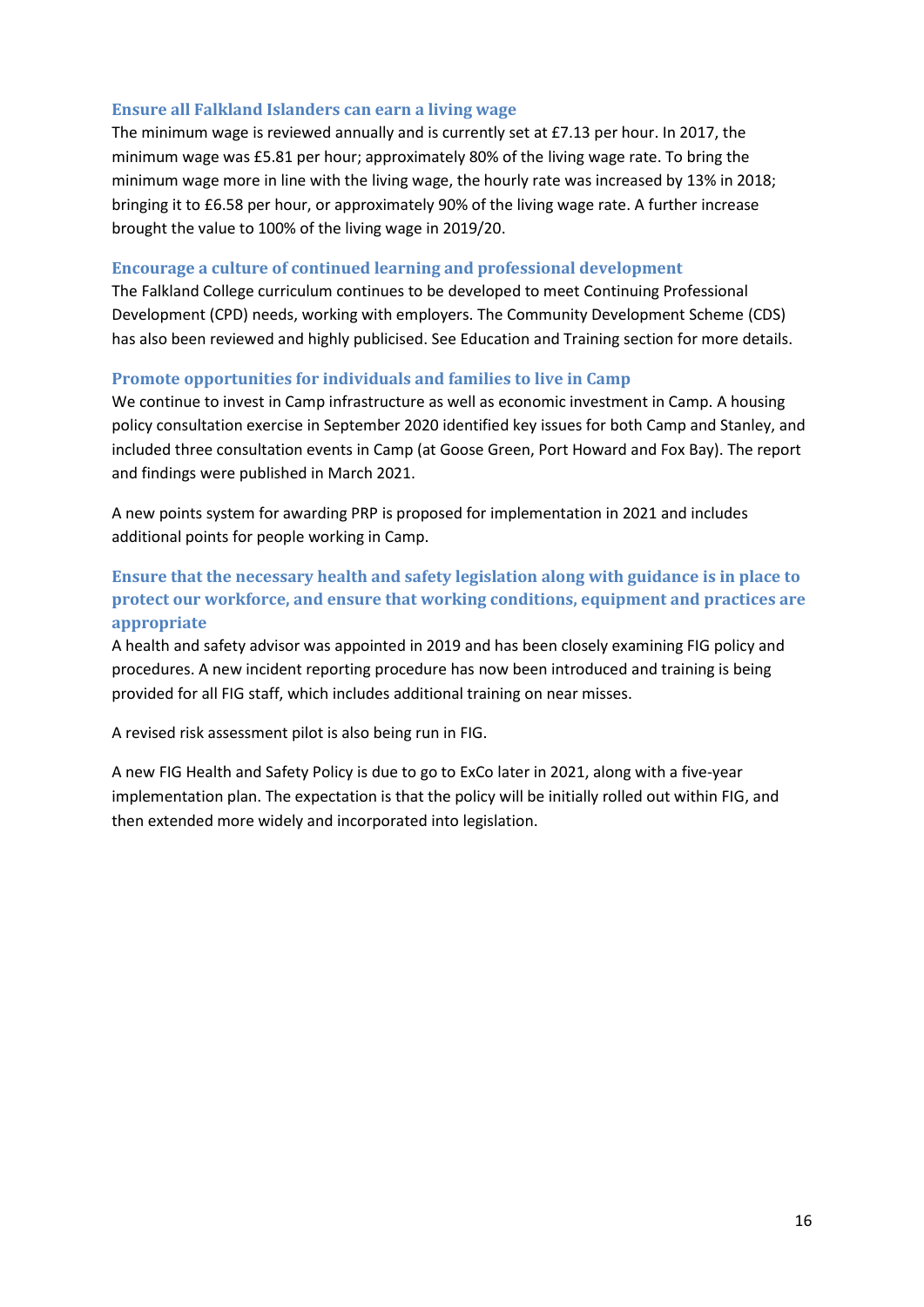### **Ensure all Falkland Islanders can earn a living wage**

The minimum wage is reviewed annually and is currently set at £7.13 per hour. In 2017, the minimum wage was £5.81 per hour; approximately 80% of the living wage rate. To bring the minimum wage more in line with the living wage, the hourly rate was increased by 13% in 2018; bringing it to £6.58 per hour, or approximately 90% of the living wage rate. A further increase brought the value to 100% of the living wage in 2019/20.

### **Encourage a culture of continued learning and professional development**

The Falkland College curriculum continues to be developed to meet Continuing Professional Development (CPD) needs, working with employers. The Community Development Scheme (CDS) has also been reviewed and highly publicised. See Education and Training section for more details.

### **Promote opportunities for individuals and families to live in Camp**

We continue to invest in Camp infrastructure as well as economic investment in Camp. A housing policy consultation exercise in September 2020 identified key issues for both Camp and Stanley, and included three consultation events in Camp (at Goose Green, Port Howard and Fox Bay). The report and findings were published in March 2021.

A new points system for awarding PRP is proposed for implementation in 2021 and includes additional points for people working in Camp.

# **Ensure that the necessary health and safety legislation along with guidance is in place to protect our workforce, and ensure that working conditions, equipment and practices are appropriate**

A health and safety advisor was appointed in 2019 and has been closely examining FIG policy and procedures. A new incident reporting procedure has now been introduced and training is being provided for all FIG staff, which includes additional training on near misses.

A revised risk assessment pilot is also being run in FIG.

A new FIG Health and Safety Policy is due to go to ExCo later in 2021, along with a five-year implementation plan. The expectation is that the policy will be initially rolled out within FIG, and then extended more widely and incorporated into legislation.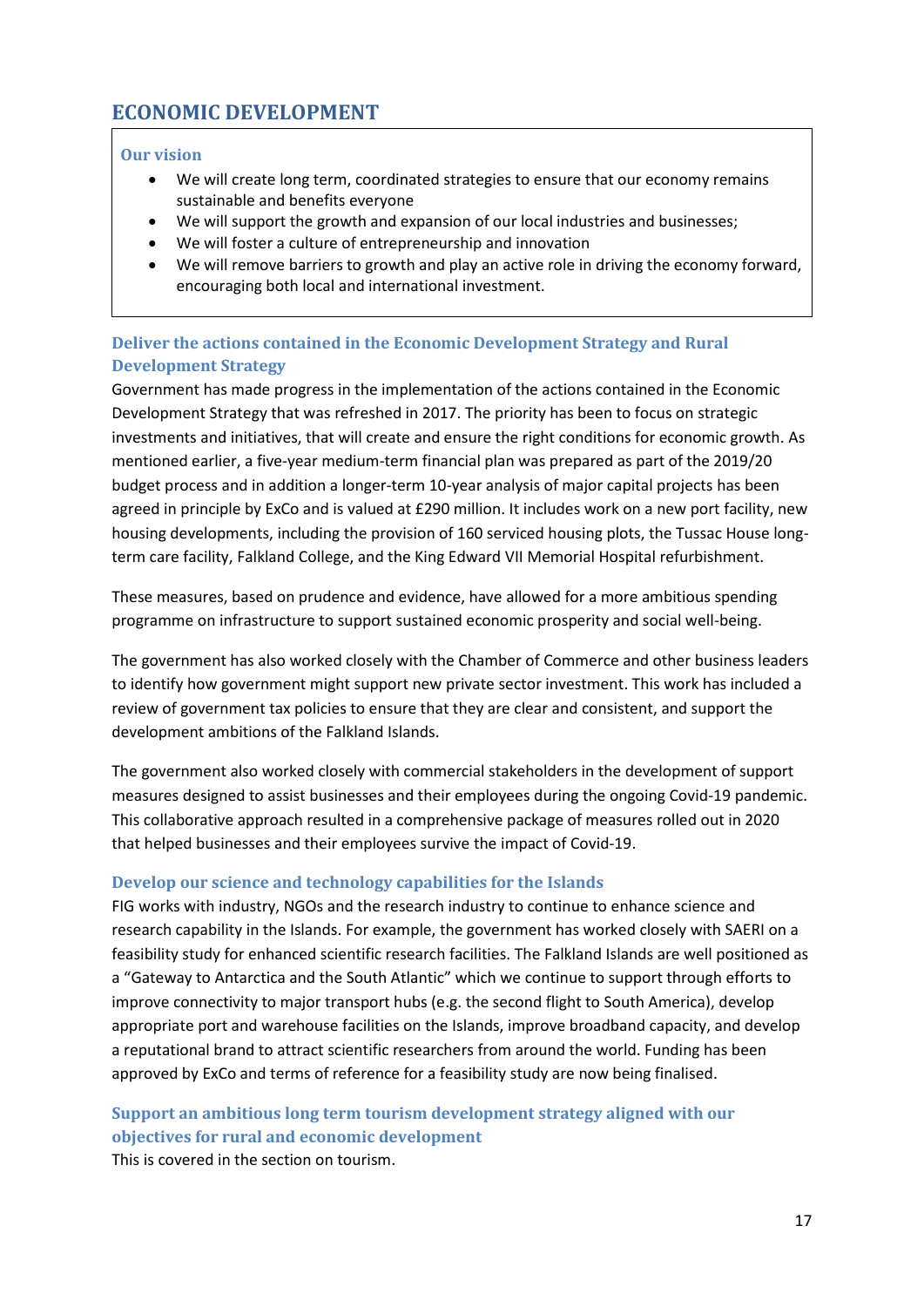# <span id="page-16-0"></span>**ECONOMIC DEVELOPMENT**

### **Our vision**

- We will create long term, coordinated strategies to ensure that our economy remains sustainable and benefits everyone
- We will support the growth and expansion of our local industries and businesses;
- We will foster a culture of entrepreneurship and innovation
- We will remove barriers to growth and play an active role in driving the economy forward, encouraging both local and international investment.

# **Deliver the actions contained in the Economic Development Strategy and Rural Development Strategy**

Government has made progress in the implementation of the actions contained in the Economic Development Strategy that was refreshed in 2017. The priority has been to focus on strategic investments and initiatives, that will create and ensure the right conditions for economic growth. As mentioned earlier, a five-year medium-term financial plan was prepared as part of the 2019/20 budget process and in addition a longer-term 10-year analysis of major capital projects has been agreed in principle by ExCo and is valued at £290 million. It includes work on a new port facility, new housing developments, including the provision of 160 serviced housing plots, the Tussac House longterm care facility, Falkland College, and the King Edward VII Memorial Hospital refurbishment.

These measures, based on prudence and evidence, have allowed for a more ambitious spending programme on infrastructure to support sustained economic prosperity and social well-being.

The government has also worked closely with the Chamber of Commerce and other business leaders to identify how government might support new private sector investment. This work has included a review of government tax policies to ensure that they are clear and consistent, and support the development ambitions of the Falkland Islands.

The government also worked closely with commercial stakeholders in the development of support measures designed to assist businesses and their employees during the ongoing Covid-19 pandemic. This collaborative approach resulted in a comprehensive package of measures rolled out in 2020 that helped businesses and their employees survive the impact of Covid-19.

# **Develop our science and technology capabilities for the Islands**

FIG works with industry, NGOs and the research industry to continue to enhance science and research capability in the Islands. For example, the government has worked closely with SAERI on a feasibility study for enhanced scientific research facilities. The Falkland Islands are well positioned as a "Gateway to Antarctica and the South Atlantic" which we continue to support through efforts to improve connectivity to major transport hubs (e.g. the second flight to South America), develop appropriate port and warehouse facilities on the Islands, improve broadband capacity, and develop a reputational brand to attract scientific researchers from around the world. Funding has been approved by ExCo and terms of reference for a feasibility study are now being finalised.

# **Support an ambitious long term tourism development strategy aligned with our objectives for rural and economic development**

This is covered in the section on tourism.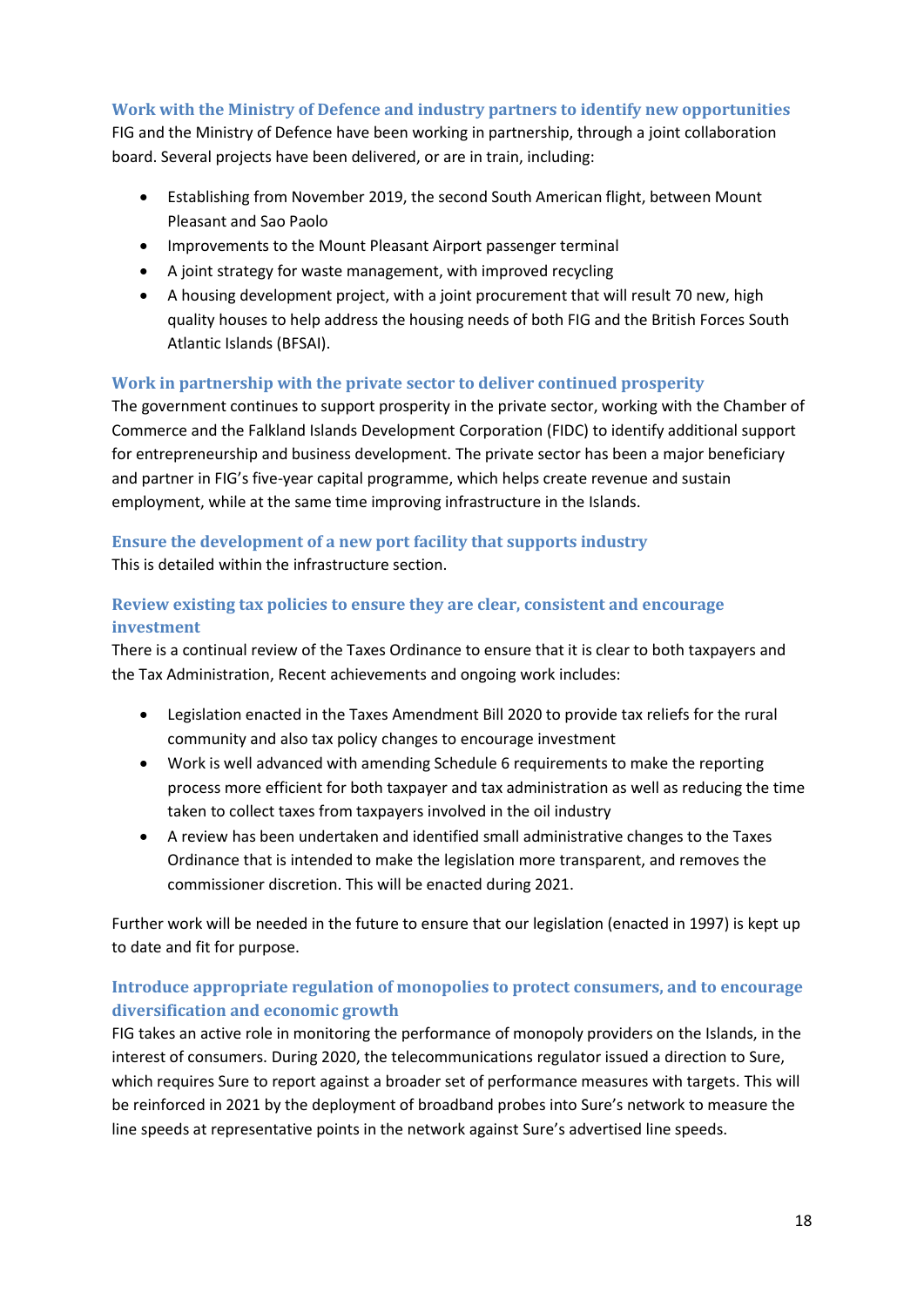### **Work with the Ministry of Defence and industry partners to identify new opportunities**

FIG and the Ministry of Defence have been working in partnership, through a joint collaboration board. Several projects have been delivered, or are in train, including:

- Establishing from November 2019, the second South American flight, between Mount Pleasant and Sao Paolo
- Improvements to the Mount Pleasant Airport passenger terminal
- A joint strategy for waste management, with improved recycling
- A housing development project, with a joint procurement that will result 70 new, high quality houses to help address the housing needs of both FIG and the British Forces South Atlantic Islands (BFSAI).

### **Work in partnership with the private sector to deliver continued prosperity**

The government continues to support prosperity in the private sector, working with the Chamber of Commerce and the Falkland Islands Development Corporation (FIDC) to identify additional support for entrepreneurship and business development. The private sector has been a major beneficiary and partner in FIG's five-year capital programme, which helps create revenue and sustain employment, while at the same time improving infrastructure in the Islands.

# **Ensure the development of a new port facility that supports industry**

This is detailed within the infrastructure section.

### **Review existing tax policies to ensure they are clear, consistent and encourage investment**

There is a continual review of the Taxes Ordinance to ensure that it is clear to both taxpayers and the Tax Administration, Recent achievements and ongoing work includes:

- Legislation enacted in the Taxes Amendment Bill 2020 to provide tax reliefs for the rural community and also tax policy changes to encourage investment
- Work is well advanced with amending Schedule 6 requirements to make the reporting process more efficient for both taxpayer and tax administration as well as reducing the time taken to collect taxes from taxpayers involved in the oil industry
- A review has been undertaken and identified small administrative changes to the Taxes Ordinance that is intended to make the legislation more transparent, and removes the commissioner discretion. This will be enacted during 2021.

Further work will be needed in the future to ensure that our legislation (enacted in 1997) is kept up to date and fit for purpose.

### **Introduce appropriate regulation of monopolies to protect consumers, and to encourage diversification and economic growth**

FIG takes an active role in monitoring the performance of monopoly providers on the Islands, in the interest of consumers. During 2020, the telecommunications regulator issued a direction to Sure, which requires Sure to report against a broader set of performance measures with targets. This will be reinforced in 2021 by the deployment of broadband probes into Sure's network to measure the line speeds at representative points in the network against Sure's advertised line speeds.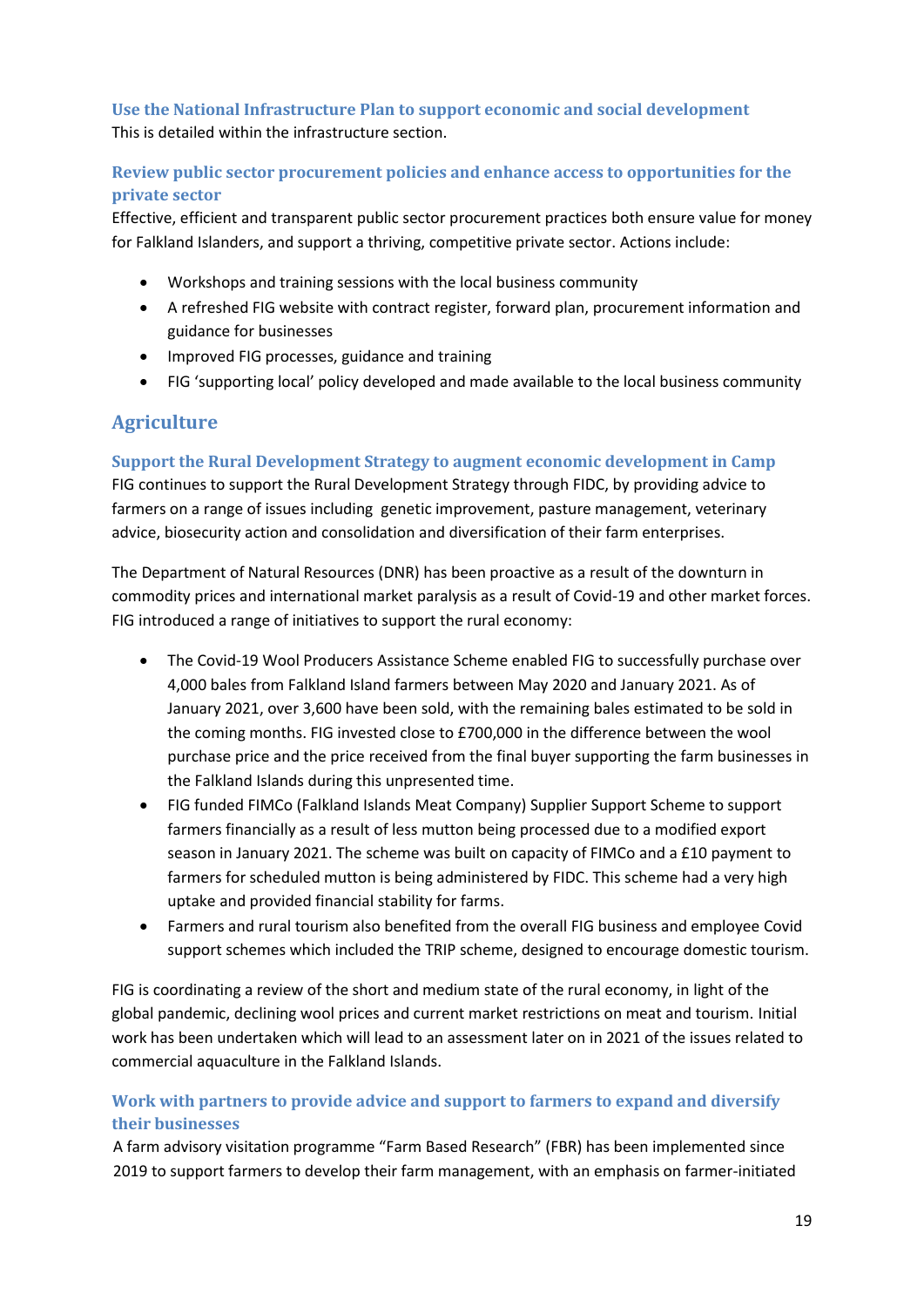**Use the National Infrastructure Plan to support economic and social development**  This is detailed within the infrastructure section.

**Review public sector procurement policies and enhance access to opportunities for the private sector** 

Effective, efficient and transparent public sector procurement practices both ensure value for money for Falkland Islanders, and support a thriving, competitive private sector. Actions include:

- Workshops and training sessions with the local business community
- A refreshed FIG website with contract register, forward plan, procurement information and guidance for businesses
- Improved FIG processes, guidance and training
- FIG 'supporting local' policy developed and made available to the local business community

# **Agriculture**

**Support the Rural Development Strategy to augment economic development in Camp**

FIG continues to support the Rural Development Strategy through FIDC, by providing advice to farmers on a range of issues including genetic improvement, pasture management, veterinary advice, biosecurity action and consolidation and diversification of their farm enterprises.

The Department of Natural Resources (DNR) has been proactive as a result of the downturn in commodity prices and international market paralysis as a result of Covid-19 and other market forces. FIG introduced a range of initiatives to support the rural economy:

- The Covid-19 Wool Producers Assistance Scheme enabled FIG to successfully purchase over 4,000 bales from Falkland Island farmers between May 2020 and January 2021. As of January 2021, over 3,600 have been sold, with the remaining bales estimated to be sold in the coming months. FIG invested close to £700,000 in the difference between the wool purchase price and the price received from the final buyer supporting the farm businesses in the Falkland Islands during this unpresented time.
- FIG funded FIMCo (Falkland Islands Meat Company) Supplier Support Scheme to support farmers financially as a result of less mutton being processed due to a modified export season in January 2021. The scheme was built on capacity of FIMCo and a £10 payment to farmers for scheduled mutton is being administered by FIDC. This scheme had a very high uptake and provided financial stability for farms.
- Farmers and rural tourism also benefited from the overall FIG business and employee Covid support schemes which included the TRIP scheme, designed to encourage domestic tourism.

FIG is coordinating a review of the short and medium state of the rural economy, in light of the global pandemic, declining wool prices and current market restrictions on meat and tourism. Initial work has been undertaken which will lead to an assessment later on in 2021 of the issues related to commercial aquaculture in the Falkland Islands.

# **Work with partners to provide advice and support to farmers to expand and diversify their businesses**

A farm advisory visitation programme "Farm Based Research" (FBR) has been implemented since 2019 to support farmers to develop their farm management, with an emphasis on farmer-initiated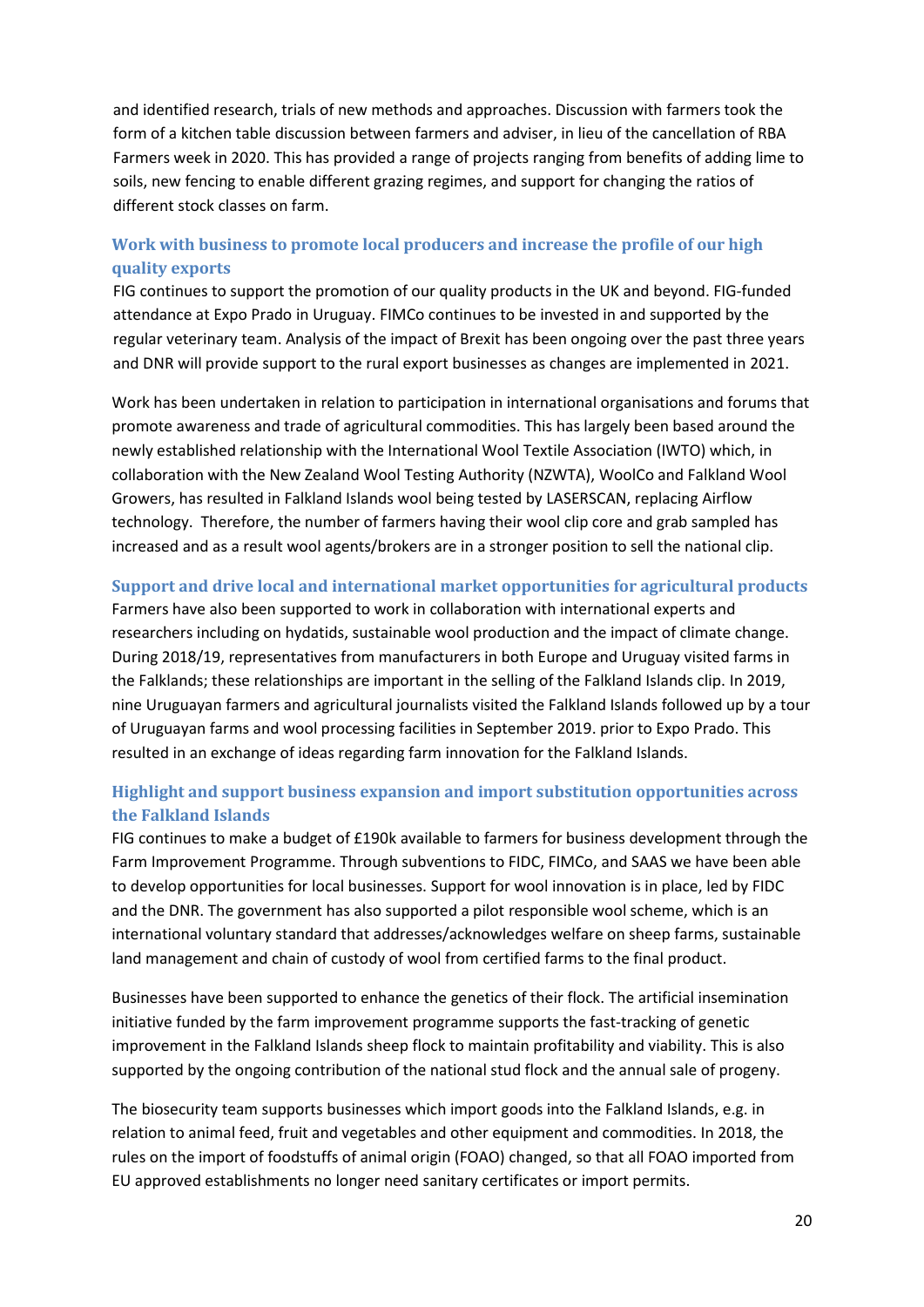and identified research, trials of new methods and approaches. Discussion with farmers took the form of a kitchen table discussion between farmers and adviser, in lieu of the cancellation of RBA Farmers week in 2020. This has provided a range of projects ranging from benefits of adding lime to soils, new fencing to enable different grazing regimes, and support for changing the ratios of different stock classes on farm.

### **Work with business to promote local producers and increase the profile of our high quality exports**

FIG continues to support the promotion of our quality products in the UK and beyond. FIG-funded attendance at Expo Prado in Uruguay. FIMCo continues to be invested in and supported by the regular veterinary team. Analysis of the impact of Brexit has been ongoing over the past three years and DNR will provide support to the rural export businesses as changes are implemented in 2021.

Work has been undertaken in relation to participation in international organisations and forums that promote awareness and trade of agricultural commodities. This has largely been based around the newly established relationship with the International Wool Textile Association (IWTO) which, in collaboration with the New Zealand Wool Testing Authority (NZWTA), WoolCo and Falkland Wool Growers, has resulted in Falkland Islands wool being tested by LASERSCAN, replacing Airflow technology. Therefore, the number of farmers having their wool clip core and grab sampled has increased and as a result wool agents/brokers are in a stronger position to sell the national clip.

### **Support and drive local and international market opportunities for agricultural products**

Farmers have also been supported to work in collaboration with international experts and researchers including on hydatids, sustainable wool production and the impact of climate change. During 2018/19, representatives from manufacturers in both Europe and Uruguay visited farms in the Falklands; these relationships are important in the selling of the Falkland Islands clip. In 2019, nine Uruguayan farmers and agricultural journalists visited the Falkland Islands followed up by a tour of Uruguayan farms and wool processing facilities in September 2019. prior to Expo Prado. This resulted in an exchange of ideas regarding farm innovation for the Falkland Islands.

### **Highlight and support business expansion and import substitution opportunities across the Falkland Islands**

FIG continues to make a budget of £190k available to farmers for business development through the Farm Improvement Programme. Through subventions to FIDC, FIMCo, and SAAS we have been able to develop opportunities for local businesses. Support for wool innovation is in place, led by FIDC and the DNR. The government has also supported a pilot responsible wool scheme, which is an international voluntary standard that addresses/acknowledges welfare on sheep farms, sustainable land management and chain of custody of wool from certified farms to the final product.

Businesses have been supported to enhance the genetics of their flock. The artificial insemination initiative funded by the farm improvement programme supports the fast-tracking of genetic improvement in the Falkland Islands sheep flock to maintain profitability and viability. This is also supported by the ongoing contribution of the national stud flock and the annual sale of progeny.

The biosecurity team supports businesses which import goods into the Falkland Islands, e.g. in relation to animal feed, fruit and vegetables and other equipment and commodities. In 2018, the rules on the import of foodstuffs of animal origin (FOAO) changed, so that all FOAO imported from EU approved establishments no longer need sanitary certificates or import permits.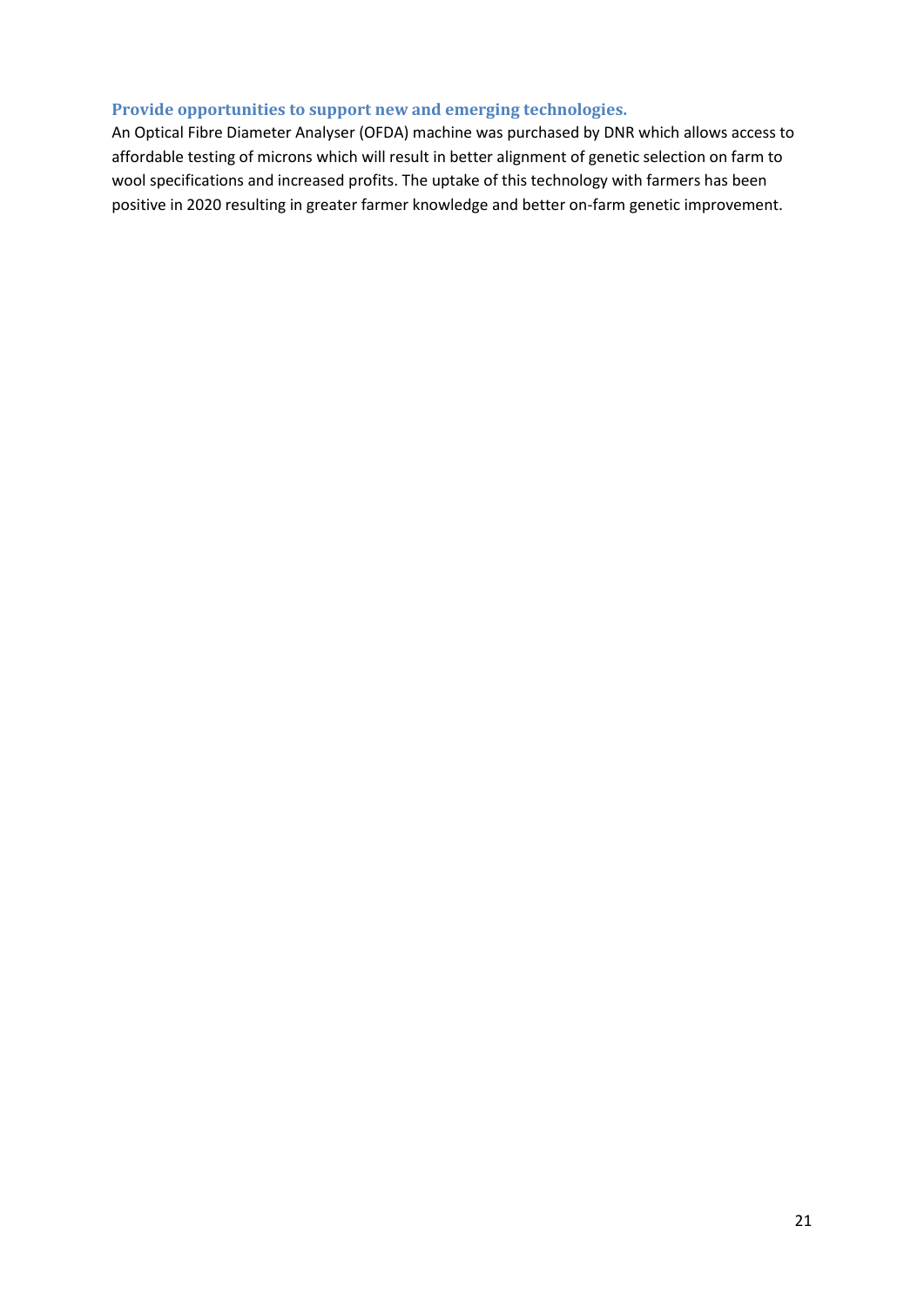#### **Provide opportunities to support new and emerging technologies.**

An Optical Fibre Diameter Analyser (OFDA) machine was purchased by DNR which allows access to affordable testing of microns which will result in better alignment of genetic selection on farm to wool specifications and increased profits. The uptake of this technology with farmers has been positive in 2020 resulting in greater farmer knowledge and better on-farm genetic improvement.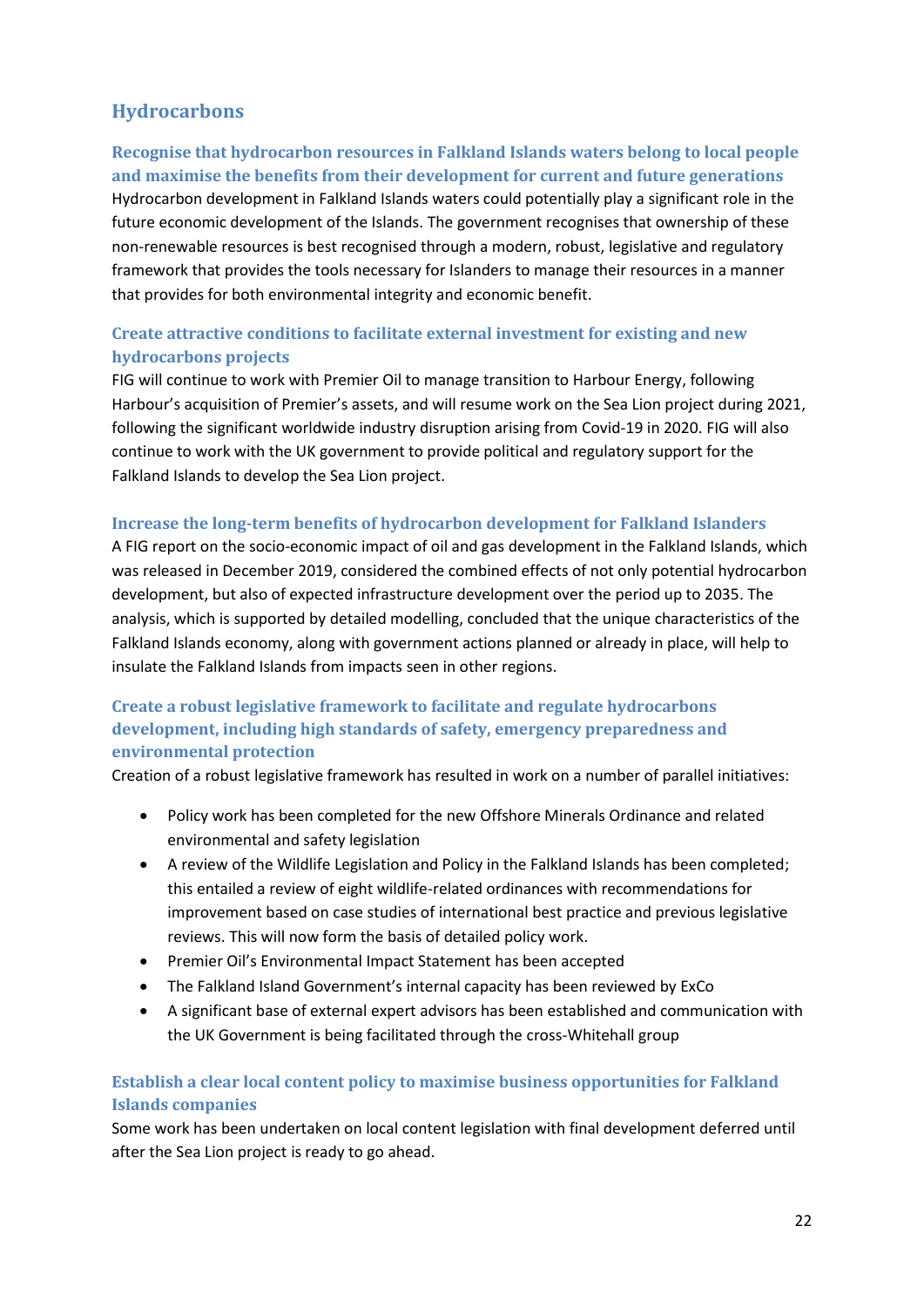# **Hydrocarbons**

# **Recognise that hydrocarbon resources in Falkland Islands waters belong to local people and maximise the benefits from their development for current and future generations**

Hydrocarbon development in Falkland Islands waters could potentially play a significant role in the future economic development of the Islands. The government recognises that ownership of these non-renewable resources is best recognised through a modern, robust, legislative and regulatory framework that provides the tools necessary for Islanders to manage their resources in a manner that provides for both environmental integrity and economic benefit.

# **Create attractive conditions to facilitate external investment for existing and new hydrocarbons projects**

FIG will continue to work with Premier Oil to manage transition to Harbour Energy, following Harbour's acquisition of Premier's assets, and will resume work on the Sea Lion project during 2021, following the significant worldwide industry disruption arising from Covid-19 in 2020. FIG will also continue to work with the UK government to provide political and regulatory support for the Falkland Islands to develop the Sea Lion project.

### **Increase the long-term benefits of hydrocarbon development for Falkland Islanders**

A FIG report on the socio-economic impact of oil and gas development in the Falkland Islands, which was released in December 2019, considered the combined effects of not only potential hydrocarbon development, but also of expected infrastructure development over the period up to 2035. The analysis, which is supported by detailed modelling, concluded that the unique characteristics of the Falkland Islands economy, along with government actions planned or already in place, will help to insulate the Falkland Islands from impacts seen in other regions.

# **Create a robust legislative framework to facilitate and regulate hydrocarbons development, including high standards of safety, emergency preparedness and environmental protection**

Creation of a robust legislative framework has resulted in work on a number of parallel initiatives:

- Policy work has been completed for the new Offshore Minerals Ordinance and related environmental and safety legislation
- A review of the Wildlife Legislation and Policy in the Falkland Islands has been completed; this entailed a review of eight wildlife-related ordinances with recommendations for improvement based on case studies of international best practice and previous legislative reviews. This will now form the basis of detailed policy work.
- Premier Oil's Environmental Impact Statement has been accepted
- The Falkland Island Government's internal capacity has been reviewed by ExCo
- A significant base of external expert advisors has been established and communication with the UK Government is being facilitated through the cross-Whitehall group

# **Establish a clear local content policy to maximise business opportunities for Falkland Islands companies**

Some work has been undertaken on local content legislation with final development deferred until after the Sea Lion project is ready to go ahead.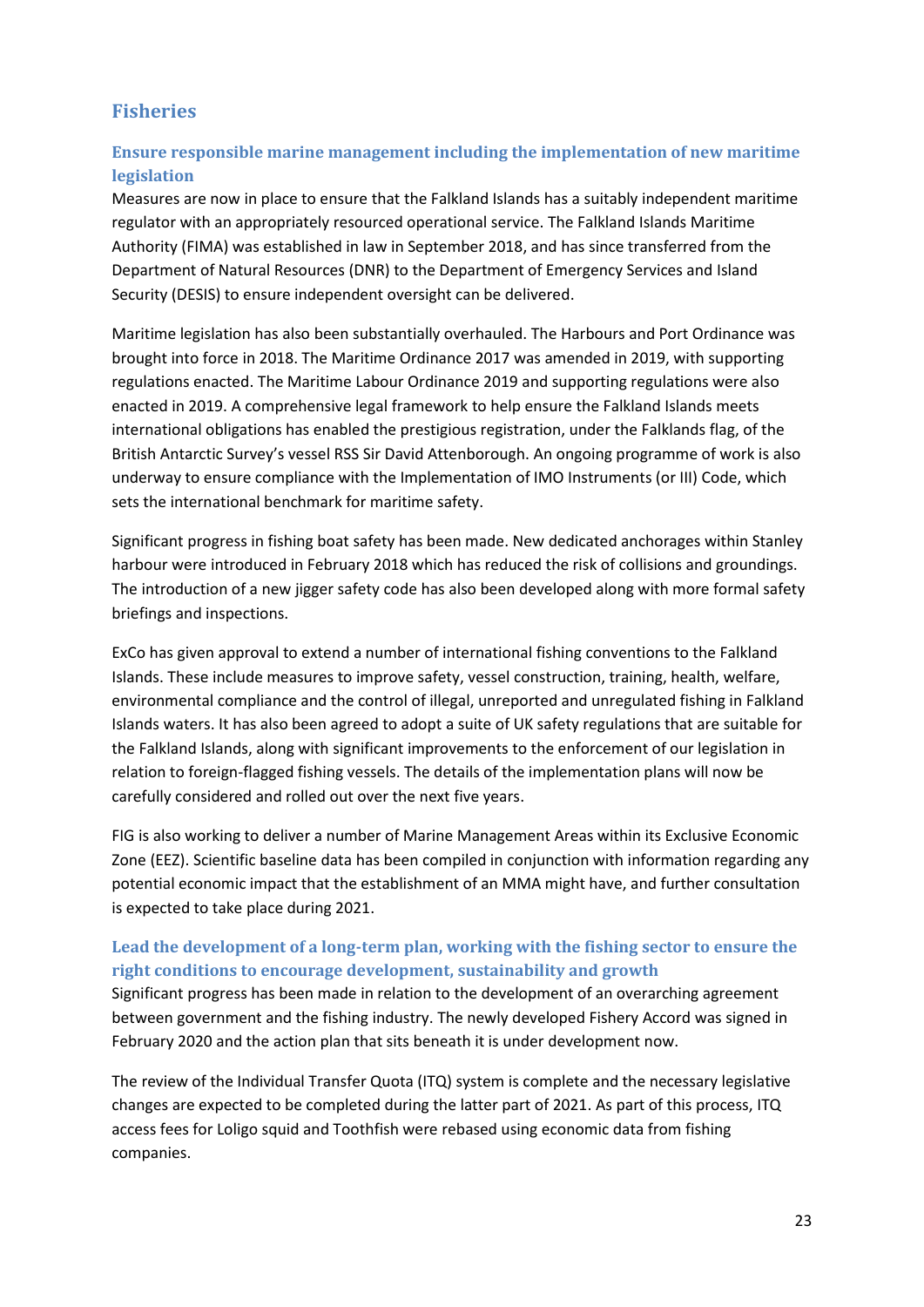# **Fisheries**

# **Ensure responsible marine management including the implementation of new maritime legislation**

Measures are now in place to ensure that the Falkland Islands has a suitably independent maritime regulator with an appropriately resourced operational service. The Falkland Islands Maritime Authority (FIMA) was established in law in September 2018, and has since transferred from the Department of Natural Resources (DNR) to the Department of Emergency Services and Island Security (DESIS) to ensure independent oversight can be delivered.

Maritime legislation has also been substantially overhauled. The Harbours and Port Ordinance was brought into force in 2018. The Maritime Ordinance 2017 was amended in 2019, with supporting regulations enacted. The Maritime Labour Ordinance 2019 and supporting regulations were also enacted in 2019. A comprehensive legal framework to help ensure the Falkland Islands meets international obligations has enabled the prestigious registration, under the Falklands flag, of the British Antarctic Survey's vessel RSS Sir David Attenborough. An ongoing programme of work is also underway to ensure compliance with the Implementation of IMO Instruments (or III) Code, which sets the international benchmark for maritime safety.

Significant progress in fishing boat safety has been made. New dedicated anchorages within Stanley harbour were introduced in February 2018 which has reduced the risk of collisions and groundings. The introduction of a new jigger safety code has also been developed along with more formal safety briefings and inspections.

ExCo has given approval to extend a number of international fishing conventions to the Falkland Islands. These include measures to improve safety, vessel construction, training, health, welfare, environmental compliance and the control of illegal, unreported and unregulated fishing in Falkland Islands waters. It has also been agreed to adopt a suite of UK safety regulations that are suitable for the Falkland Islands, along with significant improvements to the enforcement of our legislation in relation to foreign-flagged fishing vessels. The details of the implementation plans will now be carefully considered and rolled out over the next five years.

FIG is also working to deliver a number of Marine Management Areas within its Exclusive Economic Zone (EEZ). Scientific baseline data has been compiled in conjunction with information regarding any potential economic impact that the establishment of an MMA might have, and further consultation is expected to take place during 2021.

# **Lead the development of a long-term plan, working with the fishing sector to ensure the right conditions to encourage development, sustainability and growth**

Significant progress has been made in relation to the development of an overarching agreement between government and the fishing industry. The newly developed Fishery Accord was signed in February 2020 and the action plan that sits beneath it is under development now.

The review of the Individual Transfer Quota (ITQ) system is complete and the necessary legislative changes are expected to be completed during the latter part of 2021. As part of this process, ITQ access fees for Loligo squid and Toothfish were rebased using economic data from fishing companies.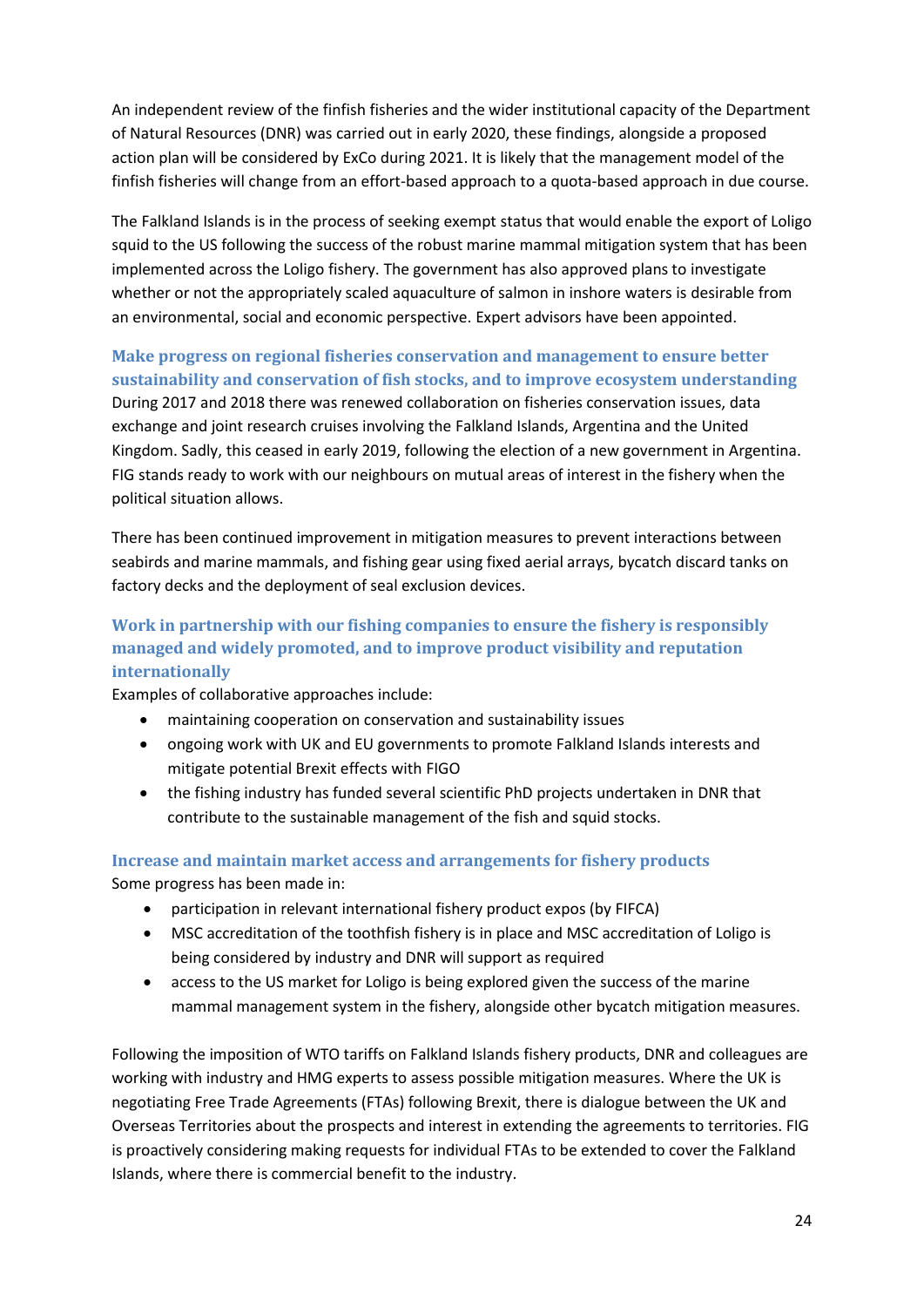An independent review of the finfish fisheries and the wider institutional capacity of the Department of Natural Resources (DNR) was carried out in early 2020, these findings, alongside a proposed action plan will be considered by ExCo during 2021. It is likely that the management model of the finfish fisheries will change from an effort-based approach to a quota-based approach in due course.

The Falkland Islands is in the process of seeking exempt status that would enable the export of Loligo squid to the US following the success of the robust marine mammal mitigation system that has been implemented across the Loligo fishery. The government has also approved plans to investigate whether or not the appropriately scaled aquaculture of salmon in inshore waters is desirable from an environmental, social and economic perspective. Expert advisors have been appointed.

# **Make progress on regional fisheries conservation and management to ensure better sustainability and conservation of fish stocks, and to improve ecosystem understanding** During 2017 and 2018 there was renewed collaboration on fisheries conservation issues, data exchange and joint research cruises involving the Falkland Islands, Argentina and the United Kingdom. Sadly, this ceased in early 2019, following the election of a new government in Argentina. FIG stands ready to work with our neighbours on mutual areas of interest in the fishery when the political situation allows.

There has been continued improvement in mitigation measures to prevent interactions between seabirds and marine mammals, and fishing gear using fixed aerial arrays, bycatch discard tanks on factory decks and the deployment of seal exclusion devices.

# **Work in partnership with our fishing companies to ensure the fishery is responsibly managed and widely promoted, and to improve product visibility and reputation internationally**

Examples of collaborative approaches include:

- maintaining cooperation on conservation and sustainability issues
- ongoing work with UK and EU governments to promote Falkland Islands interests and mitigate potential Brexit effects with FIGO
- the fishing industry has funded several scientific PhD projects undertaken in DNR that contribute to the sustainable management of the fish and squid stocks.

### **Increase and maintain market access and arrangements for fishery products** Some progress has been made in:

- participation in relevant international fishery product expos (by FIFCA)
- MSC accreditation of the toothfish fishery is in place and MSC accreditation of Loligo is being considered by industry and DNR will support as required
- access to the US market for Loligo is being explored given the success of the marine mammal management system in the fishery, alongside other bycatch mitigation measures.

Following the imposition of WTO tariffs on Falkland Islands fishery products, DNR and colleagues are working with industry and HMG experts to assess possible mitigation measures. Where the UK is negotiating Free Trade Agreements (FTAs) following Brexit, there is dialogue between the UK and Overseas Territories about the prospects and interest in extending the agreements to territories. FIG is proactively considering making requests for individual FTAs to be extended to cover the Falkland Islands, where there is commercial benefit to the industry.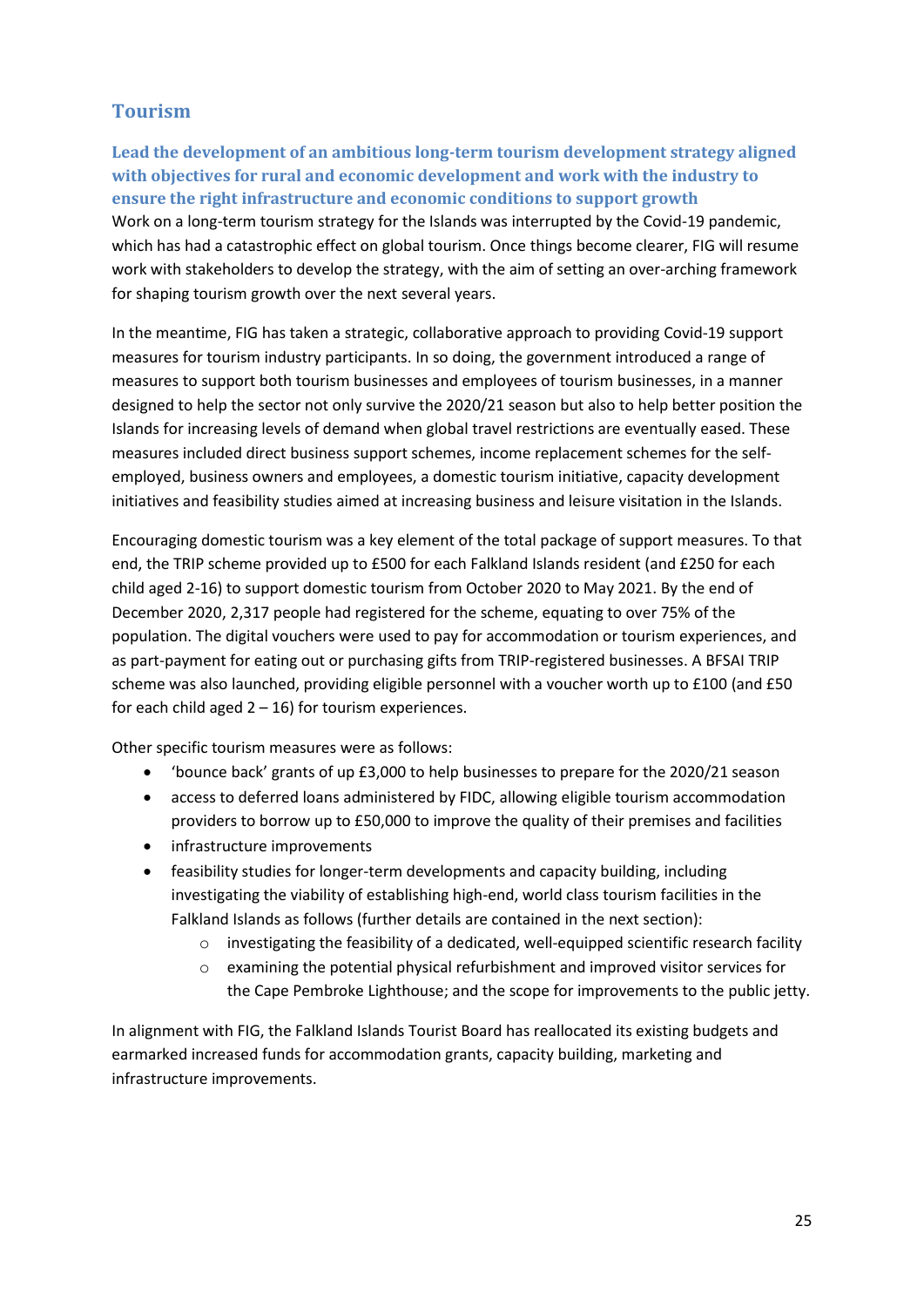# **Tourism**

**Lead the development of an ambitious long-term tourism development strategy aligned with objectives for rural and economic development and work with the industry to ensure the right infrastructure and economic conditions to support growth** Work on a long-term tourism strategy for the Islands was interrupted by the Covid-19 pandemic, which has had a catastrophic effect on global tourism. Once things become clearer, FIG will resume work with stakeholders to develop the strategy, with the aim of setting an over-arching framework for shaping tourism growth over the next several years.

In the meantime, FIG has taken a strategic, collaborative approach to providing Covid-19 support measures for tourism industry participants. In so doing, the government introduced a range of measures to support both tourism businesses and employees of tourism businesses, in a manner designed to help the sector not only survive the 2020/21 season but also to help better position the Islands for increasing levels of demand when global travel restrictions are eventually eased. These measures included direct business support schemes, income replacement schemes for the selfemployed, business owners and employees, a domestic tourism initiative, capacity development initiatives and feasibility studies aimed at increasing business and leisure visitation in the Islands.

Encouraging domestic tourism was a key element of the total package of support measures. To that end, the TRIP scheme provided up to £500 for each Falkland Islands resident (and £250 for each child aged 2-16) to support domestic tourism from October 2020 to May 2021. By the end of December 2020, 2,317 people had registered for the scheme, equating to over 75% of the population. The digital vouchers were used to pay for accommodation or tourism experiences, and as part-payment for eating out or purchasing gifts from TRIP-registered businesses. A BFSAI TRIP scheme was also launched, providing eligible personnel with a voucher worth up to £100 (and £50 for each child aged  $2 - 16$ ) for tourism experiences.

Other specific tourism measures were as follows:

- 'bounce back' grants of up £3,000 to help businesses to prepare for the 2020/21 season
- access to deferred loans administered by FIDC, allowing eligible tourism accommodation providers to borrow up to £50,000 to improve the quality of their premises and facilities
- infrastructure improvements
- feasibility studies for longer-term developments and capacity building, including investigating the viability of establishing high-end, world class tourism facilities in the Falkland Islands as follows (further details are contained in the next section):
	- $\circ$  investigating the feasibility of a dedicated, well-equipped scientific research facility
	- o examining the potential physical refurbishment and improved visitor services for the Cape Pembroke Lighthouse; and the scope for improvements to the public jetty.

In alignment with FIG, the Falkland Islands Tourist Board has reallocated its existing budgets and earmarked increased funds for accommodation grants, capacity building, marketing and infrastructure improvements.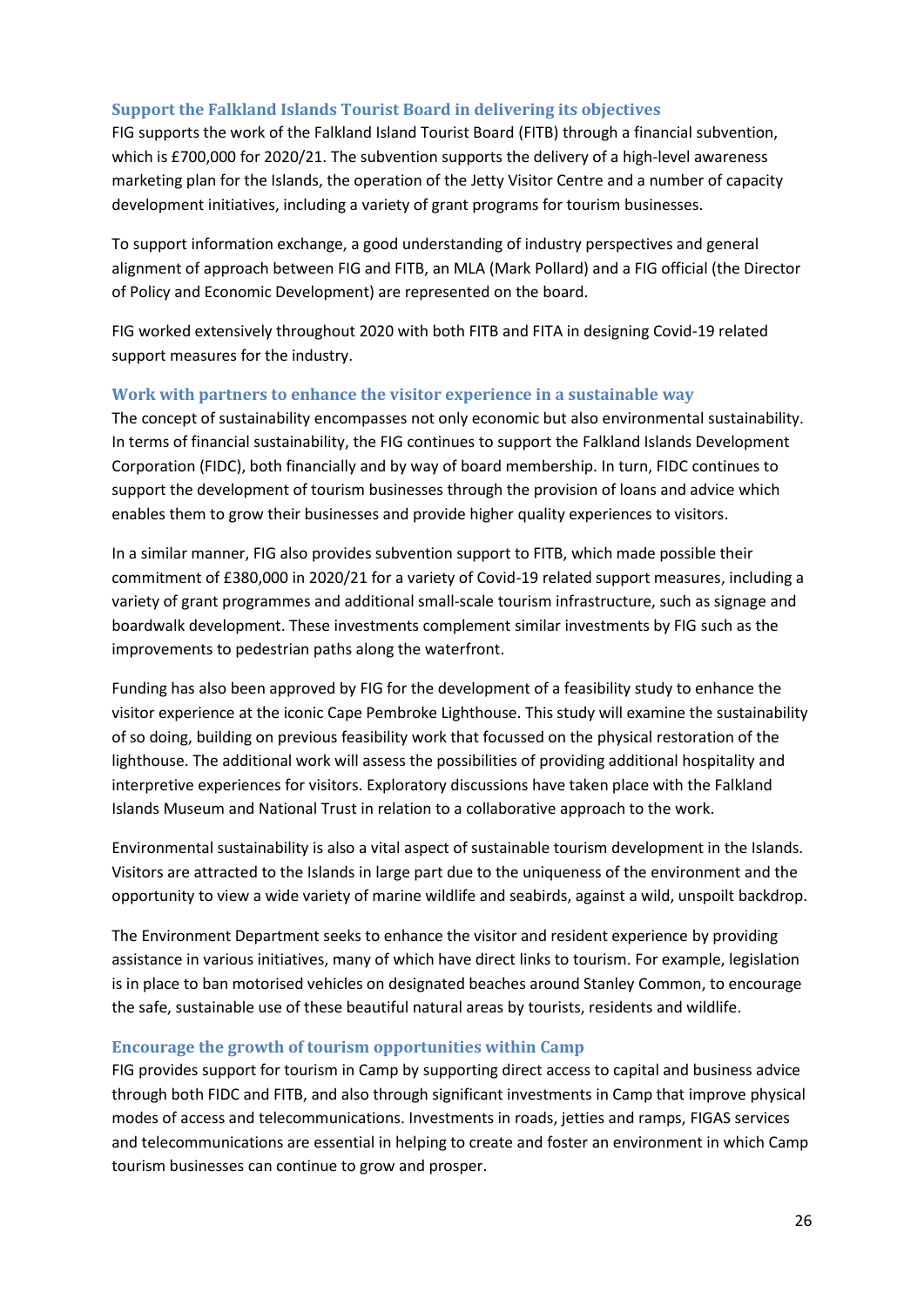### **Support the Falkland Islands Tourist Board in delivering its objectives**

FIG supports the work of the Falkland Island Tourist Board (FITB) through a financial subvention, which is £700,000 for 2020/21. The subvention supports the delivery of a high-level awareness marketing plan for the Islands, the operation of the Jetty Visitor Centre and a number of capacity development initiatives, including a variety of grant programs for tourism businesses.

To support information exchange, a good understanding of industry perspectives and general alignment of approach between FIG and FITB, an MLA (Mark Pollard) and a FIG official (the Director of Policy and Economic Development) are represented on the board.

FIG worked extensively throughout 2020 with both FITB and FITA in designing Covid-19 related support measures for the industry.

### **Work with partners to enhance the visitor experience in a sustainable way**

The concept of sustainability encompasses not only economic but also environmental sustainability. In terms of financial sustainability, the FIG continues to support the Falkland Islands Development Corporation (FIDC), both financially and by way of board membership. In turn, FIDC continues to support the development of tourism businesses through the provision of loans and advice which enables them to grow their businesses and provide higher quality experiences to visitors.

In a similar manner, FIG also provides subvention support to FITB, which made possible their commitment of £380,000 in 2020/21 for a variety of Covid-19 related support measures, including a variety of grant programmes and additional small-scale tourism infrastructure, such as signage and boardwalk development. These investments complement similar investments by FIG such as the improvements to pedestrian paths along the waterfront.

Funding has also been approved by FIG for the development of a feasibility study to enhance the visitor experience at the iconic Cape Pembroke Lighthouse. This study will examine the sustainability of so doing, building on previous feasibility work that focussed on the physical restoration of the lighthouse. The additional work will assess the possibilities of providing additional hospitality and interpretive experiences for visitors. Exploratory discussions have taken place with the Falkland Islands Museum and National Trust in relation to a collaborative approach to the work.

Environmental sustainability is also a vital aspect of sustainable tourism development in the Islands. Visitors are attracted to the Islands in large part due to the uniqueness of the environment and the opportunity to view a wide variety of marine wildlife and seabirds, against a wild, unspoilt backdrop.

The Environment Department seeks to enhance the visitor and resident experience by providing assistance in various initiatives, many of which have direct links to tourism. For example, legislation is in place to ban motorised vehicles on designated beaches around Stanley Common, to encourage the safe, sustainable use of these beautiful natural areas by tourists, residents and wildlife.

#### **Encourage the growth of tourism opportunities within Camp**

FIG provides support for tourism in Camp by supporting direct access to capital and business advice through both FIDC and FITB, and also through significant investments in Camp that improve physical modes of access and telecommunications. Investments in roads, jetties and ramps, FIGAS services and telecommunications are essential in helping to create and foster an environment in which Camp tourism businesses can continue to grow and prosper.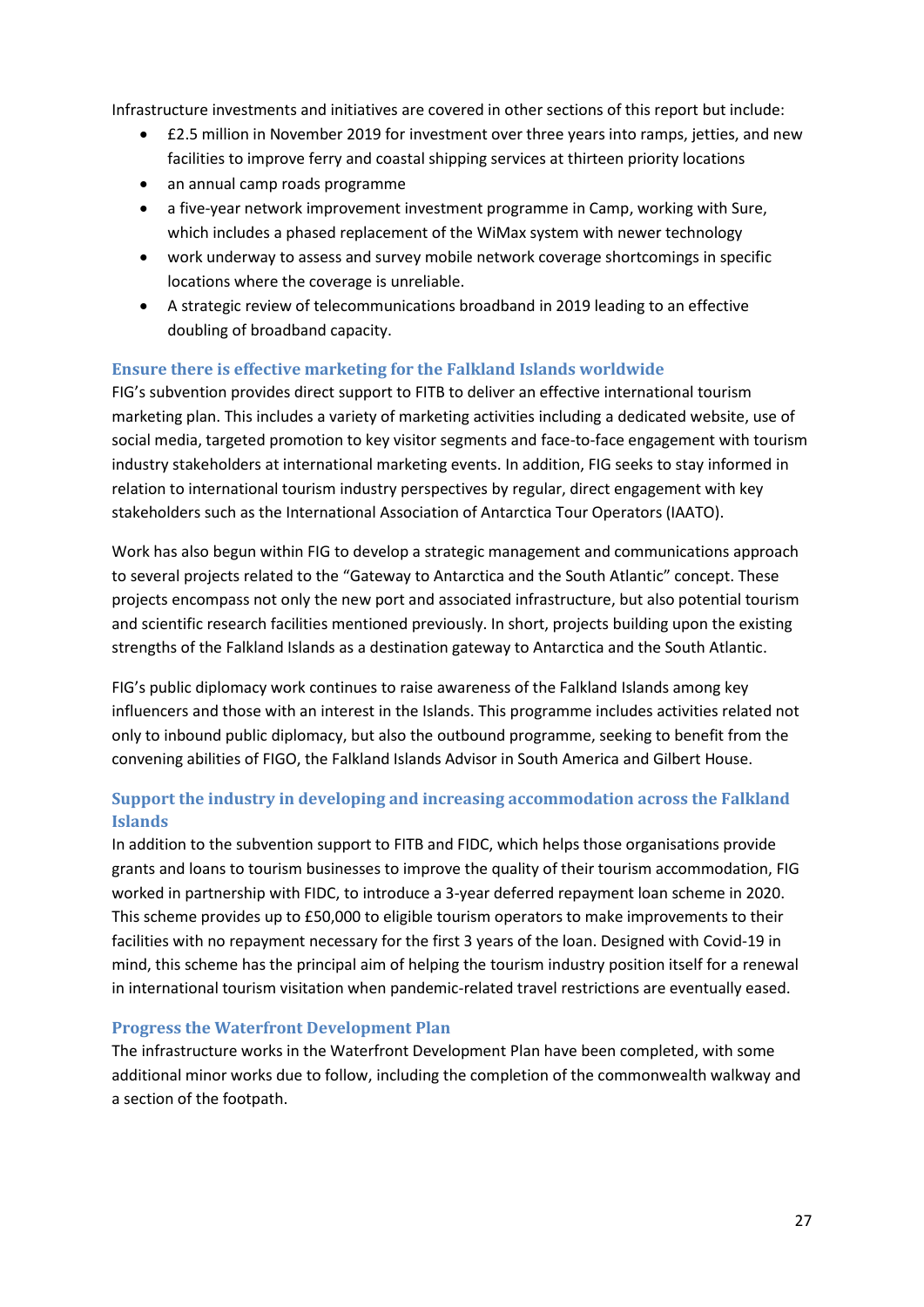Infrastructure investments and initiatives are covered in other sections of this report but include:

- £2.5 million in November 2019 for investment over three years into ramps, jetties, and new facilities to improve ferry and coastal shipping services at thirteen priority locations
- an annual camp roads programme
- a five-year network improvement investment programme in Camp, working with Sure, which includes a phased replacement of the WiMax system with newer technology
- work underway to assess and survey mobile network coverage shortcomings in specific locations where the coverage is unreliable.
- A strategic review of telecommunications broadband in 2019 leading to an effective doubling of broadband capacity.

### **Ensure there is effective marketing for the Falkland Islands worldwide**

FIG's subvention provides direct support to FITB to deliver an effective international tourism marketing plan. This includes a variety of marketing activities including a dedicated website, use of social media, targeted promotion to key visitor segments and face-to-face engagement with tourism industry stakeholders at international marketing events. In addition, FIG seeks to stay informed in relation to international tourism industry perspectives by regular, direct engagement with key stakeholders such as the International Association of Antarctica Tour Operators (IAATO).

Work has also begun within FIG to develop a strategic management and communications approach to several projects related to the "Gateway to Antarctica and the South Atlantic" concept. These projects encompass not only the new port and associated infrastructure, but also potential tourism and scientific research facilities mentioned previously. In short, projects building upon the existing strengths of the Falkland Islands as a destination gateway to Antarctica and the South Atlantic.

FIG's public diplomacy work continues to raise awareness of the Falkland Islands among key influencers and those with an interest in the Islands. This programme includes activities related not only to inbound public diplomacy, but also the outbound programme, seeking to benefit from the convening abilities of FIGO, the Falkland Islands Advisor in South America and Gilbert House.

# **Support the industry in developing and increasing accommodation across the Falkland Islands**

In addition to the subvention support to FITB and FIDC, which helps those organisations provide grants and loans to tourism businesses to improve the quality of their tourism accommodation, FIG worked in partnership with FIDC, to introduce a 3-year deferred repayment loan scheme in 2020. This scheme provides up to £50,000 to eligible tourism operators to make improvements to their facilities with no repayment necessary for the first 3 years of the loan. Designed with Covid-19 in mind, this scheme has the principal aim of helping the tourism industry position itself for a renewal in international tourism visitation when pandemic-related travel restrictions are eventually eased.

#### **Progress the Waterfront Development Plan**

The infrastructure works in the Waterfront Development Plan have been completed, with some additional minor works due to follow, including the completion of the commonwealth walkway and a section of the footpath.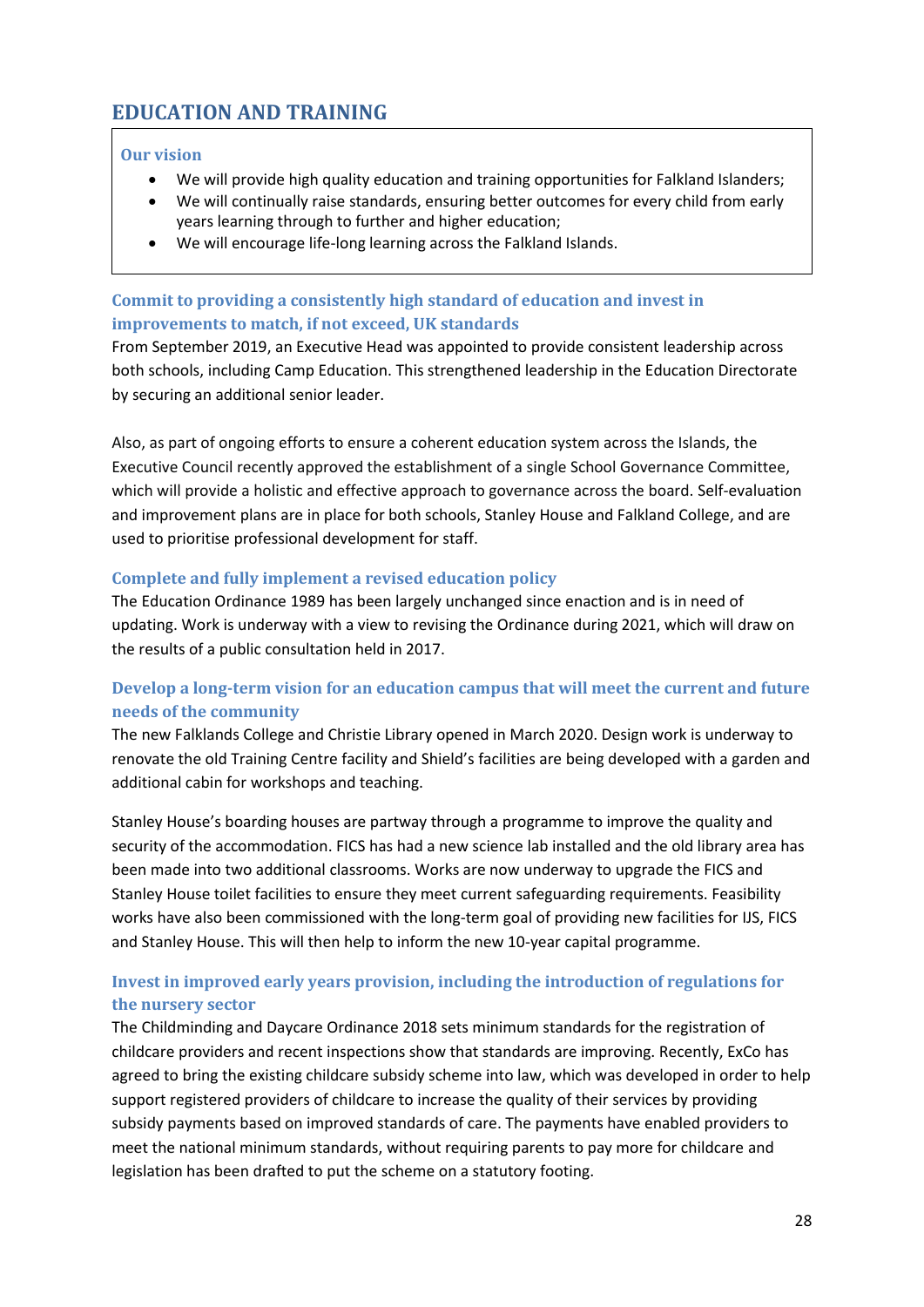# <span id="page-27-0"></span>**EDUCATION AND TRAINING**

### **Our vision**

- We will provide high quality education and training opportunities for Falkland Islanders;
- We will continually raise standards, ensuring better outcomes for every child from early years learning through to further and higher education;
- We will encourage life-long learning across the Falkland Islands.

# **Commit to providing a consistently high standard of education and invest in improvements to match, if not exceed, UK standards**

From September 2019, an Executive Head was appointed to provide consistent leadership across both schools, including Camp Education. This strengthened leadership in the Education Directorate by securing an additional senior leader.

Also, as part of ongoing efforts to ensure a coherent education system across the Islands, the Executive Council recently approved the establishment of a single School Governance Committee, which will provide a holistic and effective approach to governance across the board. Self-evaluation and improvement plans are in place for both schools, Stanley House and Falkland College, and are used to prioritise professional development for staff.

### **Complete and fully implement a revised education policy**

The Education Ordinance 1989 has been largely unchanged since enaction and is in need of updating. Work is underway with a view to revising the Ordinance during 2021, which will draw on the results of a public consultation held in 2017.

# **Develop a long-term vision for an education campus that will meet the current and future needs of the community**

The new Falklands College and Christie Library opened in March 2020. Design work is underway to renovate the old Training Centre facility and Shield's facilities are being developed with a garden and additional cabin for workshops and teaching.

Stanley House's boarding houses are partway through a programme to improve the quality and security of the accommodation. FICS has had a new science lab installed and the old library area has been made into two additional classrooms. Works are now underway to upgrade the FICS and Stanley House toilet facilities to ensure they meet current safeguarding requirements. Feasibility works have also been commissioned with the long-term goal of providing new facilities for IJS, FICS and Stanley House. This will then help to inform the new 10-year capital programme.

# **Invest in improved early years provision, including the introduction of regulations for the nursery sector**

The Childminding and Daycare Ordinance 2018 sets minimum standards for the registration of childcare providers and recent inspections show that standards are improving. Recently, ExCo has agreed to bring the existing childcare subsidy scheme into law, which was developed in order to help support registered providers of childcare to increase the quality of their services by providing subsidy payments based on improved standards of care. The payments have enabled providers to meet the national minimum standards, without requiring parents to pay more for childcare and legislation has been drafted to put the scheme on a statutory footing.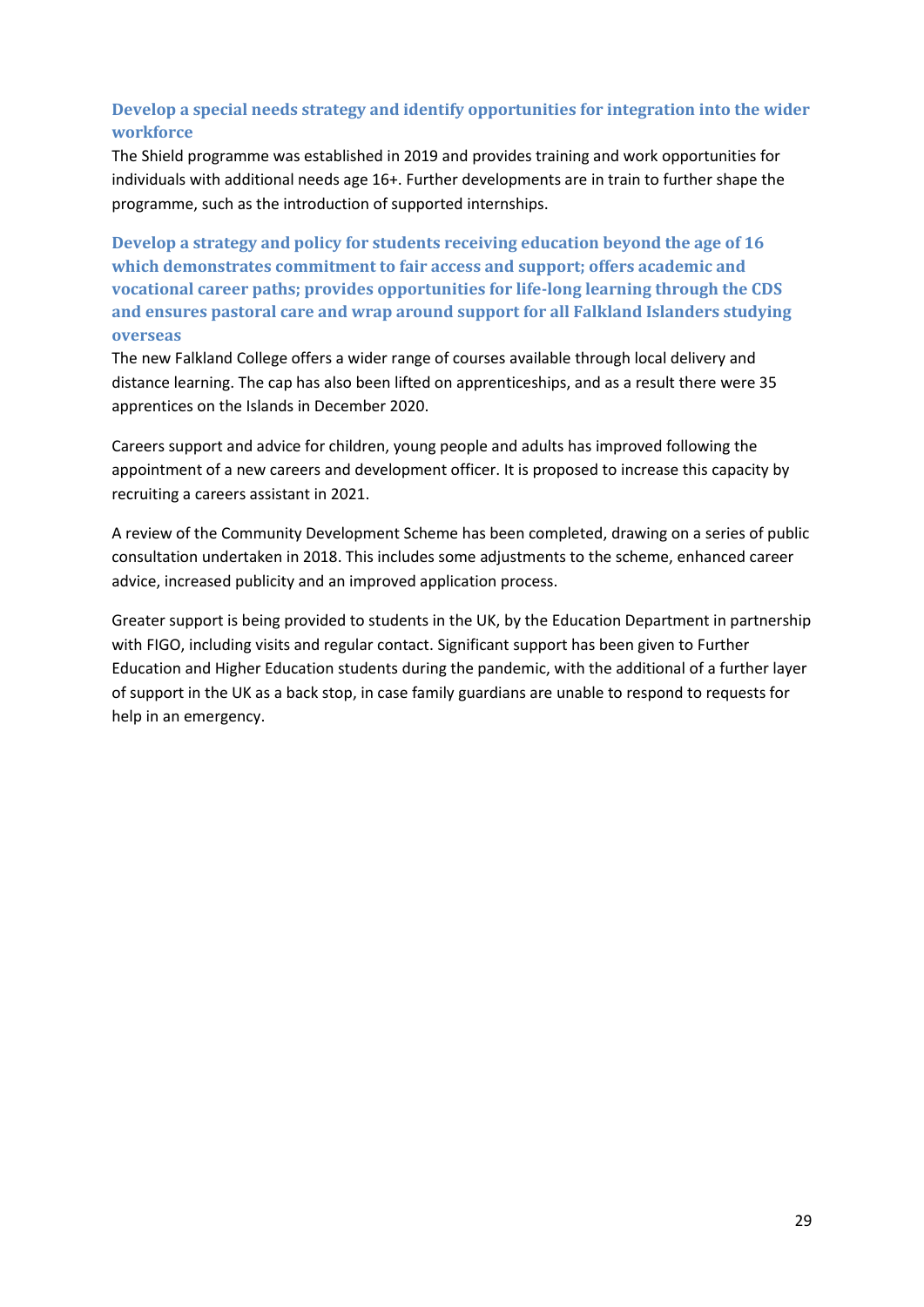# **Develop a special needs strategy and identify opportunities for integration into the wider workforce**

The Shield programme was established in 2019 and provides training and work opportunities for individuals with additional needs age 16+. Further developments are in train to further shape the programme, such as the introduction of supported internships.

**Develop a strategy and policy for students receiving education beyond the age of 16 which demonstrates commitment to fair access and support; offers academic and vocational career paths; provides opportunities for life-long learning through the CDS and ensures pastoral care and wrap around support for all Falkland Islanders studying overseas** 

The new Falkland College offers a wider range of courses available through local delivery and distance learning. The cap has also been lifted on apprenticeships, and as a result there were 35 apprentices on the Islands in December 2020.

Careers support and advice for children, young people and adults has improved following the appointment of a new careers and development officer. It is proposed to increase this capacity by recruiting a careers assistant in 2021.

A review of the Community Development Scheme has been completed, drawing on a series of public consultation undertaken in 2018. This includes some adjustments to the scheme, enhanced career advice, increased publicity and an improved application process.

Greater support is being provided to students in the UK, by the Education Department in partnership with FIGO, including visits and regular contact. Significant support has been given to Further Education and Higher Education students during the pandemic, with the additional of a further layer of support in the UK as a back stop, in case family guardians are unable to respond to requests for help in an emergency.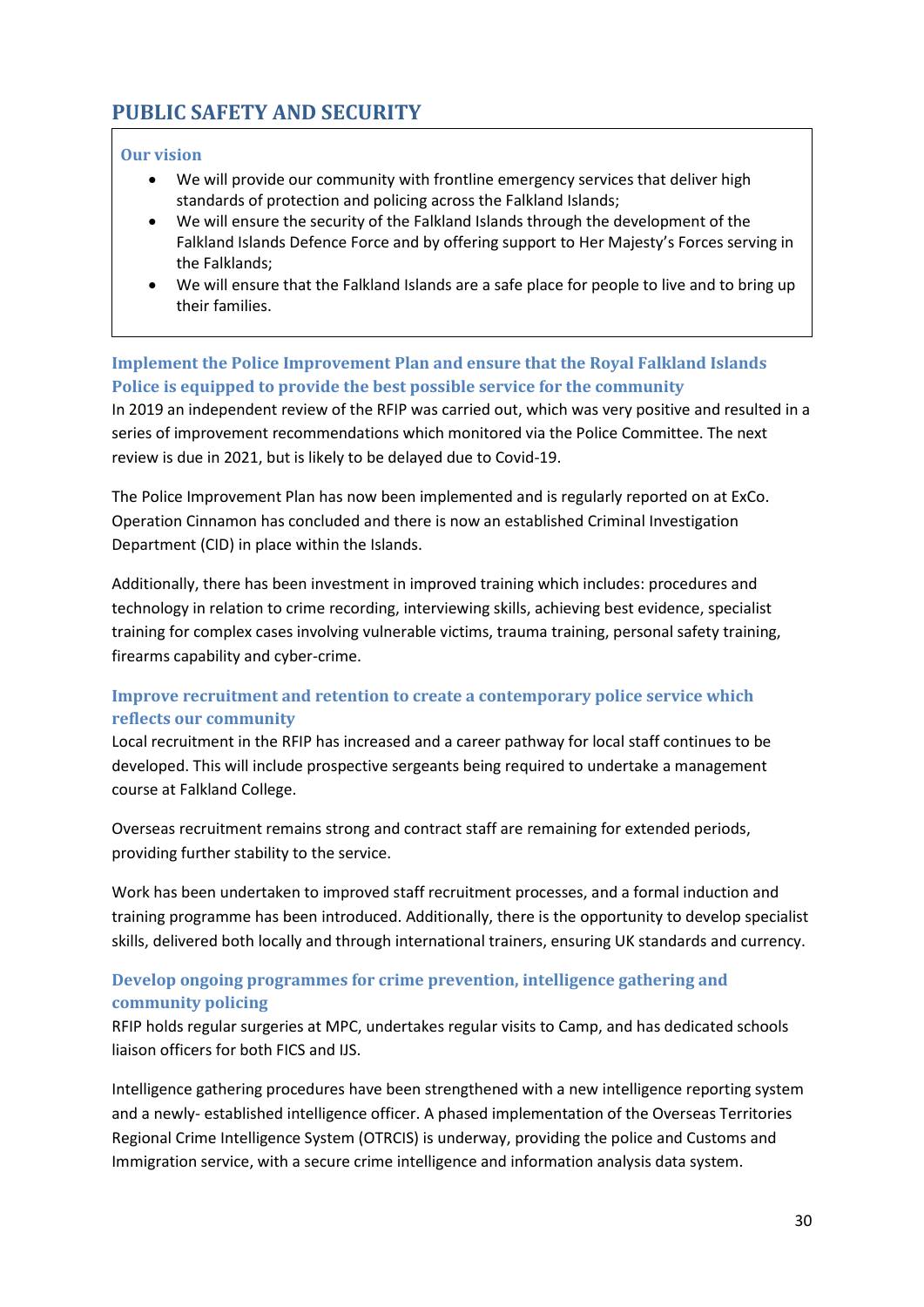# <span id="page-29-0"></span>**PUBLIC SAFETY AND SECURITY**

### **Our vision**

- We will provide our community with frontline emergency services that deliver high standards of protection and policing across the Falkland Islands;
- We will ensure the security of the Falkland Islands through the development of the Falkland Islands Defence Force and by offering support to Her Majesty's Forces serving in the Falklands;
- We will ensure that the Falkland Islands are a safe place for people to live and to bring up their families.

### **Implement the Police Improvement Plan and ensure that the Royal Falkland Islands Police is equipped to provide the best possible service for the community**

In 2019 an independent review of the RFIP was carried out, which was very positive and resulted in a series of improvement recommendations which monitored via the Police Committee. The next review is due in 2021, but is likely to be delayed due to Covid-19.

The Police Improvement Plan has now been implemented and is regularly reported on at ExCo. Operation Cinnamon has concluded and there is now an established Criminal Investigation Department (CID) in place within the Islands.

Additionally, there has been investment in improved training which includes: procedures and technology in relation to crime recording, interviewing skills, achieving best evidence, specialist training for complex cases involving vulnerable victims, trauma training, personal safety training, firearms capability and cyber-crime.

# **Improve recruitment and retention to create a contemporary police service which reflects our community**

Local recruitment in the RFIP has increased and a career pathway for local staff continues to be developed. This will include prospective sergeants being required to undertake a management course at Falkland College.

Overseas recruitment remains strong and contract staff are remaining for extended periods, providing further stability to the service.

Work has been undertaken to improved staff recruitment processes, and a formal induction and training programme has been introduced. Additionally, there is the opportunity to develop specialist skills, delivered both locally and through international trainers, ensuring UK standards and currency.

# **Develop ongoing programmes for crime prevention, intelligence gathering and community policing**

RFIP holds regular surgeries at MPC, undertakes regular visits to Camp, and has dedicated schools liaison officers for both FICS and IJS.

Intelligence gathering procedures have been strengthened with a new intelligence reporting system and a newly- established intelligence officer. A phased implementation of the Overseas Territories Regional Crime Intelligence System (OTRCIS) is underway, providing the police and Customs and Immigration service, with a secure crime intelligence and information analysis data system.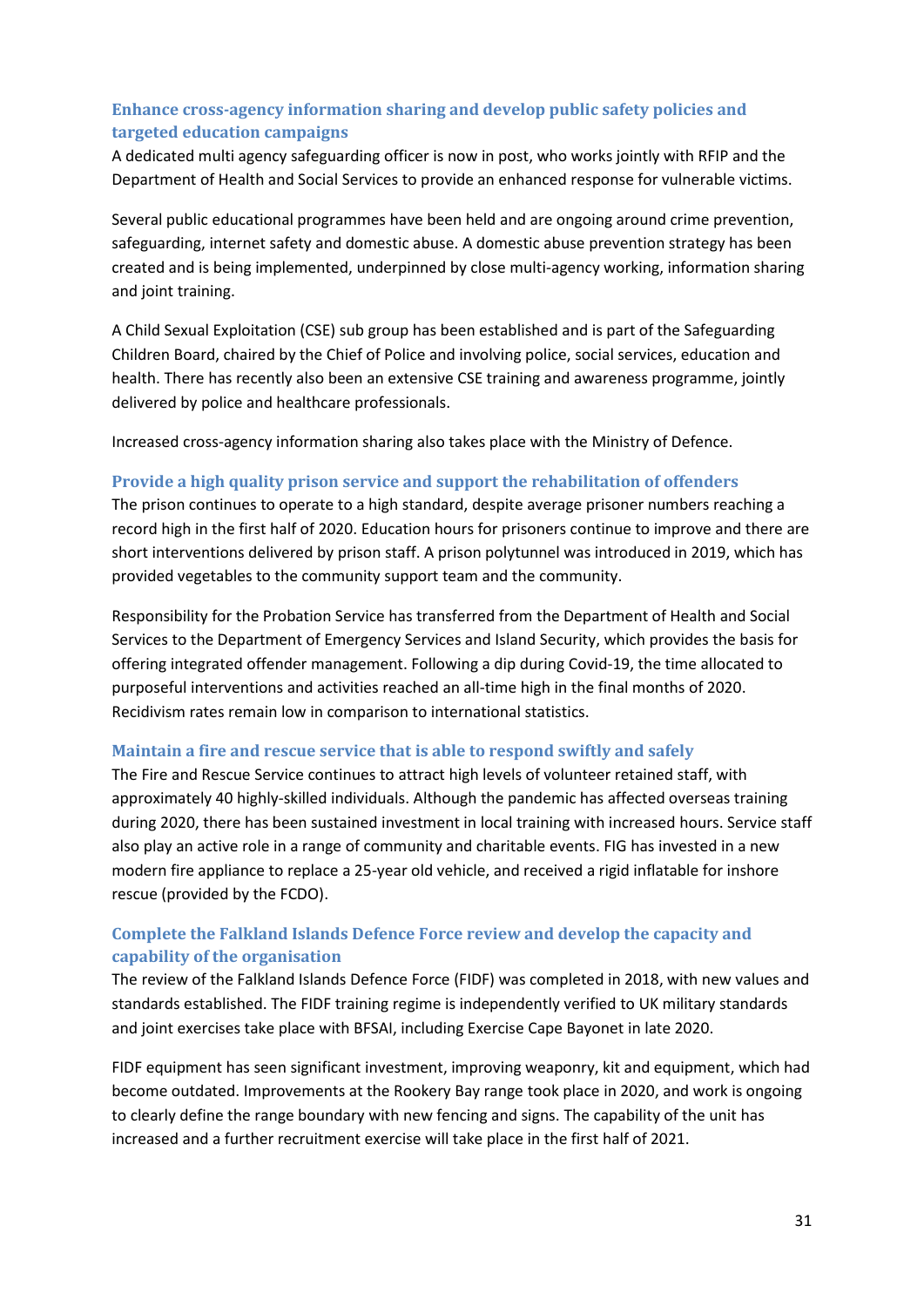# **Enhance cross-agency information sharing and develop public safety policies and targeted education campaigns**

A dedicated multi agency safeguarding officer is now in post, who works jointly with RFIP and the Department of Health and Social Services to provide an enhanced response for vulnerable victims.

Several public educational programmes have been held and are ongoing around crime prevention, safeguarding, internet safety and domestic abuse. A domestic abuse prevention strategy has been created and is being implemented, underpinned by close multi-agency working, information sharing and joint training.

A Child Sexual Exploitation (CSE) sub group has been established and is part of the Safeguarding Children Board, chaired by the Chief of Police and involving police, social services, education and health. There has recently also been an extensive CSE training and awareness programme, jointly delivered by police and healthcare professionals.

Increased cross-agency information sharing also takes place with the Ministry of Defence.

### **Provide a high quality prison service and support the rehabilitation of offenders**

The prison continues to operate to a high standard, despite average prisoner numbers reaching a record high in the first half of 2020. Education hours for prisoners continue to improve and there are short interventions delivered by prison staff. A prison polytunnel was introduced in 2019, which has provided vegetables to the community support team and the community.

Responsibility for the Probation Service has transferred from the Department of Health and Social Services to the Department of Emergency Services and Island Security, which provides the basis for offering integrated offender management. Following a dip during Covid-19, the time allocated to purposeful interventions and activities reached an all-time high in the final months of 2020. Recidivism rates remain low in comparison to international statistics.

#### **Maintain a fire and rescue service that is able to respond swiftly and safely**

The Fire and Rescue Service continues to attract high levels of volunteer retained staff, with approximately 40 highly-skilled individuals. Although the pandemic has affected overseas training during 2020, there has been sustained investment in local training with increased hours. Service staff also play an active role in a range of community and charitable events. FIG has invested in a new modern fire appliance to replace a 25-year old vehicle, and received a rigid inflatable for inshore rescue (provided by the FCDO).

# **Complete the Falkland Islands Defence Force review and develop the capacity and capability of the organisation**

The review of the Falkland Islands Defence Force (FIDF) was completed in 2018, with new values and standards established. The FIDF training regime is independently verified to UK military standards and joint exercises take place with BFSAI, including Exercise Cape Bayonet in late 2020.

FIDF equipment has seen significant investment, improving weaponry, kit and equipment, which had become outdated. Improvements at the Rookery Bay range took place in 2020, and work is ongoing to clearly define the range boundary with new fencing and signs. The capability of the unit has increased and a further recruitment exercise will take place in the first half of 2021.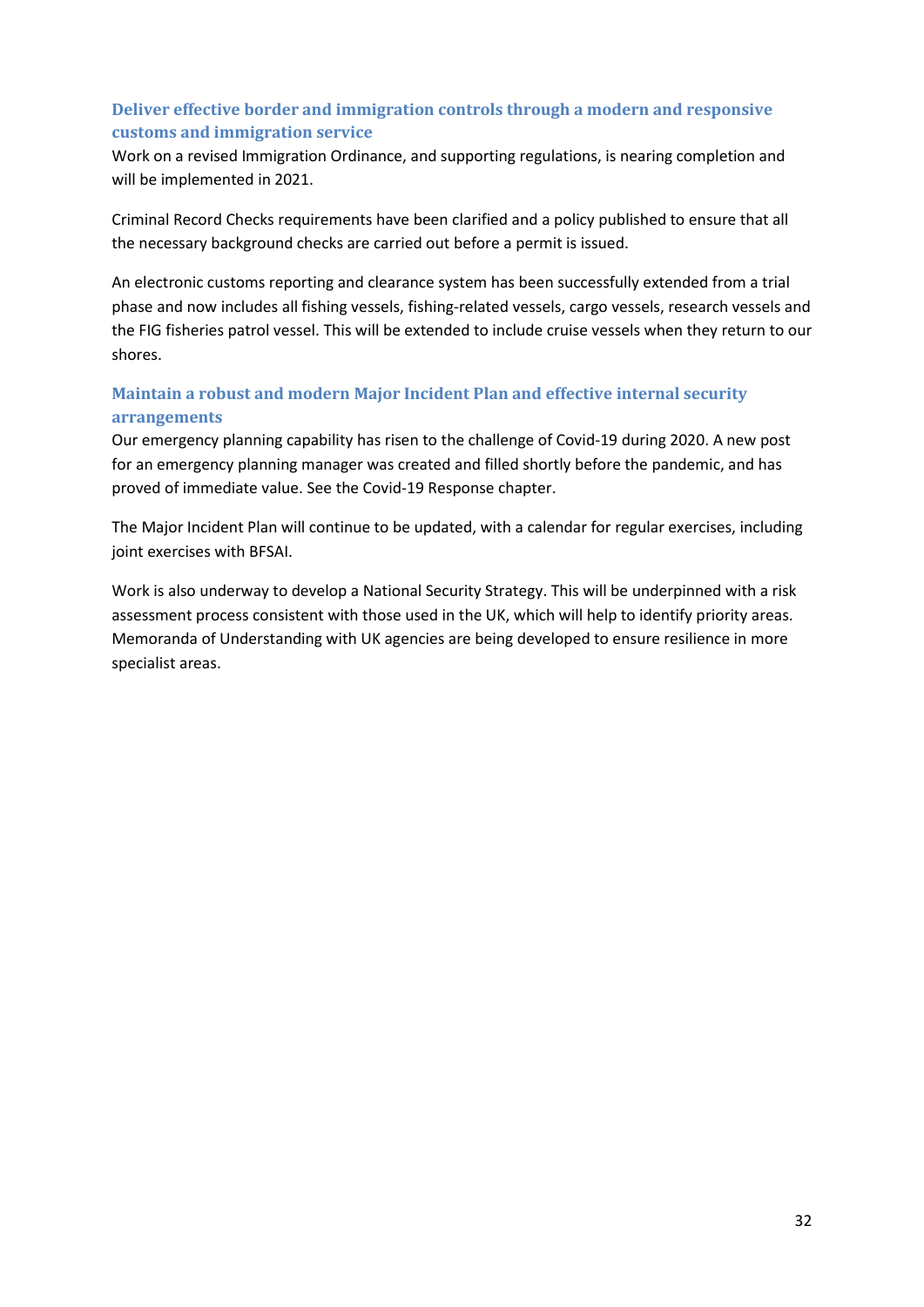# **Deliver effective border and immigration controls through a modern and responsive customs and immigration service**

Work on a revised Immigration Ordinance, and supporting regulations, is nearing completion and will be implemented in 2021.

Criminal Record Checks requirements have been clarified and a policy published to ensure that all the necessary background checks are carried out before a permit is issued.

An electronic customs reporting and clearance system has been successfully extended from a trial phase and now includes all fishing vessels, fishing-related vessels, cargo vessels, research vessels and the FIG fisheries patrol vessel. This will be extended to include cruise vessels when they return to our shores.

# **Maintain a robust and modern Major Incident Plan and effective internal security arrangements**

Our emergency planning capability has risen to the challenge of Covid-19 during 2020. A new post for an emergency planning manager was created and filled shortly before the pandemic, and has proved of immediate value. See the Covid-19 Response chapter.

The Major Incident Plan will continue to be updated, with a calendar for regular exercises, including joint exercises with BFSAI.

Work is also underway to develop a National Security Strategy. This will be underpinned with a risk assessment process consistent with those used in the UK, which will help to identify priority areas. Memoranda of Understanding with UK agencies are being developed to ensure resilience in more specialist areas.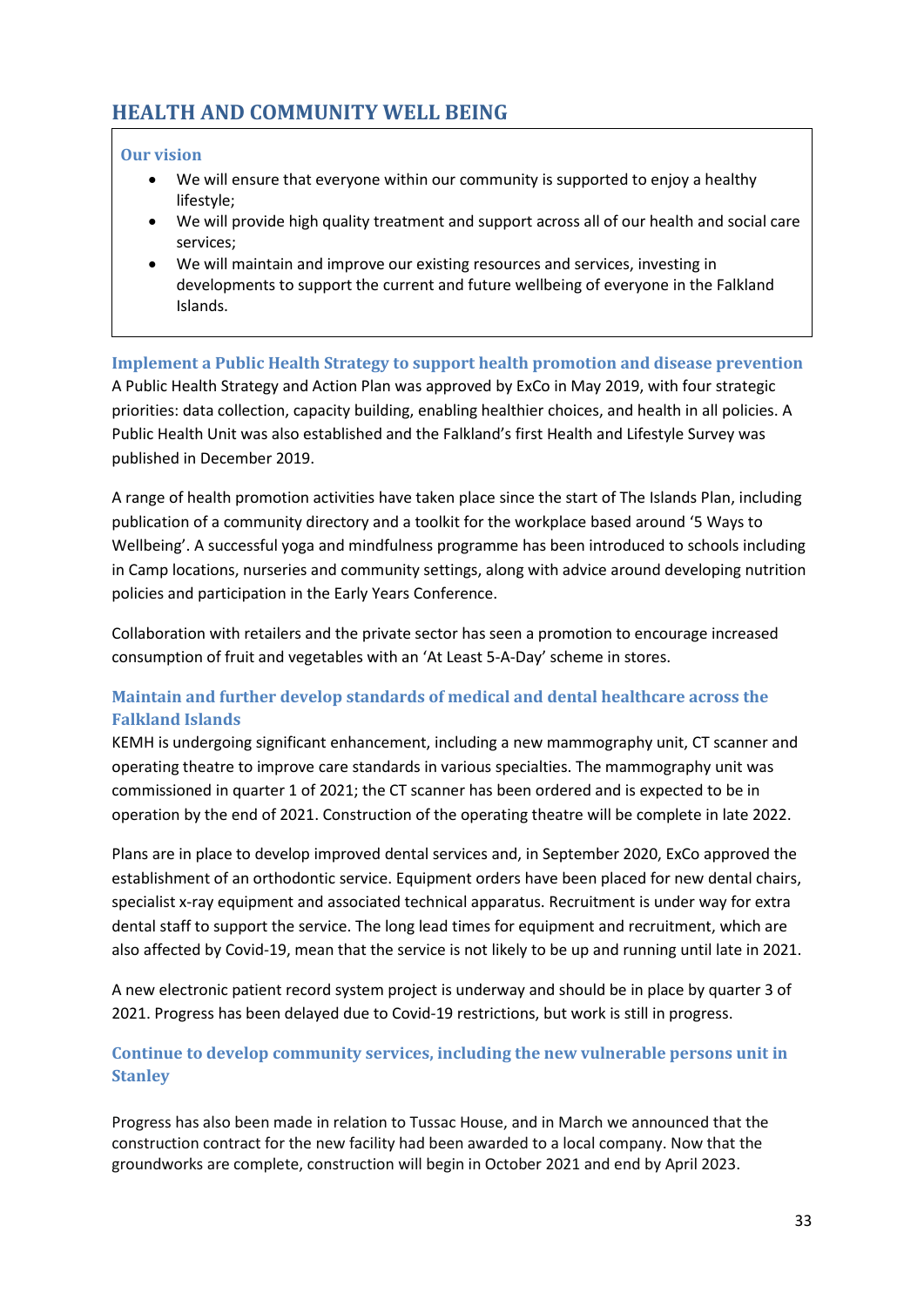# <span id="page-32-0"></span>**HEALTH AND COMMUNITY WELL BEING**

### **Our vision**

- We will ensure that everyone within our community is supported to enjoy a healthy lifestyle;
- We will provide high quality treatment and support across all of our health and social care services;
- We will maintain and improve our existing resources and services, investing in developments to support the current and future wellbeing of everyone in the Falkland Islands.

# **Implement a Public Health Strategy to support health promotion and disease prevention**

A Public Health Strategy and Action Plan was approved by ExCo in May 2019, with four strategic priorities: data collection, capacity building, enabling healthier choices, and health in all policies. A Public Health Unit was also established and the Falkland's first Health and Lifestyle Survey was published in December 2019.

A range of health promotion activities have taken place since the start of The Islands Plan, including publication of a community directory and a toolkit for the workplace based around '5 Ways to Wellbeing'. A successful yoga and mindfulness programme has been introduced to schools including in Camp locations, nurseries and community settings, along with advice around developing nutrition policies and participation in the Early Years Conference.

Collaboration with retailers and the private sector has seen a promotion to encourage increased consumption of fruit and vegetables with an 'At Least 5-A-Day' scheme in stores.

# **Maintain and further develop standards of medical and dental healthcare across the Falkland Islands**

KEMH is undergoing significant enhancement, including a new mammography unit, CT scanner and operating theatre to improve care standards in various specialties. The mammography unit was commissioned in quarter 1 of 2021; the CT scanner has been ordered and is expected to be in operation by the end of 2021. Construction of the operating theatre will be complete in late 2022.

Plans are in place to develop improved dental services and, in September 2020, ExCo approved the establishment of an orthodontic service. Equipment orders have been placed for new dental chairs, specialist x-ray equipment and associated technical apparatus. Recruitment is under way for extra dental staff to support the service. The long lead times for equipment and recruitment, which are also affected by Covid-19, mean that the service is not likely to be up and running until late in 2021.

A new electronic patient record system project is underway and should be in place by quarter 3 of 2021. Progress has been delayed due to Covid-19 restrictions, but work is still in progress.

# **Continue to develop community services, including the new vulnerable persons unit in Stanley**

Progress has also been made in relation to Tussac House, and in March we announced that the construction contract for the new facility had been awarded to a local company. Now that the groundworks are complete, construction will begin in October 2021 and end by April 2023.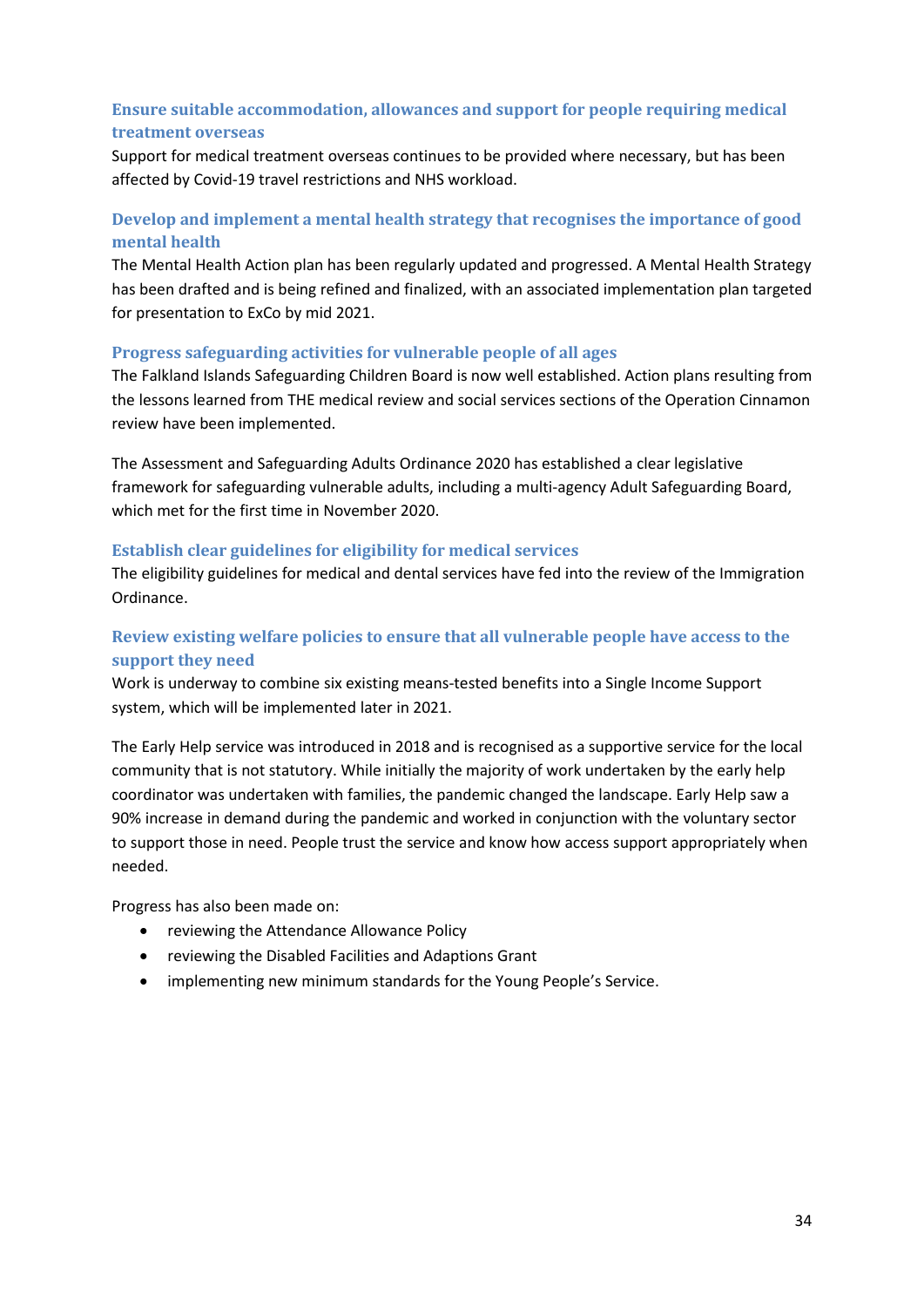# **Ensure suitable accommodation, allowances and support for people requiring medical treatment overseas**

Support for medical treatment overseas continues to be provided where necessary, but has been affected by Covid-19 travel restrictions and NHS workload.

# **Develop and implement a mental health strategy that recognises the importance of good mental health**

The Mental Health Action plan has been regularly updated and progressed. A Mental Health Strategy has been drafted and is being refined and finalized, with an associated implementation plan targeted for presentation to ExCo by mid 2021.

### **Progress safeguarding activities for vulnerable people of all ages**

The Falkland Islands Safeguarding Children Board is now well established. Action plans resulting from the lessons learned from THE medical review and social services sections of the Operation Cinnamon review have been implemented.

The Assessment and Safeguarding Adults Ordinance 2020 has established a clear legislative framework for safeguarding vulnerable adults, including a multi-agency Adult Safeguarding Board, which met for the first time in November 2020.

### **Establish clear guidelines for eligibility for medical services**

The eligibility guidelines for medical and dental services have fed into the review of the Immigration Ordinance.

# **Review existing welfare policies to ensure that all vulnerable people have access to the support they need**

Work is underway to combine six existing means-tested benefits into a Single Income Support system, which will be implemented later in 2021.

The Early Help service was introduced in 2018 and is recognised as a supportive service for the local community that is not statutory. While initially the majority of work undertaken by the early help coordinator was undertaken with families, the pandemic changed the landscape. Early Help saw a 90% increase in demand during the pandemic and worked in conjunction with the voluntary sector to support those in need. People trust the service and know how access support appropriately when needed.

Progress has also been made on:

- reviewing the Attendance Allowance Policy
- reviewing the Disabled Facilities and Adaptions Grant
- implementing new minimum standards for the Young People's Service.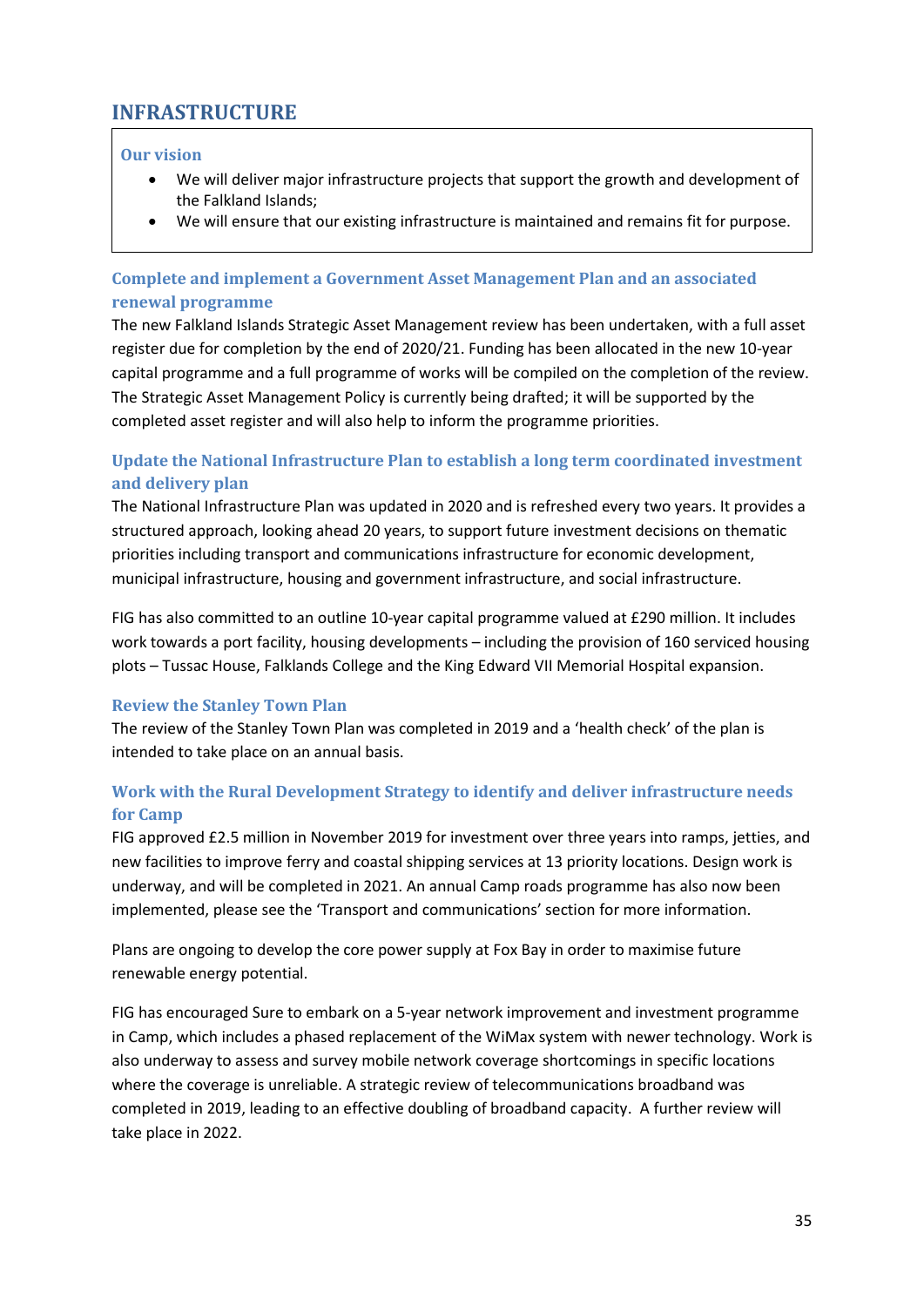# <span id="page-34-0"></span>**INFRASTRUCTURE**

### **Our vision**

- We will deliver major infrastructure projects that support the growth and development of the Falkland Islands;
- We will ensure that our existing infrastructure is maintained and remains fit for purpose.

# **Complete and implement a Government Asset Management Plan and an associated renewal programme**

The new Falkland Islands Strategic Asset Management review has been undertaken, with a full asset register due for completion by the end of 2020/21. Funding has been allocated in the new 10-year capital programme and a full programme of works will be compiled on the completion of the review. The Strategic Asset Management Policy is currently being drafted; it will be supported by the completed asset register and will also help to inform the programme priorities.

# **Update the National Infrastructure Plan to establish a long term coordinated investment and delivery plan**

The National Infrastructure Plan was updated in 2020 and is refreshed every two years. It provides a structured approach, looking ahead 20 years, to support future investment decisions on thematic priorities including transport and communications infrastructure for economic development, municipal infrastructure, housing and government infrastructure, and social infrastructure.

FIG has also committed to an outline 10-year capital programme valued at £290 million. It includes work towards a port facility, housing developments – including the provision of 160 serviced housing plots – Tussac House, Falklands College and the King Edward VII Memorial Hospital expansion.

# **Review the Stanley Town Plan**

The review of the Stanley Town Plan was completed in 2019 and a 'health check' of the plan is intended to take place on an annual basis.

# **Work with the Rural Development Strategy to identify and deliver infrastructure needs for Camp**

FIG approved £2.5 million in November 2019 for investment over three years into ramps, jetties, and new facilities to improve ferry and coastal shipping services at 13 priority locations. Design work is underway, and will be completed in 2021. An annual Camp roads programme has also now been implemented, please see the 'Transport and communications' section for more information.

Plans are ongoing to develop the core power supply at Fox Bay in order to maximise future renewable energy potential.

FIG has encouraged Sure to embark on a 5-year network improvement and investment programme in Camp, which includes a phased replacement of the WiMax system with newer technology. Work is also underway to assess and survey mobile network coverage shortcomings in specific locations where the coverage is unreliable. A strategic review of telecommunications broadband was completed in 2019, leading to an effective doubling of broadband capacity. A further review will take place in 2022.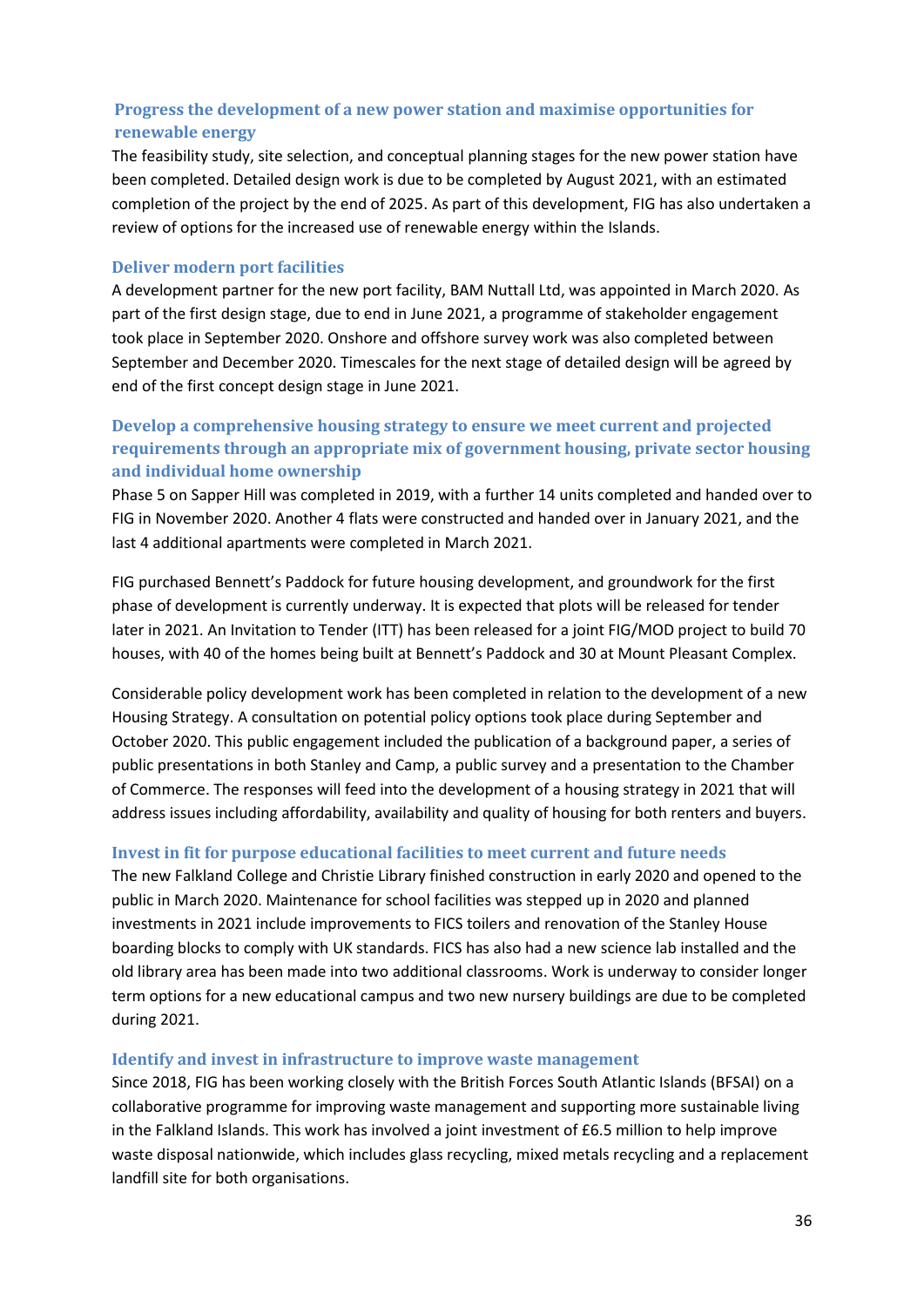# **Progress the development of a new power station and maximise opportunities for renewable energy**

The feasibility study, site selection, and conceptual planning stages for the new power station have been completed. Detailed design work is due to be completed by August 2021, with an estimated completion of the project by the end of 2025. As part of this development, FIG has also undertaken a review of options for the increased use of renewable energy within the Islands.

### **Deliver modern port facilities**

A development partner for the new port facility, BAM Nuttall Ltd, was appointed in March 2020. As part of the first design stage, due to end in June 2021, a programme of stakeholder engagement took place in September 2020. Onshore and offshore survey work was also completed between September and December 2020. Timescales for the next stage of detailed design will be agreed by end of the first concept design stage in June 2021.

# **Develop a comprehensive housing strategy to ensure we meet current and projected requirements through an appropriate mix of government housing, private sector housing and individual home ownership**

Phase 5 on Sapper Hill was completed in 2019, with a further 14 units completed and handed over to FIG in November 2020. Another 4 flats were constructed and handed over in January 2021, and the last 4 additional apartments were completed in March 2021.

FIG purchased Bennett's Paddock for future housing development, and groundwork for the first phase of development is currently underway. It is expected that plots will be released for tender later in 2021. An Invitation to Tender (ITT) has been released for a joint FIG/MOD project to build 70 houses, with 40 of the homes being built at Bennett's Paddock and 30 at Mount Pleasant Complex.

Considerable policy development work has been completed in relation to the development of a new Housing Strategy. A consultation on potential policy options took place during September and October 2020. This public engagement included the publication of a background paper, a series of public presentations in both Stanley and Camp, a public survey and a presentation to the Chamber of Commerce. The responses will feed into the development of a housing strategy in 2021 that will address issues including affordability, availability and quality of housing for both renters and buyers.

### **Invest in fit for purpose educational facilities to meet current and future needs**

The new Falkland College and Christie Library finished construction in early 2020 and opened to the public in March 2020. Maintenance for school facilities was stepped up in 2020 and planned investments in 2021 include improvements to FICS toilers and renovation of the Stanley House boarding blocks to comply with UK standards. FICS has also had a new science lab installed and the old library area has been made into two additional classrooms. Work is underway to consider longer term options for a new educational campus and two new nursery buildings are due to be completed during 2021.

#### **Identify and invest in infrastructure to improve waste management**

Since 2018, FIG has been working closely with the British Forces South Atlantic Islands (BFSAI) on a collaborative programme for improving waste management and supporting more sustainable living in the Falkland Islands. This work has involved a joint investment of £6.5 million to help improve waste disposal nationwide, which includes glass recycling, mixed metals recycling and a replacement landfill site for both organisations.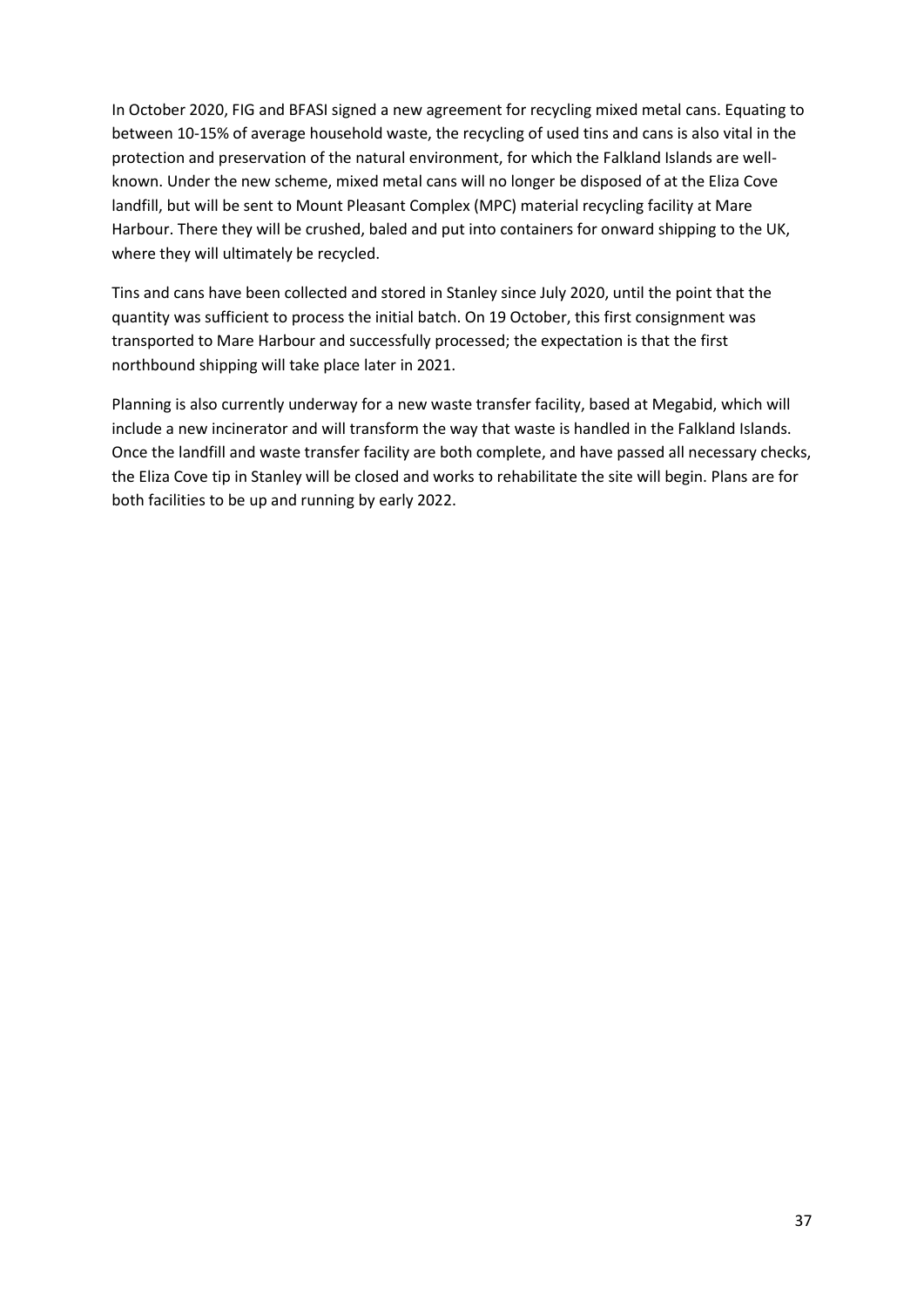In October 2020, FIG and BFASI signed a new agreement for recycling mixed metal cans. Equating to between 10-15% of average household waste, the recycling of used tins and cans is also vital in the protection and preservation of the natural environment, for which the Falkland Islands are wellknown. Under the new scheme, mixed metal cans will no longer be disposed of at the Eliza Cove landfill, but will be sent to Mount Pleasant Complex (MPC) material recycling facility at Mare Harbour. There they will be crushed, baled and put into containers for onward shipping to the UK, where they will ultimately be recycled.

Tins and cans have been collected and stored in Stanley since July 2020, until the point that the quantity was sufficient to process the initial batch. On 19 October, this first consignment was transported to Mare Harbour and successfully processed; the expectation is that the first northbound shipping will take place later in 2021.

Planning is also currently underway for a new waste transfer facility, based at Megabid, which will include a new incinerator and will transform the way that waste is handled in the Falkland Islands. Once the landfill and waste transfer facility are both complete, and have passed all necessary checks, the Eliza Cove tip in Stanley will be closed and works to rehabilitate the site will begin. Plans are for both facilities to be up and running by early 2022.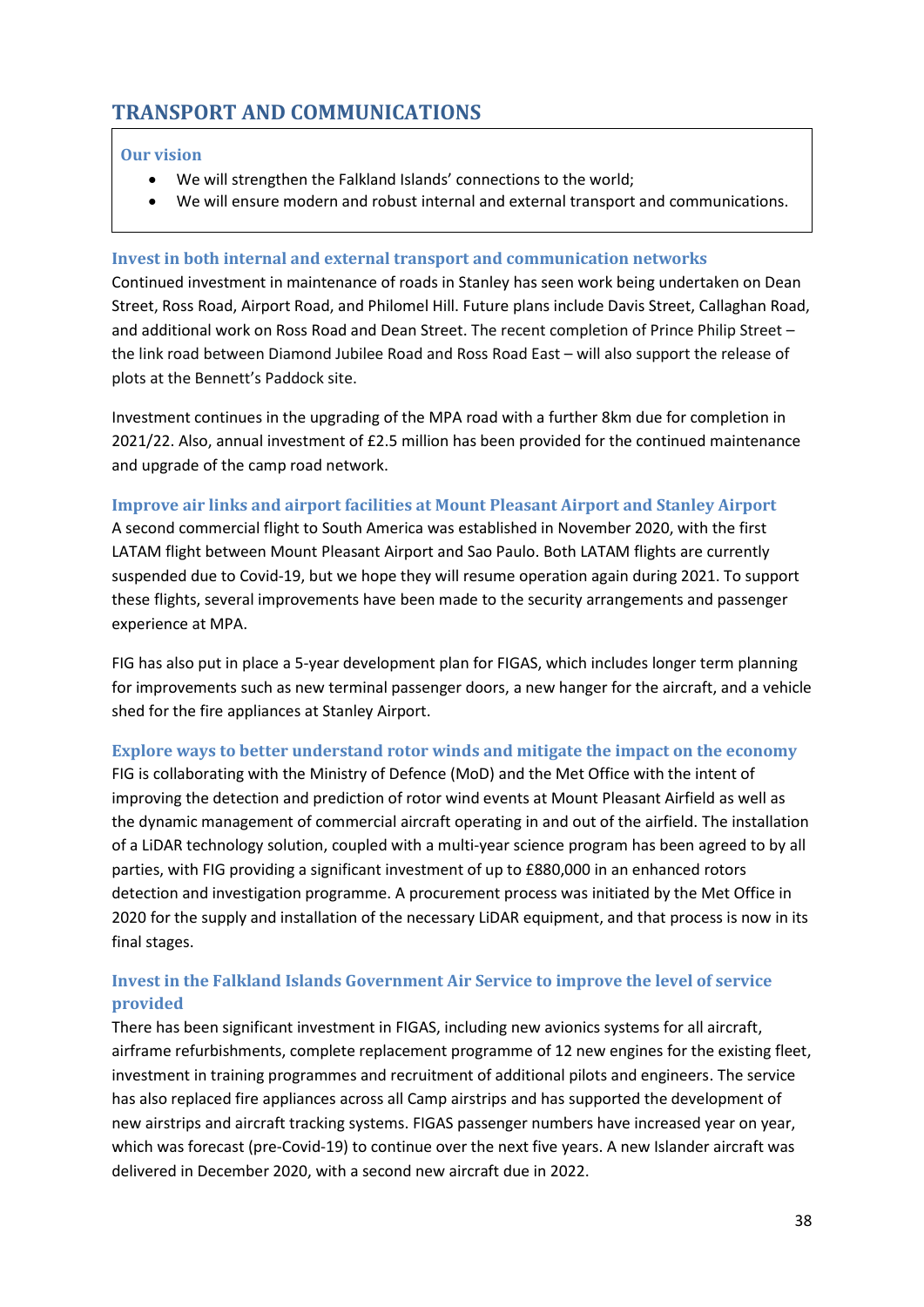# <span id="page-37-0"></span>**TRANSPORT AND COMMUNICATIONS**

### **Our vision**

- We will strengthen the Falkland Islands' connections to the world;
- We will ensure modern and robust internal and external transport and communications.

### **Invest in both internal and external transport and communication networks**

Continued investment in maintenance of roads in Stanley has seen work being undertaken on Dean Street, Ross Road, Airport Road, and Philomel Hill. Future plans include Davis Street, Callaghan Road, and additional work on Ross Road and Dean Street. The recent completion of Prince Philip Street – the link road between Diamond Jubilee Road and Ross Road East – will also support the release of plots at the Bennett's Paddock site.

Investment continues in the upgrading of the MPA road with a further 8km due for completion in 2021/22. Also, annual investment of £2.5 million has been provided for the continued maintenance and upgrade of the camp road network.

### **Improve air links and airport facilities at Mount Pleasant Airport and Stanley Airport**

A second commercial flight to South America was established in November 2020, with the first LATAM flight between Mount Pleasant Airport and Sao Paulo. Both LATAM flights are currently suspended due to Covid-19, but we hope they will resume operation again during 2021. To support these flights, several improvements have been made to the security arrangements and passenger experience at MPA.

FIG has also put in place a 5-year development plan for FIGAS, which includes longer term planning for improvements such as new terminal passenger doors, a new hanger for the aircraft, and a vehicle shed for the fire appliances at Stanley Airport.

### **Explore ways to better understand rotor winds and mitigate the impact on the economy**

FIG is collaborating with the Ministry of Defence (MoD) and the Met Office with the intent of improving the detection and prediction of rotor wind events at Mount Pleasant Airfield as well as the dynamic management of commercial aircraft operating in and out of the airfield. The installation of a LiDAR technology solution, coupled with a multi-year science program has been agreed to by all parties, with FIG providing a significant investment of up to £880,000 in an enhanced rotors detection and investigation programme. A procurement process was initiated by the Met Office in 2020 for the supply and installation of the necessary LiDAR equipment, and that process is now in its final stages.

# **Invest in the Falkland Islands Government Air Service to improve the level of service provided**

There has been significant investment in FIGAS, including new avionics systems for all aircraft, airframe refurbishments, complete replacement programme of 12 new engines for the existing fleet, investment in training programmes and recruitment of additional pilots and engineers. The service has also replaced fire appliances across all Camp airstrips and has supported the development of new airstrips and aircraft tracking systems. FIGAS passenger numbers have increased year on year, which was forecast (pre-Covid-19) to continue over the next five years. A new Islander aircraft was delivered in December 2020, with a second new aircraft due in 2022.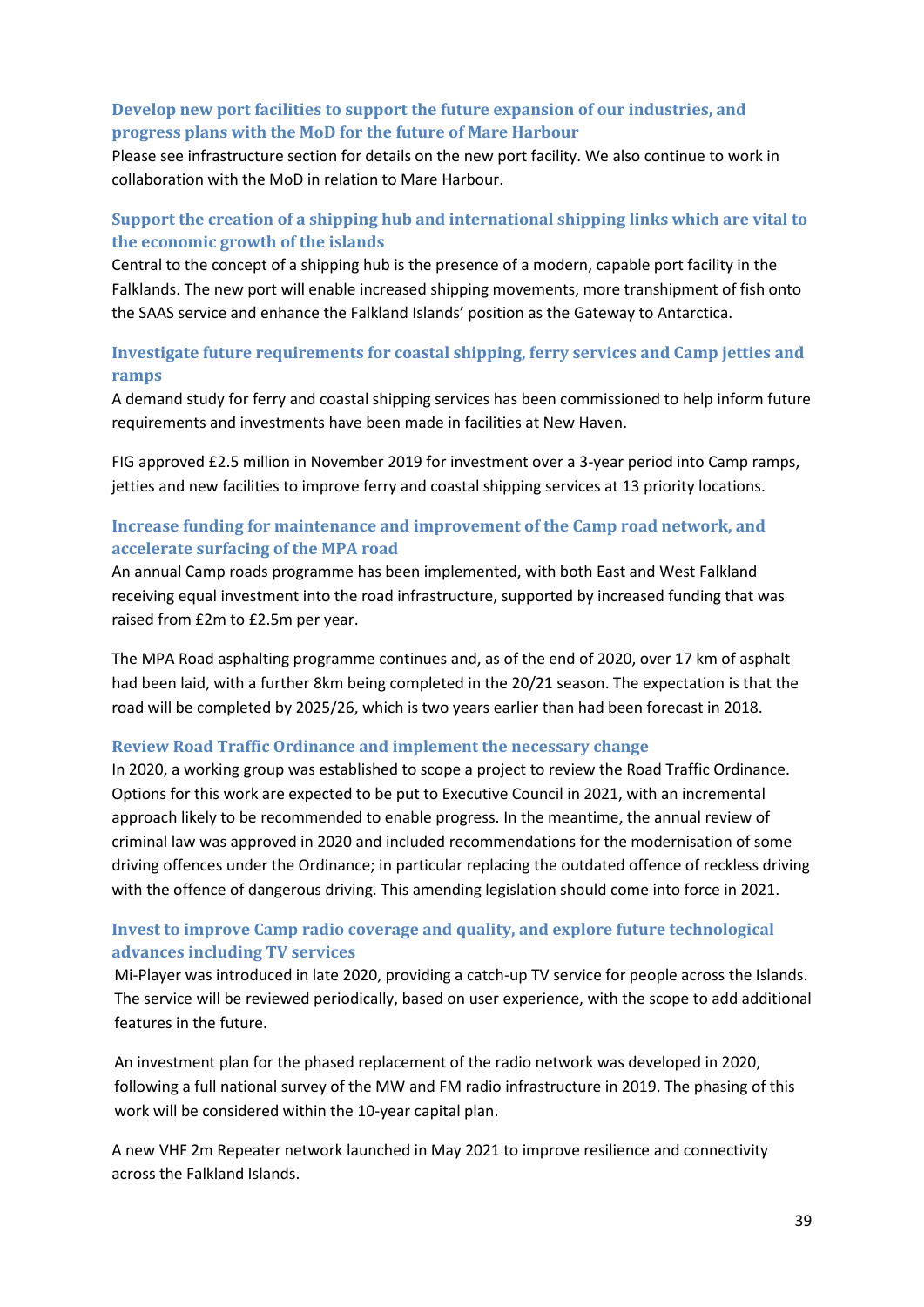### **Develop new port facilities to support the future expansion of our industries, and progress plans with the MoD for the future of Mare Harbour**

Please see infrastructure section for details on the new port facility. We also continue to work in collaboration with the MoD in relation to Mare Harbour.

# **Support the creation of a shipping hub and international shipping links which are vital to the economic growth of the islands**

Central to the concept of a shipping hub is the presence of a modern, capable port facility in the Falklands. The new port will enable increased shipping movements, more transhipment of fish onto the SAAS service and enhance the Falkland Islands' position as the Gateway to Antarctica.

### **Investigate future requirements for coastal shipping, ferry services and Camp jetties and ramps**

A demand study for ferry and coastal shipping services has been commissioned to help inform future requirements and investments have been made in facilities at New Haven.

FIG approved £2.5 million in November 2019 for investment over a 3-year period into Camp ramps, jetties and new facilities to improve ferry and coastal shipping services at 13 priority locations.

### **Increase funding for maintenance and improvement of the Camp road network, and accelerate surfacing of the MPA road**

An annual Camp roads programme has been implemented, with both East and West Falkland receiving equal investment into the road infrastructure, supported by increased funding that was raised from £2m to £2.5m per year.

The MPA Road asphalting programme continues and, as of the end of 2020, over 17 km of asphalt had been laid, with a further 8km being completed in the 20/21 season. The expectation is that the road will be completed by 2025/26, which is two years earlier than had been forecast in 2018.

### **Review Road Traffic Ordinance and implement the necessary change**

In 2020, a working group was established to scope a project to review the Road Traffic Ordinance. Options for this work are expected to be put to Executive Council in 2021, with an incremental approach likely to be recommended to enable progress. In the meantime, the annual review of criminal law was approved in 2020 and included recommendations for the modernisation of some driving offences under the Ordinance; in particular replacing the outdated offence of reckless driving with the offence of dangerous driving. This amending legislation should come into force in 2021.

# **Invest to improve Camp radio coverage and quality, and explore future technological advances including TV services**

Mi-Player was introduced in late 2020, providing a catch-up TV service for people across the Islands. The service will be reviewed periodically, based on user experience, with the scope to add additional features in the future.

An investment plan for the phased replacement of the radio network was developed in 2020, following a full national survey of the MW and FM radio infrastructure in 2019. The phasing of this work will be considered within the 10-year capital plan.

A new VHF 2m Repeater network launched in May 2021 to improve resilience and connectivity across the Falkland Islands.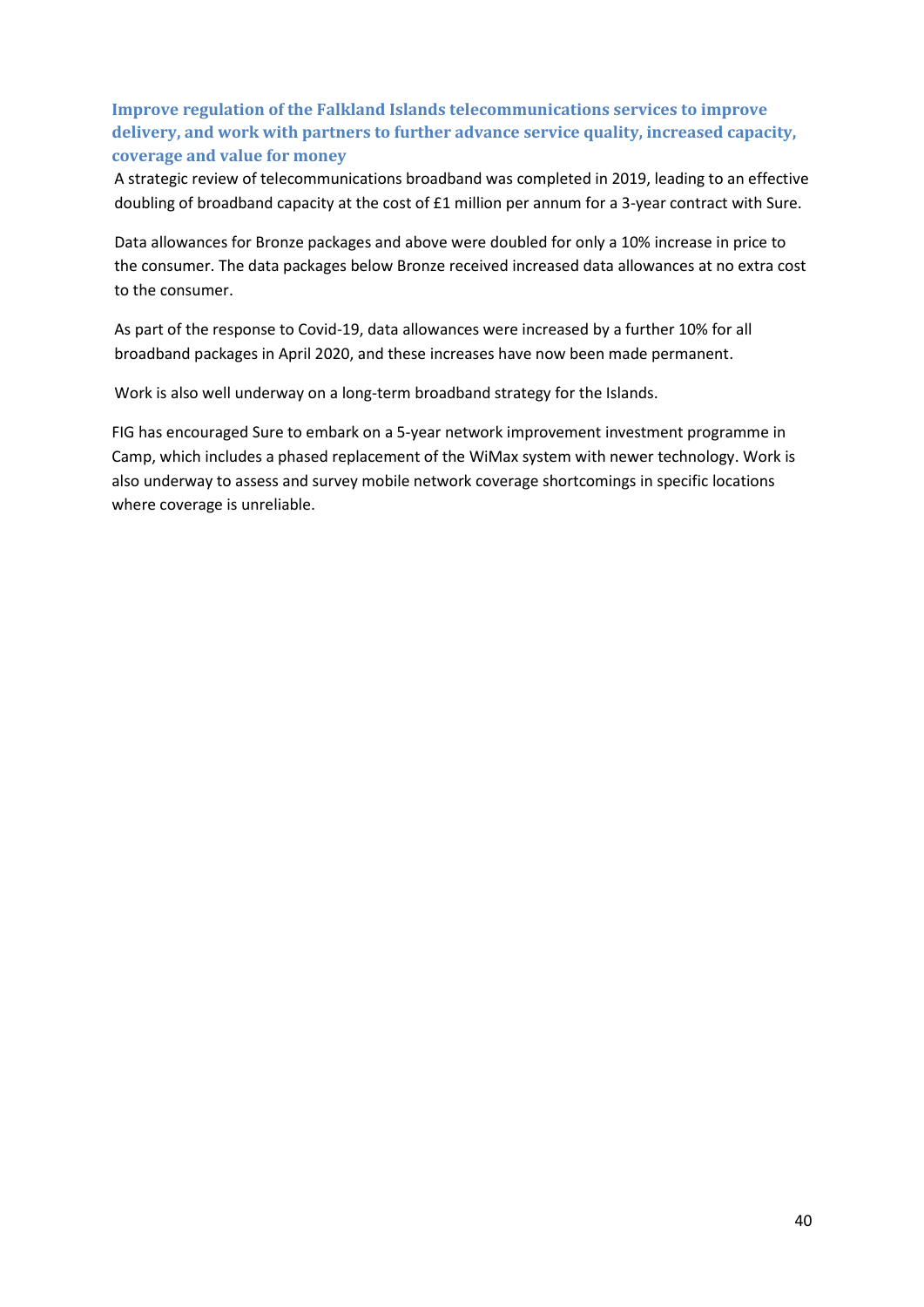# **Improve regulation of the Falkland Islands telecommunications services to improve delivery, and work with partners to further advance service quality, increased capacity, coverage and value for money**

A strategic review of telecommunications broadband was completed in 2019, leading to an effective doubling of broadband capacity at the cost of £1 million per annum for a 3-year contract with Sure.

Data allowances for Bronze packages and above were doubled for only a 10% increase in price to the consumer. The data packages below Bronze received increased data allowances at no extra cost to the consumer.

As part of the response to Covid-19, data allowances were increased by a further 10% for all broadband packages in April 2020, and these increases have now been made permanent.

Work is also well underway on a long-term broadband strategy for the Islands.

FIG has encouraged Sure to embark on a 5-year network improvement investment programme in Camp, which includes a phased replacement of the WiMax system with newer technology. Work is also underway to assess and survey mobile network coverage shortcomings in specific locations where coverage is unreliable.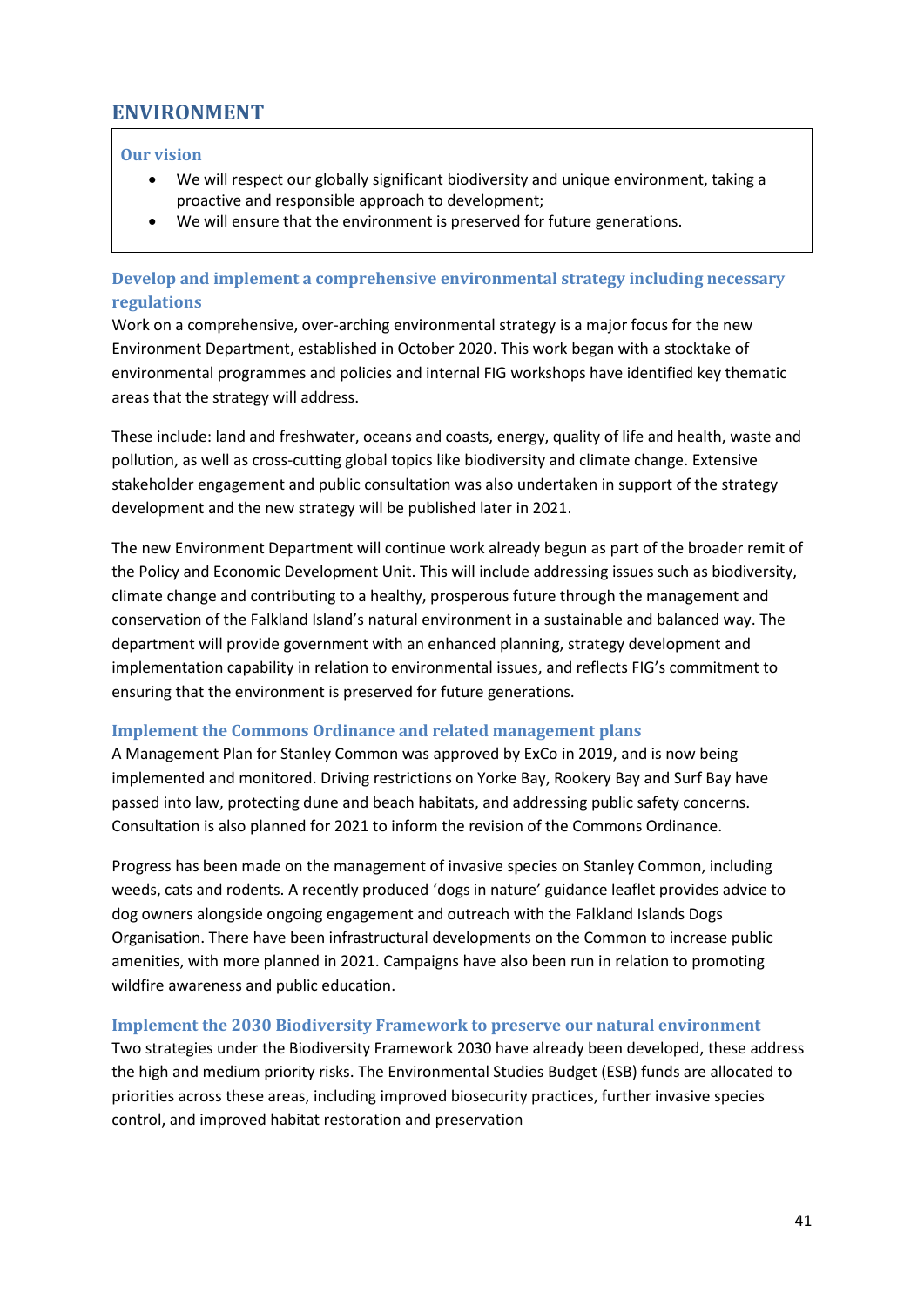# <span id="page-40-0"></span>**ENVIRONMENT**

### **Our vision**

- We will respect our globally significant biodiversity and unique environment, taking a proactive and responsible approach to development;
- We will ensure that the environment is preserved for future generations.

### **Develop and implement a comprehensive environmental strategy including necessary regulations**

Work on a comprehensive, over-arching environmental strategy is a major focus for the new Environment Department, established in October 2020. This work began with a stocktake of environmental programmes and policies and internal FIG workshops have identified key thematic areas that the strategy will address.

These include: land and freshwater, oceans and coasts, energy, quality of life and health, waste and pollution, as well as cross-cutting global topics like biodiversity and climate change. Extensive stakeholder engagement and public consultation was also undertaken in support of the strategy development and the new strategy will be published later in 2021.

The new Environment Department will continue work already begun as part of the broader remit of the Policy and Economic Development Unit. This will include addressing issues such as biodiversity, climate change and contributing to a healthy, prosperous future through the management and conservation of the Falkland Island's natural environment in a sustainable and balanced way. The department will provide government with an enhanced planning, strategy development and implementation capability in relation to environmental issues, and reflects FIG's commitment to ensuring that the environment is preserved for future generations.

#### **Implement the Commons Ordinance and related management plans**

A Management Plan for Stanley Common was approved by ExCo in 2019, and is now being implemented and monitored. Driving restrictions on Yorke Bay, Rookery Bay and Surf Bay have passed into law, protecting dune and beach habitats, and addressing public safety concerns. Consultation is also planned for 2021 to inform the revision of the Commons Ordinance.

Progress has been made on the management of invasive species on Stanley Common, including weeds, cats and rodents. A recently produced 'dogs in nature' guidance leaflet provides advice to dog owners alongside ongoing engagement and outreach with the Falkland Islands Dogs Organisation. There have been infrastructural developments on the Common to increase public amenities, with more planned in 2021. Campaigns have also been run in relation to promoting wildfire awareness and public education.

#### **Implement the 2030 Biodiversity Framework to preserve our natural environment**

Two strategies under the Biodiversity Framework 2030 have already been developed, these address the high and medium priority risks. The Environmental Studies Budget (ESB) funds are allocated to priorities across these areas, including improved biosecurity practices, further invasive species control, and improved habitat restoration and preservation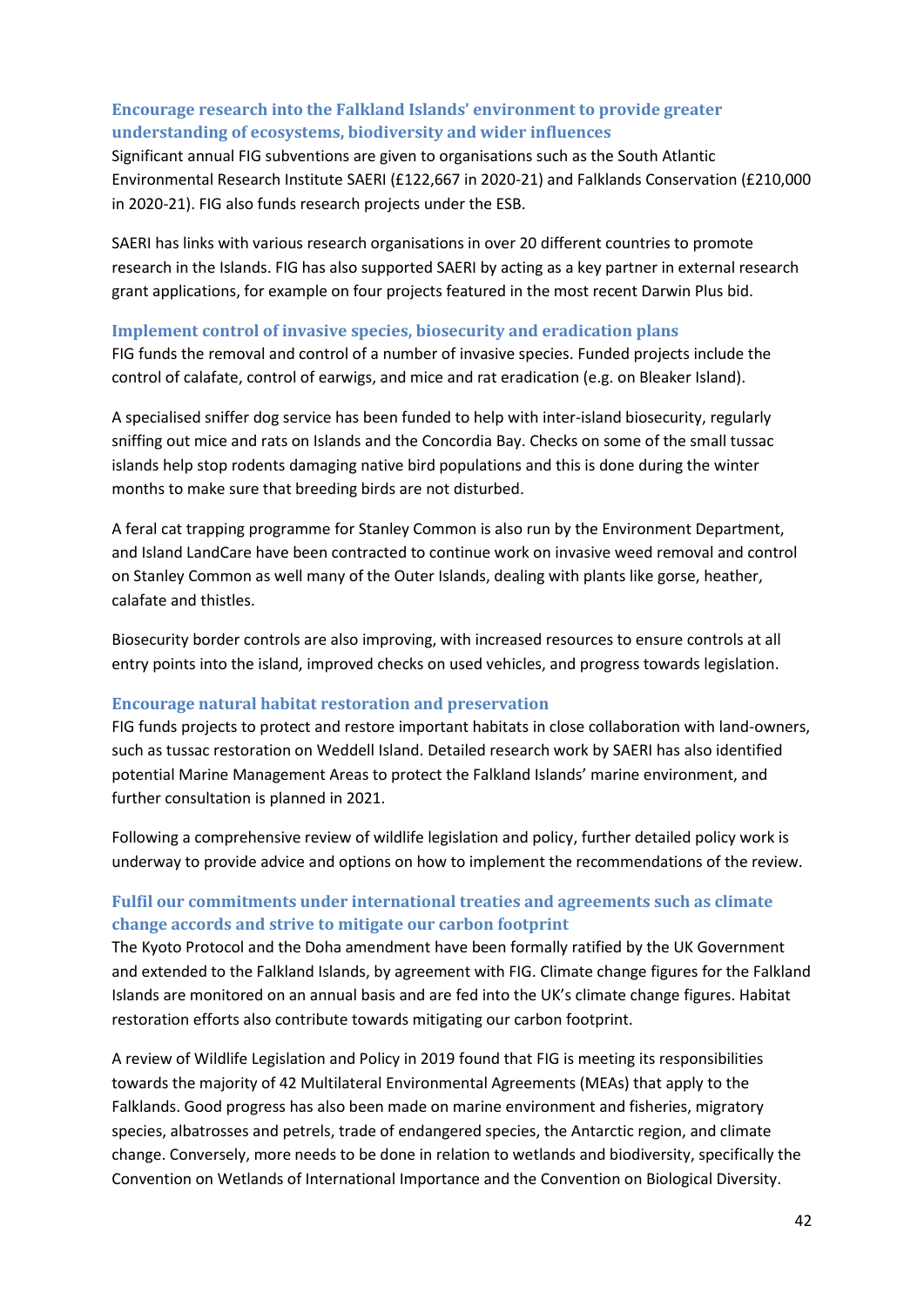# **Encourage research into the Falkland Islands' environment to provide greater understanding of ecosystems, biodiversity and wider influences**

Significant annual FIG subventions are given to organisations such as the South Atlantic Environmental Research Institute SAERI (£122,667 in 2020-21) and Falklands Conservation (£210,000 in 2020-21). FIG also funds research projects under the ESB.

SAERI has links with various research organisations in over 20 different countries to promote research in the Islands. FIG has also supported SAERI by acting as a key partner in external research grant applications, for example on four projects featured in the most recent Darwin Plus bid.

#### **Implement control of invasive species, biosecurity and eradication plans**

FIG funds the removal and control of a number of invasive species. Funded projects include the control of calafate, control of earwigs, and mice and rat eradication (e.g. on Bleaker Island).

A specialised sniffer dog service has been funded to help with inter-island biosecurity, regularly sniffing out mice and rats on Islands and the Concordia Bay. Checks on some of the small tussac islands help stop rodents damaging native bird populations and this is done during the winter months to make sure that breeding birds are not disturbed.

A feral cat trapping programme for Stanley Common is also run by the Environment Department, and Island LandCare have been contracted to continue work on invasive weed removal and control on Stanley Common as well many of the Outer Islands, dealing with plants like gorse, heather, calafate and thistles.

Biosecurity border controls are also improving, with increased resources to ensure controls at all entry points into the island, improved checks on used vehicles, and progress towards legislation.

### **Encourage natural habitat restoration and preservation**

FIG funds projects to protect and restore important habitats in close collaboration with land-owners, such as tussac restoration on Weddell Island. Detailed research work by SAERI has also identified potential Marine Management Areas to protect the Falkland Islands' marine environment, and further consultation is planned in 2021.

Following a comprehensive review of wildlife legislation and policy, further detailed policy work is underway to provide advice and options on how to implement the recommendations of the review.

# **Fulfil our commitments under international treaties and agreements such as climate change accords and strive to mitigate our carbon footprint**

The Kyoto Protocol and the Doha amendment have been formally ratified by the UK Government and extended to the Falkland Islands, by agreement with FIG. Climate change figures for the Falkland Islands are monitored on an annual basis and are fed into the UK's climate change figures. Habitat restoration efforts also contribute towards mitigating our carbon footprint.

A review of Wildlife Legislation and Policy in 2019 found that FIG is meeting its responsibilities towards the majority of 42 Multilateral Environmental Agreements (MEAs) that apply to the Falklands. Good progress has also been made on marine environment and fisheries, migratory species, albatrosses and petrels, trade of endangered species, the Antarctic region, and climate change. Conversely, more needs to be done in relation to wetlands and biodiversity, specifically the Convention on Wetlands of International Importance and the Convention on Biological Diversity.